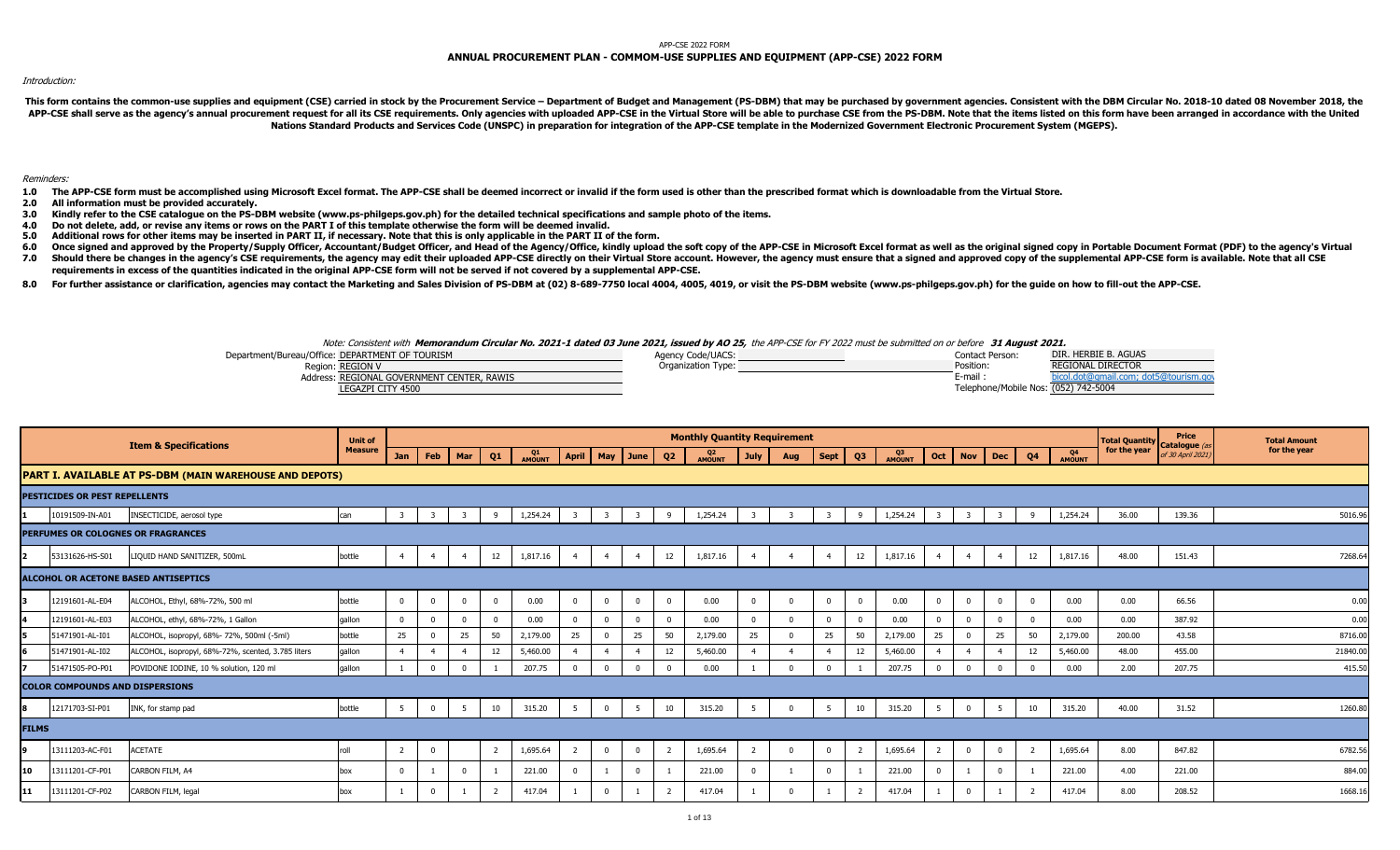#### APP-CSE 2022 FORM

# **ANNUAL PROCUREMENT PLAN - COMMOM-USE SUPPLIES AND EQUIPMENT (APP-CSE) 2022 FORM**

### Introduction:

This form contains the common-use supplies and equipment (CSE) carried in stock by the Procurement Service - Department of Budget and Management (PS-DBM) that may be purchased by government agencies. Consistent with the DB APP-CSE shall serve as the agency's annual procurement request for all its CSE requirements. Only agencies with uploaded APP-CSE in the Virtual Store will be able to purchase CSE from the PS-DBM. Note that the items listed **Nations Standard Products and Services Code (UNSPC) in preparation for integration of the APP-CSE template in the Modernized Government Electronic Procurement System (MGEPS).** 

### Reminders:

- 1.0 The APP-CSE form must be accomplished using Microsoft Excel format. The APP-CSE shall be deemed incorrect or invalid if the form used is other than the prescribed format which is downloadable from the Virtual Store.
- **2.0 All information must be provided accurately.**
- **3.0 Kindly refer to the CSE catalogue on the PS-DBM website (www.ps-philgeps.gov.ph) for the detailed technical specifications and sample photo of the items.**
- **4.0 Do not delete, add, or revise any items or rows on the PART I of this template otherwise the form will be deemed invalid.**
- **5.0 Additional rows for other items may be inserted in PART II, if necessary. Note that this is only applicable in the PART II of the form.**
- **6.0** Once signed and approved by the Property/Supply Officer, Accountant/Budget Officer, and Head of the Agency/Office, kindly upload the soft copy of the APP-CSE in Microsoft Excel format as well as the original signed copy in
- **7.0** Should there be changes in the agency's CSE requirements, the agency may edit their uploaded APP-CSE directly on their Virtual Store account. However, the agency must ensure that a signed and approved copy of the supplemen **requirements in excess of the quantities indicated in the original APP-CSE form will not be served if not covered by a supplemental APP-CSE.**
- 8.0 For further assistance or clarification, agencies may contact the Marketing and Sales Division of PS-DBM at (02) 8-689-7750 local 4004, 4005, 4019, or visit the PS-DBM website (www.ps-philgeps.gov.ph) for the guide on

## Note: Consistent with **Memorandum Circular No. 2021-1 dated 03 June 2021, issued by AO 25,** the APP-CSE for FY 2022 must be submitted on or before **31 August 2021.**

| Department/Bureau/Office: DEPARTMENT OF TOURISM | Agency Code/UACS:  | Contact Person:                      | DIR. HERBIE B. AGUAS                                  |
|-------------------------------------------------|--------------------|--------------------------------------|-------------------------------------------------------|
| Region: REGION V                                | Organization Type: | Position:                            | <b>REGIONAL DIRECTOR</b>                              |
| Address: REGIONAL GOVERNMENT CENTER, RAWIS      |                    | E-mail                               | anidil.com; dot5@tourism.ani<br><b>Mcol.dot@gmail</b> |
| LEGAZPI CITY 4500                               |                    | Telephone/Mobile Nos: (052) 742-5004 |                                                       |

|                                             | <b>Item &amp; Specifications</b>                        | <b>Unit of</b> |                |                |              |                |              |                         |             |                    |                | <b>Monthly Quantity Requirement</b> |                |     |                |                |              |                 |                |                |              |              | <b>Total Quantity</b> | Price<br>Catalogue (as | <b>Total Amount</b> |
|---------------------------------------------|---------------------------------------------------------|----------------|----------------|----------------|--------------|----------------|--------------|-------------------------|-------------|--------------------|----------------|-------------------------------------|----------------|-----|----------------|----------------|--------------|-----------------|----------------|----------------|--------------|--------------|-----------------------|------------------------|---------------------|
|                                             |                                                         | <b>Measure</b> | <b>Jan</b>     | Feb            | Mar          | Q1             | Q1<br>AMOUNT |                         |             | April   May   June | Q <sub>2</sub> | Q2<br>AMOUNT                        | <b>July</b>    | Aug | $\vert$ Sept   | Q <sub>3</sub> | Q3<br>AMOUNT | Oct             | <b>Nov</b>     | <b>Dec</b>     | Q4           | Q4<br>AMOUNT | for the year          | of 30 April 2021)      | for the year        |
|                                             | PART I. AVAILABLE AT PS-DBM (MAIN WAREHOUSE AND DEPOTS) |                |                |                |              |                |              |                         |             |                    |                |                                     |                |     |                |                |              |                 |                |                |              |              |                       |                        |                     |
| <b>PESTICIDES OR PEST REPELLENTS</b>        |                                                         |                |                |                |              |                |              |                         |             |                    |                |                                     |                |     |                |                |              |                 |                |                |              |              |                       |                        |                     |
| 10191509-IN-A01                             | INSECTICIDE, aerosol type                               | can            |                | - 3            | 3            | 9              | 1,254.24     | $\overline{\mathbf{3}}$ |             |                    | -9             | 1,254.24                            |                |     | -3             | -9             | 1,254.24     | 3               |                |                | 9            | 1,254.24     | 36.00                 | 139.36                 | 5016.96             |
| PERFUMES OR COLOGNES OR FRAGRANCES          |                                                         |                |                |                |              |                |              |                         |             |                    |                |                                     |                |     |                |                |              |                 |                |                |              |              |                       |                        |                     |
| 53131626-HS-S01<br>12.                      | LIQUID HAND SANITIZER, 500mL                            | bottle         | $\overline{a}$ | $\overline{4}$ | -4           | 12             | 1,817.16     | $\overline{4}$          |             |                    | 12             | 1,817.16                            |                |     | $\overline{4}$ | 12             | 1,817.16     | $\overline{4}$  | $\overline{4}$ | $\overline{4}$ | 12           | 1,817.16     | 48.00                 | 151.43                 | 7268.64             |
| <b>ALCOHOL OR ACETONE BASED ANTISEPTICS</b> |                                                         |                |                |                |              |                |              |                         |             |                    |                |                                     |                |     |                |                |              |                 |                |                |              |              |                       |                        |                     |
| 12191601-AL-E04                             | ALCOHOL, Ethyl, 68%-72%, 500 ml                         | bottle         | $\Omega$       | $\overline{0}$ | $\mathbf{0}$ | $\overline{0}$ | 0.00         | $\overline{0}$          | $\Omega$    | $\Omega$           | $\Omega$       | 0.00                                | $\Omega$       |     | $\overline{0}$ | $\Omega$       | 0.00         | $\overline{0}$  | $\mathbf 0$    | $\Omega$       | $\mathbf{0}$ | 0.00         | 0.00                  | 66.56                  | 0.00                |
| 12191601-AL-E03                             | ALCOHOL, ethyl, 68%-72%, 1 Gallon                       | gallon         | $\overline{0}$ |                | $\Omega$     | $\mathbf{0}$   | 0.00         | $\mathbf 0$             | $\Omega$    | $\Omega$           |                | 0.00                                |                |     | $\overline{0}$ | $\Omega$       | 0.00         |                 |                | $\overline{0}$ | $\mathbf{0}$ | 0.00         | 0.00                  | 387.92                 | 0.00                |
| 51471901-AL-I01<br>15.                      | ALCOHOL, isopropyl, 68%- 72%, 500ml (-5ml)              | bottle         | 25             |                | 25           | 50             | 2,179.00     | 25                      |             | 25                 | 50             | 2,179.00                            | 25             |     | 25             | 50             | 2,179.00     | 25              |                | 25             | 50           | 2,179.00     | 200.00                | 43.58                  | 8716.00             |
| 51471901-AL-I02                             | ALCOHOL, isopropyl, 68%-72%, scented, 3.785 liters      | gallon         |                |                |              | 12             | 5,460.00     |                         |             |                    | 12             | 5,460.00                            |                |     |                | 12             | 5,460.00     |                 | $\overline{4}$ |                | 12           | 5,460.00     | 48.00                 | 455.00                 | 21840.00            |
| 51471505-PO-P01                             | POVIDONE IODINE, 10 % solution, 120 ml                  | qallon         |                | $\Omega$       | $\Omega$     |                | 207.75       | $\Omega$                | $\Omega$    | $\Omega$           |                | 0.00                                |                |     | $\Omega$       |                | 207.75       |                 | $\Omega$       | $\Omega$       | $\Omega$     | 0.00         | 2.00                  | 207.75                 | 415.50              |
| <b>COLOR COMPOUNDS AND DISPERSIONS</b>      |                                                         |                |                |                |              |                |              |                         |             |                    |                |                                     |                |     |                |                |              |                 |                |                |              |              |                       |                        |                     |
| 12171703-SI-P01                             | INK, for stamp pad                                      | bottle         | 5              | $\mathbf{0}$   | 5            | 10             | 315.20       | 5                       | $\mathbf 0$ | 5                  | 10             | 315.20                              | 5              |     | 5              | 10             | 315.20       | $5\overline{5}$ | $\overline{0}$ | 5              | 10           | 315.20       | 40.00                 | 31.52                  | 1260.80             |
| <b>FILMS</b>                                |                                                         |                |                |                |              |                |              |                         |             |                    |                |                                     |                |     |                |                |              |                 |                |                |              |              |                       |                        |                     |
| 13111203-AC-F01                             | ACETATE                                                 | roll           | 2              | $\overline{0}$ |              | $\overline{2}$ | 1,695.64     | 2                       | $\Omega$    | $\overline{0}$     | $\overline{2}$ | 1,695.64                            | $\overline{2}$ |     | $\mathbf 0$    |                | 1,695.64     | 2               | $\Omega$       | $\overline{0}$ |              | 1,695.64     | 8.00                  | 847.82                 | 6782.56             |
| 13111201-CF-P01<br>10                       | CARBON FILM, A4                                         | box            | $\Omega$       |                | $\Omega$     |                | 221.00       | $\Omega$                |             | $\Omega$           |                | 221.00                              |                |     | $\Omega$       |                | 221.00       |                 |                | $\Omega$       |              | 221.00       | 4.00                  | 221.00                 | 884.0               |
| 13111201-CF-P02<br>11                       | CARBON FILM, legal                                      | box            |                |                |              |                | 417.04       |                         | $\Omega$    |                    |                | 417.04                              |                |     |                |                | 417.04       |                 |                |                |              | 417.04       | 8.00                  | 208.52                 | 1668.1              |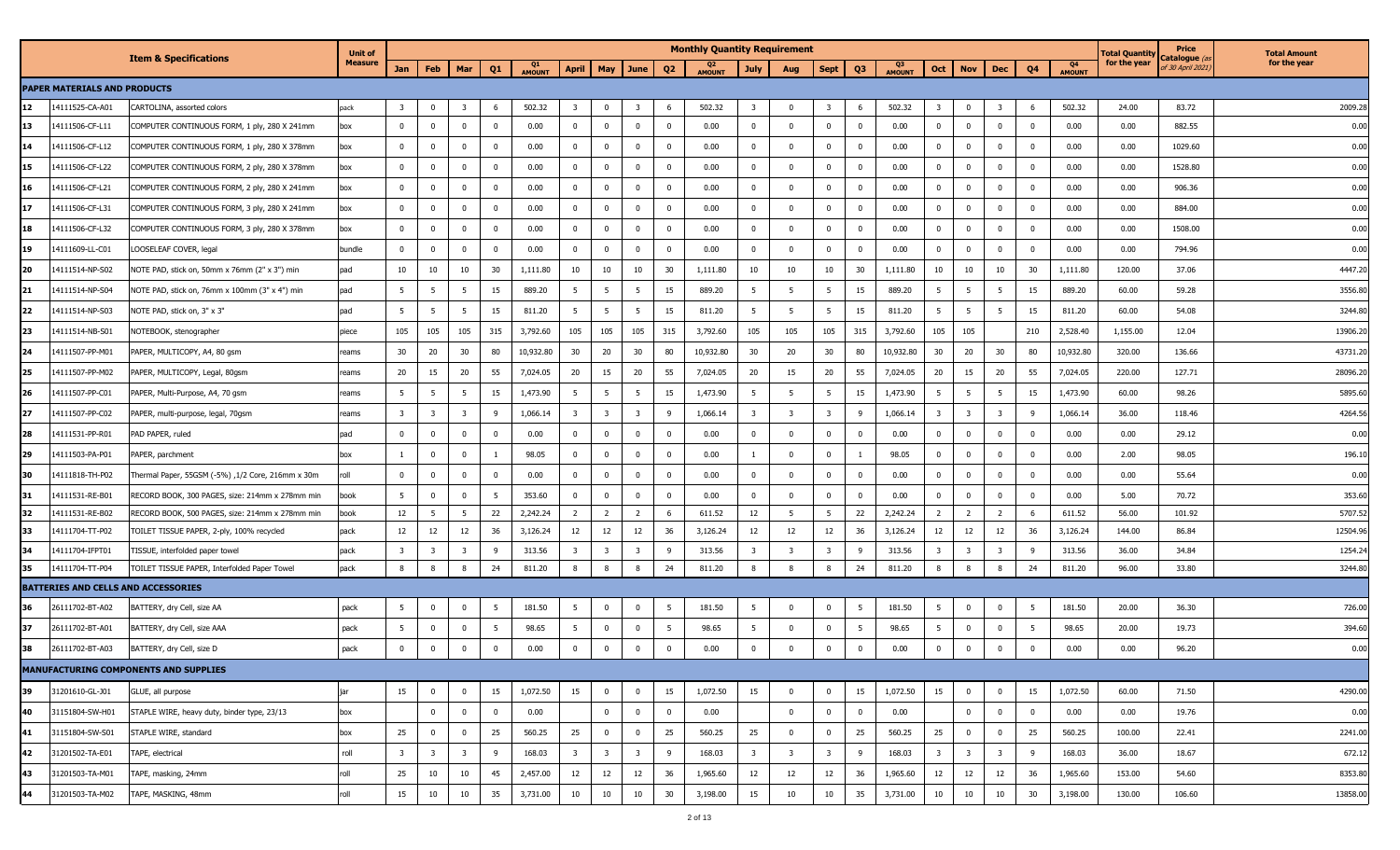|    |                              |                                                   | <b>Unit of</b> |                         |                         |                         |                |              |                         |                         |                         |                | <b>Monthly Quantity Requirement</b> |                         |                         |                         |                |              |                         |                         |                         |                |                     | Total Quantity | Price                                     | <b>Total Amount</b> |
|----|------------------------------|---------------------------------------------------|----------------|-------------------------|-------------------------|-------------------------|----------------|--------------|-------------------------|-------------------------|-------------------------|----------------|-------------------------------------|-------------------------|-------------------------|-------------------------|----------------|--------------|-------------------------|-------------------------|-------------------------|----------------|---------------------|----------------|-------------------------------------------|---------------------|
|    |                              | <b>Item &amp; Specifications</b>                  | <b>Measure</b> | Jan                     | Feb                     | Mar                     | Q <sub>1</sub> | Q1<br>AMOUNT | April                   | May                     | June                    | Q <sub>2</sub> | Q <sub>2</sub><br>AMOUNT            | <b>July</b>             | Aug                     | <b>Sept</b>             | Q <sub>3</sub> | Q3<br>AMOUNT | Oct                     | <b>Nov</b>              | <b>Dec</b>              | Q <sub>4</sub> | Q4<br><b>AMOUNT</b> | for the year   | Catalogue <i>(a</i> :<br>of 30 April 2021 | for the year        |
|    | PAPER MATERIALS AND PRODUCTS |                                                   |                |                         |                         |                         |                |              |                         |                         |                         |                |                                     |                         |                         |                         |                |              |                         |                         |                         |                |                     |                |                                           |                     |
| 12 | 14111525-CA-A01              | CARTOLINA, assorted colors                        | pack           | $\overline{\mathbf{3}}$ | $\Omega$                | -3                      | 6              | 502.32       | $\overline{\mathbf{3}}$ | $\overline{\mathbf{0}}$ | $\overline{\mathbf{3}}$ | 6              | 502.32                              | $\overline{\mathbf{3}}$ | $\overline{\mathbf{0}}$ | $\overline{\mathbf{3}}$ | 6              | 502.32       | - 3                     | $\bf{0}$                | $\overline{3}$          | - 6            | 502.32              | 24.00          | 83.72                                     | 2009.28             |
| 13 | 14111506-CF-L11              | COMPUTER CONTINUOUS FORM, 1 ply, 280 X 241mm      | box            | $\mathbf 0$             | $\bf{0}$                | $\Omega$                | $\overline{0}$ | 0.00         | $\mathbf 0$             | $\overline{0}$          | $\mathbf 0$             | $\Omega$       | 0.00                                | $\mathbf 0$             | $\overline{\mathbf{0}}$ | $\Omega$                | $\bf{0}$       | 0.00         | $\mathbf 0$             | $\bf{0}$                | $\mathbf 0$             | $\Omega$       | 0.00                | 0.00           | 882.55                                    | 0.00                |
| 14 | 14111506-CF-L12              | COMPUTER CONTINUOUS FORM, 1 ply, 280 X 378mm      | box            | $\mathbf 0$             | $\mathbf 0$             | $\Omega$                | $\mathbf 0$    | 0.00         | $\bf{0}$                | $\overline{0}$          | $\mathbf 0$             | $\Omega$       | 0.00                                | $\mathbf 0$             | 0                       | $^{\circ}$              | $\mathbf{0}$   | 0.00         | $\mathbf 0$             | $\mathbf 0$             | $\mathbf 0$             | $\Omega$       | 0.00                | 0.00           | 1029.60                                   | 0.00                |
| 15 | 14111506-CF-L22              | COMPUTER CONTINUOUS FORM, 2 ply, 280 X 378mm      | box            | $^{\circ}$              | $\overline{0}$          | $\Omega$                | $\mathbf 0$    | 0.00         | $\overline{\mathbf{0}}$ | 0                       | $\mathbf 0$             | 0              | 0.00                                | $\mathbf{0}$            | 0                       | $\Omega$                | $\mathbf 0$    | 0.00         | $\mathbf{0}$            | $\mathbf 0$             | $^{\circ}$              | $\Omega$       | 0.00                | 0.00           | 1528.80                                   | 0.00                |
| 16 | 14111506-CF-L21              | COMPUTER CONTINUOUS FORM, 2 ply, 280 X 241mm      | box            | $\mathbf 0$             | $\mathbf 0$             | $\mathbf 0$             | $\mathbf 0$    | 0.00         | $\overline{0}$          | $\overline{\mathbf{0}}$ | $\mathbf 0$             | $\Omega$       | 0.00                                | $\mathbf 0$             | 0                       | $^{\circ}$              | $\mathbf 0$    | 0.00         | $^{\circ}$              | $\bf{0}$                | $\mathbf 0$             | $\Omega$       | 0.00                | 0.00           | 906.36                                    | 0.00                |
| 17 | 14111506-CF-L31              | COMPUTER CONTINUOUS FORM, 3 ply, 280 X 241mm      | box            | $\bf{0}$                | $\overline{0}$          | $\Omega$                | $\mathbf 0$    | 0.00         | $\overline{\mathbf{0}}$ | $\mathbf 0$             | $\overline{\mathbf{0}}$ | $^{\circ}$     | 0.00                                | $\mathbf 0$             | $\overline{\mathbf{0}}$ | $\Omega$                | $\mathbf 0$    | 0.00         | $\mathbf{0}$            | $\bf{0}$                | $\mathbf{0}$            | $\Omega$       | 0.00                | 0.00           | 884.00                                    | 0.00                |
| 18 | 4111506-CF-L32               | COMPUTER CONTINUOUS FORM, 3 ply, 280 X 378mm      | box            | $\bf{0}$                | $\mathbf{0}$            | $\mathbf 0$             | $\mathbf 0$    | 0.00         | $\overline{0}$          | $\overline{0}$          | $\bf{0}$                | $^{\circ}$     | 0.00                                | $\mathbf 0$             | $\overline{\mathbf{0}}$ | $\mathbf{0}$            | $\mathbf 0$    | 0.00         | $^{\circ}$              | $\bf{0}$                | $\mathbf 0$             | $\Omega$       | 0.00                | 0.00           | 1508.00                                   | 0.00                |
| 19 | 14111609-LL-C01              | LOOSELEAF COVER, legal                            | bundle         | $^{\circ}$              | $\Omega$                | $\Omega$                | $\mathbf 0$    | 0.00         | $\overline{\mathbf{0}}$ | $\mathbf{0}$            | $\mathbf 0$             | $^{\circ}$     | 0.00                                | $\mathbf{0}$            | 0                       | $\Omega$                | $\mathbf 0$    | 0.00         | $\mathbf 0$             | $\mathbf 0$             | $\mathbf 0$             | $\Omega$       | 0.00                | 0.00           | 794.96                                    | 0.00                |
| 20 | 14111514-NP-S02              | NOTE PAD, stick on, 50mm x 76mm (2" x 3") min     | pad            | 10                      | 10                      | 10                      | 30             | 1,111.80     | 10                      | 10                      | 10                      | 30             | 1,111.80                            | 10                      | 10                      | 10                      | 30             | 1,111.80     | 10                      | 10                      | 10                      | 30             | 1,111.80            | 120.00         | 37.06                                     | 4447.20             |
| 21 | 4111514-NP-S04               | NOTE PAD, stick on, 76mm x 100mm (3" x 4") min    | pad            | 5                       | - 5                     | - 5                     | 15             | 889.20       | 5                       | 5                       | - 5                     | 15             | 889.20                              | 5                       | - 5                     | -5                      | 15             | 889.20       | - 5                     | 5                       | -5                      | 15             | 889.20              | 60.00          | 59.28                                     | 3556.80             |
| 22 | 14111514-NP-S03              | NOTE PAD, stick on, 3" x 3"                       | pad            | 5                       | - 5                     | - 5                     | 15             | 811.20       | 5                       | 5                       | - 5                     | 15             | 811.20                              | 5                       | - 5                     | -5                      | 15             | 811.20       | - 5                     | 5                       | - 5                     | 15             | 811.20              | 60.00          | 54.08                                     | 3244.80             |
| 23 | 14111514-NB-S01              | NOTEBOOK, stenographer                            | piece          | 105                     | 105                     | 105                     | 315            | 3,792.60     | 105                     | 105                     | 105                     | 315            | 3,792.60                            | 105                     | 105                     | 105                     | 315            | 3,792.60     | 105                     | 105                     |                         | 210            | 2,528.40            | 1,155.00       | 12.04                                     | 13906.20            |
| 24 | 14111507-PP-M01              | PAPER, MULTICOPY, A4, 80 gsm                      | eams           | 30                      | 20                      | 30                      | 80             | 10,932.80    | 30                      | 20                      | 30                      | 80             | 10,932.80                           | 30                      | 20                      | 30                      | 80             | 10,932.80    | 30                      | 20                      | 30                      | 80             | 10,932.80           | 320.00         | 136.66                                    | 43731.20            |
| 25 | 14111507-PP-M02              | PAPER, MULTICOPY, Legal, 80gsm                    | reams          | 20                      | 15                      | 20                      | 55             | 7,024.05     | 20                      | 15                      | 20                      | 55             | 7,024.05                            | 20                      | 15                      | 20                      | 55             | 7,024.05     | 20                      | 15                      | 20                      | 55             | 7,024.05            | 220.00         | 127.71                                    | 28096.20            |
| 26 | 14111507-PP-C01              | PAPER, Multi-Purpose, A4, 70 gsm                  | reams          | 5                       | $5\overline{5}$         | 5                       | 15             | 1,473.90     | $5^{\circ}$             | $5\overline{5}$         | $5\overline{5}$         | 15             | 1,473.90                            | 5                       | - 5                     | - 5                     | 15             | 1,473.90     | 5                       | -5                      | 5                       | 15             | 1,473.90            | 60.00          | 98.26                                     | 5895.60             |
| 27 | 14111507-PP-C02              | PAPER, multi-purpose, legal, 70gsm                | reams          | $\overline{\mathbf{3}}$ | $\overline{\mathbf{3}}$ | 3                       | 9              | 1,066.14     | $\overline{\mathbf{3}}$ | $\overline{\mathbf{3}}$ | $\overline{\mathbf{3}}$ | - 9            | 1,066.14                            | $\overline{\mathbf{3}}$ | $\overline{\mathbf{3}}$ | $\overline{\mathbf{3}}$ | 9              | 1,066.14     | $\overline{\mathbf{3}}$ | $\overline{\mathbf{3}}$ | $\overline{\mathbf{3}}$ | -9             | 1,066.14            | 36.00          | 118.46                                    | 4264.56             |
| 28 | 14111531-PP-R01              | PAD PAPER, ruled                                  | pad            | $^{\circ}$              | $\overline{0}$          | $\Omega$                | $\mathbf 0$    | 0.00         | $\overline{\mathbf{0}}$ | $\mathbf 0$             | $\overline{0}$          | $\Omega$       | 0.00                                | $\mathbf 0$             | 0                       | $\Omega$                | $\mathbf{0}$   | 0.00         | $\mathbf{0}$            | $\mathbf 0$             | $^{\circ}$              | $\Omega$       | 0.00                | 0.00           | 29.12                                     | 0.00                |
| 29 | 14111503-PA-P01              | PAPER, parchment                                  | box            |                         | $\overline{0}$          | $\Omega$                | $\mathbf{1}$   | 98.05        | $\overline{0}$          | $\overline{0}$          | $\mathbf 0$             | $\Omega$       | 0.00                                |                         | 0                       | $\Omega$                |                | 98.05        | $^{\circ}$              | $\mathbf 0$             | $\mathbf 0$             | $\Omega$       | 0.00                | 2.00           | 98.05                                     | 196.10              |
| 30 | 14111818-TH-P02              | Thermal Paper, 55GSM (-5%) ,1/2 Core, 216mm x 30m | roll           | $\bf{0}$                | $\overline{0}$          | $\Omega$                | $\mathbf 0$    | 0.00         | $\overline{\mathbf{0}}$ | $\mathbf{0}$            | $\mathbf 0$             | $^{\circ}$     | 0.00                                | $\mathbf{0}$            | 0                       | $^{\circ}$              | $\mathbf 0$    | 0.00         | $\mathbf 0$             | $\mathbf 0$             | $^{\circ}$              | $\Omega$       | 0.00                | 0.00           | 55.64                                     | 0.00                |
| 31 | 14111531-RE-B01              | RECORD BOOK, 300 PAGES, size: 214mm x 278mm min   | book           | 5 <sup>5</sup>          | $\overline{0}$          | $\mathbf{0}$            | 5              | 353.60       | $\overline{\mathbf{0}}$ | $\overline{0}$          | $\overline{0}$          | $\mathbf 0$    | 0.00                                | $\mathbf 0$             | $\overline{\mathbf{0}}$ | $^{\circ}$              | $\mathbf{0}$   | 0.00         | $\mathbf{0}$            | $\mathbf{0}$            | $\mathbf 0$             | $\Omega$       | 0.00                | 5.00           | 70.72                                     | 353.60              |
| 32 | 14111531-RE-B02              | RECORD BOOK, 500 PAGES, size: 214mm x 278mm min   | book           | 12                      | 5                       | 5                       | 22             | 2,242.24     | $\overline{2}$          | $\overline{2}$          | $\overline{2}$          | -6             | 611.52                              | 12                      | 5                       | 5                       | 22             | 2,242.24     | $\overline{2}$          | $\overline{2}$          | $\overline{2}$          | 6              | 611.52              | 56.00          | 101.92                                    | 5707.52             |
| 33 | 14111704-TT-P02              | TOILET TISSUE PAPER, 2-ply, 100% recycled         | pack           | 12                      | 12                      | 12                      | 36             | 3,126.24     | 12                      | 12                      | 12                      | 36             | 3,126.24                            | 12                      | 12                      | 12                      | 36             | 3,126.24     | 12                      | 12                      | 12                      | 36             | 3,126.24            | 144.00         | 86.84                                     | 12504.96            |
| 34 | 14111704-IFPT01              | TISSUE, interfolded paper towel                   | pack           | 3                       | 3                       |                         | 9              | 313.56       | $\overline{\mathbf{3}}$ | $\overline{\mathbf{3}}$ | $\overline{3}$          | 9              | 313.56                              | $\overline{\mathbf{3}}$ | -3                      | -3                      | 9              | 313.56       | -3                      | 3                       | 3                       | q              | 313.56              | 36.00          | 34.84                                     | 1254.24             |
| 35 | 14111704-TT-P04              | TOILET TISSUE PAPER, Interfolded Paper Towel      | pack           | 8                       | 8                       | 8                       | 24             | 811.20       | 8                       | 8                       | 8                       | 24             | 811.20                              | 8                       | 8                       | -8                      | 24             | 811.20       | 8                       | 8                       | 8                       | 24             | 811.20              | 96.00          | 33.80                                     | 3244.80             |
|    |                              | BATTERIES AND CELLS AND ACCESSORIES               |                |                         |                         |                         |                |              |                         |                         |                         |                |                                     |                         |                         |                         |                |              |                         |                         |                         |                |                     |                |                                           |                     |
| 36 | 26111702-BT-A02              | BATTERY, dry Cell, size AA                        | pack           | 5 <sup>5</sup>          | $\overline{0}$          | $\mathbf 0$             | 5              | 181.50       | 5                       | $\mathbf 0$             | $\mathbf 0$             | - 5            | 181.50                              | 5                       | 0                       | $^{\circ}$              | 5              | 181.50       | 5                       | $\bf{0}$                | $\mathbf 0$             | 5              | 181.50              | 20.00          | 36.30                                     | 726.00              |
| 37 | 26111702-BT-A01              | BATTERY, dry Cell, size AAA                       | pack           | 5                       | $\overline{0}$          | $\mathbf 0$             | 5              | 98.65        | $5\overline{5}$         | $\overline{0}$          | $\bf{0}$                | 5              | 98.65                               | 5                       | 0                       | $\mathbf{0}$            | - 5            | 98.65        | - 5                     | $\bf{0}$                | $\mathbf 0$             |                | 98.65               | 20.00          | 19.73                                     | 394.60              |
| 38 | 26111702-BT-A03              | BATTERY, dry Cell, size D                         | pack           | $\mathbf 0$             | $\Omega$                | $\Omega$                | $\Omega$       | 0.00         | $\Omega$                | $\mathbf 0$             | $\Omega$                | $\Omega$       | 0.00                                | $^{\circ}$              | $\Omega$                |                         | $\mathbf{0}$   | 0.00         | $\mathbf 0$             | $\mathbf 0$             | $\Omega$                |                | 0.00                | 0.00           | 96.20                                     | 0.00                |
|    |                              | <b>MANUFACTURING COMPONENTS AND SUPPLIES</b>      |                |                         |                         |                         |                |              |                         |                         |                         |                |                                     |                         |                         |                         |                |              |                         |                         |                         |                |                     |                |                                           |                     |
| 39 | 31201610-GL-J01              | GLUE, all purpose                                 | jar            | 15                      | $\mathbf 0$             | $\bf{0}$                | 15             | 1,072.50     | 15                      | $\overline{0}$          | $\overline{0}$          | 15             | 1,072.50                            | 15                      | $\mathbf 0$             | $\mathbf 0$             | 15             | 1,072.50     | 15                      | $\overline{0}$          | $\overline{0}$          | 15             | 1,072.50            | 60.00          | 71.50                                     | 4290.00             |
| 40 | 31151804-SW-H01              | STAPLE WIRE, heavy duty, binder type, 23/13       | box            |                         | $\bf{0}$                | $\mathbf 0$             | $\overline{0}$ | 0.00         |                         | $\overline{0}$          | $\overline{0}$          | $\mathbf 0$    | 0.00                                |                         | $\overline{\mathbf{0}}$ | $\mathbf 0$             | $\bf{0}$       | 0.00         |                         | $\mathbf 0$             | $\mathbf 0$             | $\mathbf 0$    | 0.00                | 0.00           | 19.76                                     | 0.00                |
| 41 | 31151804-SW-S01              | STAPLE WIRE, standard                             | box            | 25                      | $\overline{0}$          | $\mathbf 0$             | 25             | 560.25       | 25                      | $\overline{0}$          | $\mathbf 0$             | 25             | 560.25                              | 25                      | $\overline{\mathbf{0}}$ | $^{\circ}$              | 25             | 560.25       | 25                      | $\bf{0}$                | $\bf{0}$                | 25             | 560.25              | 100.00         | 22.41                                     | 2241.00             |
| 42 | 31201502-TA-E01              | TAPE, electrical                                  | roll           | $\overline{\mathbf{3}}$ | $\overline{\mathbf{3}}$ | $\overline{\mathbf{3}}$ | 9              | 168.03       | $\overline{\mathbf{3}}$ | $\overline{\mathbf{3}}$ | $\overline{\mathbf{3}}$ | 9              | 168.03                              | $\overline{\mathbf{3}}$ | $\overline{\mathbf{3}}$ | $\overline{\mathbf{3}}$ | 9              | 168.03       | $\overline{\mathbf{3}}$ | $\overline{\mathbf{3}}$ | $\overline{\mathbf{3}}$ | 9              | 168.03              | 36.00          | 18.67                                     | 672.12              |
| 43 | 31201503-TA-M01              | TAPE, masking, 24mm                               | roll           | 25                      | 10                      | 10                      | 45             | 2,457.00     | 12                      | 12                      | 12                      | 36             | 1,965.60                            | 12                      | 12                      | 12                      | 36             | 1,965.60     | 12                      | 12                      | 12                      | 36             | 1,965.60            | 153.00         | 54.60                                     | 8353.80             |
| 44 | 31201503-TA-M02              | TAPE, MASKING, 48mm                               | roll           | 15                      | 10                      | 10                      | 35             | 3,731.00     | 10                      | 10                      | 10                      | 30             | 3,198.00                            | 15                      | 10                      | 10                      | 35             | 3,731.00     | 10                      | 10                      | 10                      | 30             | 3,198.00            | 130.00         | 106.60                                    | 13858.00            |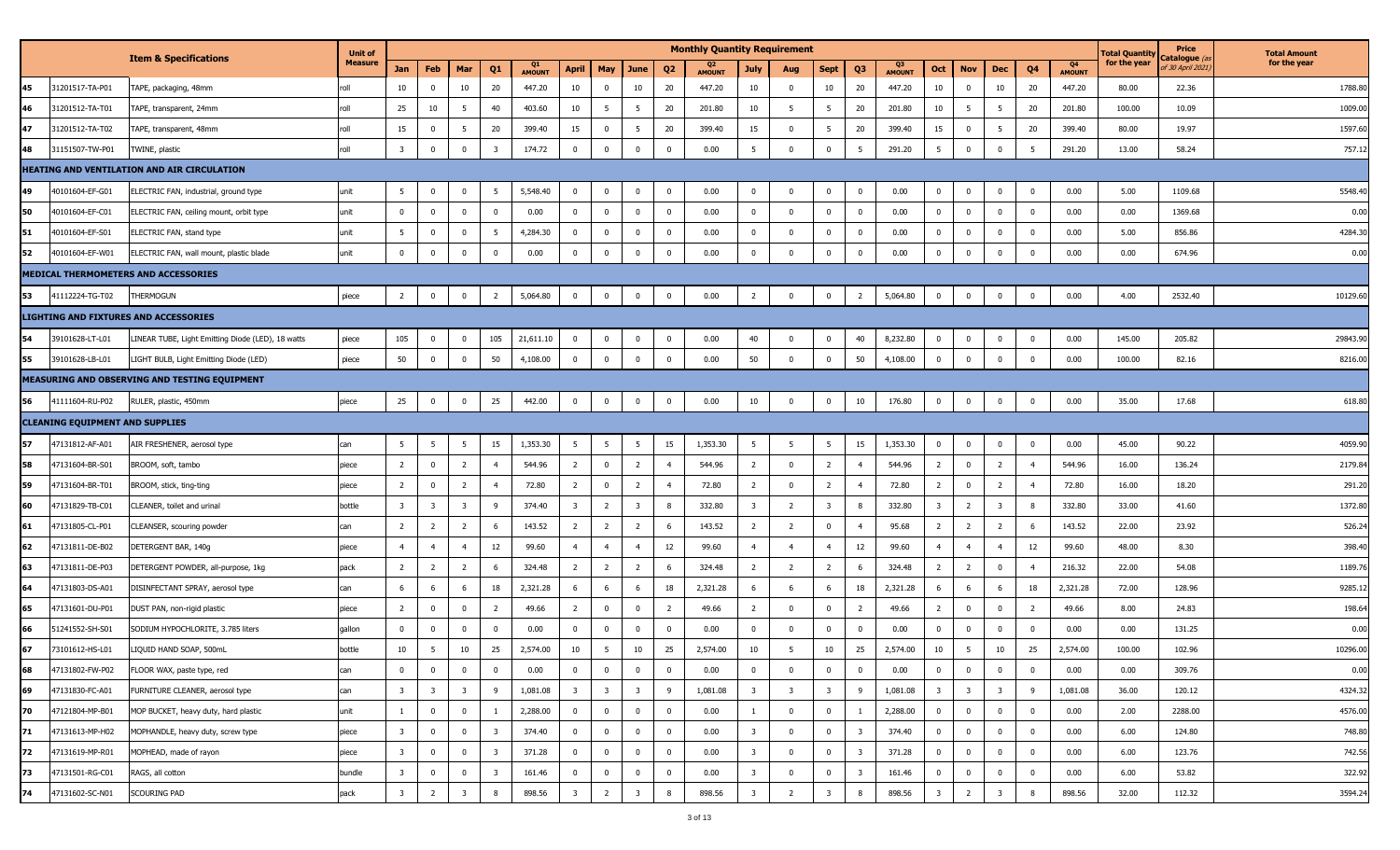|    |                                        |                                                    | <b>Unit of</b> |                         |                         |                         |                         |                     |                         |                         |                         |                | <b>Monthly Quantity Requirement</b> |                         |                         |                         |                         |                     |                         |                         |                         |                         |                     | <b>Total Quantity</b> | Price                                 | <b>Total Amount</b> |
|----|----------------------------------------|----------------------------------------------------|----------------|-------------------------|-------------------------|-------------------------|-------------------------|---------------------|-------------------------|-------------------------|-------------------------|----------------|-------------------------------------|-------------------------|-------------------------|-------------------------|-------------------------|---------------------|-------------------------|-------------------------|-------------------------|-------------------------|---------------------|-----------------------|---------------------------------------|---------------------|
|    |                                        | <b>Item &amp; Specifications</b>                   | <b>Measure</b> | Jan                     | Feb                     | Mar                     | Q1                      | Q1<br><b>AMOUNT</b> | April                   | <b>May</b>              | June                    | Q <sub>2</sub> | <b>AMOUNT</b>                       | July                    | Aug                     | Sept                    | Q3                      | Q3<br><b>AMOUNT</b> | Oct                     | <b>Nov</b>              | Dec                     | Q4                      | Q4<br><b>AMOUNT</b> | for the year          | :atalogue <i>(</i><br>f 30 April 2021 | for the year        |
| 45 | 31201517-TA-P01                        | TAPE, packaging, 48mm                              | roll           | 10                      | 0                       | 10                      | 20                      | 447.20              | 10                      | $\mathbf 0$             | 10                      | 20             | 447.20                              | 10                      | $^{\circ}$              | 10                      | 20                      | 447.20              | 10                      | $\mathbf{0}$            | 10                      | 20                      | 447.20              | 80.00                 | 22.36                                 | 1788.80             |
| 46 | 31201512-TA-T01                        | FAPE, transparent, 24mm                            | roll           | 25                      | 10                      | 5                       | 40                      | 403.60              | 10                      | $5\overline{5}$         | 5                       | 20             | 201.80                              | 10                      | - 5                     | 5                       | 20                      | 201.80              | 10                      | -5                      | $5\overline{5}$         | 20                      | 201.80              | 100.00                | 10.09                                 | 1009.00             |
| 47 | 31201512-TA-T02                        | FAPE, transparent, 48mm                            | roll           | 15                      | 0                       | 5                       | 20                      | 399.40              | 15                      | $\bf{0}$                | 5                       | 20             | 399.40                              | 15                      | $\Omega$                | 5                       | 20                      | 399.40              | 15                      | $\mathbf{0}$            | $5\overline{5}$         | 20                      | 399.40              | 80.00                 | 19.97                                 | 1597.60             |
| 48 | 31151507-TW-P01                        | TWINE, plastic                                     | roll           | $\overline{3}$          | $\overline{0}$          | $\mathbf 0$             | $\overline{\mathbf{3}}$ | 174.72              | $\mathbf 0$             | $\bf{0}$                | $\mathbf 0$             | $\mathbf{0}$   | 0.00                                | 5                       | $\mathbf{0}$            | $\mathbf 0$             | 5                       | 291.20              | 5                       | $\mathbf 0$             | $\overline{0}$          | 5                       | 291.20              | 13.00                 | 58.24                                 | 757.12              |
|    |                                        | <b>HEATING AND VENTILATION AND AIR CIRCULATION</b> |                |                         |                         |                         |                         |                     |                         |                         |                         |                |                                     |                         |                         |                         |                         |                     |                         |                         |                         |                         |                     |                       |                                       |                     |
| 49 | 40101604-EF-G01                        | ELECTRIC FAN, industrial, ground type              | unit           | 5                       | $\overline{0}$          | $\mathbf 0$             | 5                       | 5,548.40            | $\bf{0}$                | $\bf{0}$                | $\overline{0}$          | $\mathbf{0}$   | 0.00                                | $\mathbf 0$             | $\overline{0}$          | $\mathbf 0$             | $\overline{0}$          | 0.00                | $\mathbf{0}$            | $\bf{0}$                | $\overline{0}$          | $\overline{0}$          | 0.00                | 5.00                  | 1109.68                               | 5548.40             |
| 50 | 40101604-EF-C01                        | ELECTRIC FAN, ceiling mount, orbit type            | unit           | $\Omega$                | $\overline{0}$          | $\mathbf 0$             | $\mathbf 0$             | 0.00                | $\bf{0}$                | $\bf{0}$                | $\overline{0}$          | $\mathbf 0$    | 0.00                                | $\mathbf 0$             | $\mathbf 0$             | $\mathbf 0$             | $\mathbf 0$             | 0.00                | $\mathbf 0$             | $\mathbf 0$             | $\overline{0}$          | $\overline{0}$          | 0.00                | 0.00                  | 1369.68                               | 0.00                |
| 51 | 40101604-EF-S01                        | ELECTRIC FAN, stand type                           | unit           | -5                      | 0                       | $\mathbf 0$             | 5                       | 4,284.30            | $\mathbf 0$             | $\bf{0}$                | $\mathbf 0$             | $^{\circ}$     | 0.00                                | $^{\circ}$              | $\overline{0}$          | $\Omega$                | $\Omega$                | 0.00                | $\mathbf 0$             | $\mathbf{0}$            | $\mathbf 0$             | $\mathbf{0}$            | 0.00                | 5.00                  | 856.86                                | 4284.30             |
| 52 | 40101604-EF-W01                        | ELECTRIC FAN, wall mount, plastic blade            | unit           | $\mathbf{0}$            | $\mathbf 0$             | $\pmb{0}$               | $\mathbf 0$             | 0.00                | $\overline{0}$          | $\mathbf 0$             | $\mathbf 0$             | $^{\circ}$     | 0.00                                | $\mathbf 0$             | $\mathbf 0$             | $\overline{0}$          | $\Omega$                | 0.00                | $\mathbf{0}$            | $\mathbf 0$             | $\overline{0}$          | $\Omega$                | 0.00                | 0.00                  | 674.96                                | 0.00                |
|    |                                        | MEDICAL THERMOMETERS AND ACCESSORIES               |                |                         |                         |                         |                         |                     |                         |                         |                         |                |                                     |                         |                         |                         |                         |                     |                         |                         |                         |                         |                     |                       |                                       |                     |
| 53 | 41112224-TG-T02                        | <b>HERMOGUN</b>                                    | piece          | $\overline{2}$          | $\mathbf 0$             | $\mathbf 0$             | $\overline{2}$          | 5,064.80            | $\mathbf{0}$            | $\bf{0}$                | $\mathbf 0$             | 0              | 0.00                                | $\overline{2}$          | $\mathbf 0$             | $\mathbf 0$             | $\overline{2}$          | 5,064.80            | $\mathbf 0$             | $\bf{0}$                | $\overline{0}$          | $\overline{0}$          | 0.00                | 4.00                  | 2532.40                               | 10129.60            |
|    |                                        | <b>LIGHTING AND FIXTURES AND ACCESSORIES</b>       |                |                         |                         |                         |                         |                     |                         |                         |                         |                |                                     |                         |                         |                         |                         |                     |                         |                         |                         |                         |                     |                       |                                       |                     |
| 54 | 39101628-LT-L01                        | LINEAR TUBE, Light Emitting Diode (LED), 18 watts  | piece          | 105                     | 0                       | $\mathbf 0$             | 105                     | 21,611.10           | $\bf{0}$                | $\bf{0}$                | 0                       | $\mathbf{0}$   | 0.00                                | 40                      | $\mathbf 0$             | $\mathbf 0$             | 40                      | 8,232.80            | $\bf{0}$                | $\mathbf 0$             | $\mathbf 0$             | $\overline{0}$          | 0.00                | 145.00                | 205.82                                | 29843.90            |
| 55 | 39101628-LB-L01                        | LIGHT BULB, Light Emitting Diode (LED)             | piece          | 50                      | $\overline{0}$          | $\mathbf 0$             | 50                      | 4,108.00            | $\bf{0}$                | $\mathbf 0$             | $\mathbf 0$             | $\mathbf{0}$   | 0.00                                | 50                      | $\mathbf 0$             | $\mathbf 0$             | 50                      | 4,108.00            | $\bf{0}$                | $\bf{0}$                | $\overline{0}$          | $\overline{0}$          | 0.00                | 100.00                | 82.16                                 | 8216.00             |
|    |                                        | MEASURING AND OBSERVING AND TESTING EQUIPMENT      |                |                         |                         |                         |                         |                     |                         |                         |                         |                |                                     |                         |                         |                         |                         |                     |                         |                         |                         |                         |                     |                       |                                       |                     |
| 56 | 41111604-RU-P02                        | RULER, plastic, 450mm                              | piece          | 25                      | $\overline{\mathbf{0}}$ | $\mathbf 0$             | 25                      | 442.00              | $\bf{0}$                | $\pmb{0}$               | $\overline{0}$          | $\mathbf{0}$   | 0.00                                | 10                      | $\mathbf 0$             | $\overline{0}$          | 10                      | 176.80              | $\overline{0}$          | $\bf{0}$                | $\overline{0}$          | $\mathbf 0$             | 0.00                | 35.00                 | 17.68                                 | 618.80              |
|    | <b>CLEANING EQUIPMENT AND SUPPLIES</b> |                                                    |                |                         |                         |                         |                         |                     |                         |                         |                         |                |                                     |                         |                         |                         |                         |                     |                         |                         |                         |                         |                     |                       |                                       |                     |
| 57 | 47131812-AF-A01                        | AIR FRESHENER, aerosol type                        | can            | 5                       | 5                       | 5                       | 15                      | 1,353.30            | - 5                     | 5                       | 5                       | 15             | 1,353.30                            | 5                       | - 5                     | 5                       | 15                      | 1,353.30            | $\mathbf 0$             | 0                       | $\overline{0}$          | $\overline{0}$          | 0.00                | 45.00                 | 90.22                                 | 4059.90             |
| 58 | 47131604-BR-S01                        | BROOM, soft, tambo                                 | piece          | $\overline{2}$          | $\overline{0}$          | $\overline{2}$          | $\overline{4}$          | 544.96              | $\overline{2}$          | $\bf{0}$                | $\overline{2}$          | $\overline{4}$ | 544.96                              | $\overline{2}$          | $\mathbf 0$             | $\overline{2}$          | $\overline{4}$          | 544.96              | $\overline{2}$          | $\mathbf 0$             | $\overline{2}$          | $\overline{4}$          | 544.96              | 16.00                 | 136.24                                | 2179.84             |
| 59 | 47131604-BR-T01                        | BROOM, stick, ting-ting                            | piece          | $\overline{2}$          | $\overline{\mathbf{0}}$ | $\overline{2}$          | $\overline{4}$          | 72.80               | $\overline{2}$          | $\bf{0}$                | $\overline{2}$          |                | 72.80                               | $\overline{2}$          | $\mathbf 0$             | $\overline{2}$          |                         | 72.80               | $\overline{2}$          | $\mathbf 0$             | $\overline{2}$          | $\overline{4}$          | 72.80               | 16.00                 | 18.20                                 | 291.20              |
| 60 | 47131829-TB-C01                        | CLEANER, toilet and urinal                         | bottle         | $\overline{3}$          | $\overline{\mathbf{3}}$ | 3                       | 9                       | 374.40              | $\overline{\mathbf{3}}$ | $\overline{2}$          | 3                       | 8              | 332.80                              | $\overline{3}$          | $\overline{2}$          | $\overline{\mathbf{3}}$ |                         | 332.80              | $\overline{\mathbf{3}}$ | 2                       | 3                       | 8                       | 332.80              | 33.00                 | 41.60                                 | 1372.80             |
| 61 | 47131805-CL-P01                        | CLEANSER, scouring powder                          | can            | $\overline{2}$          | $\overline{2}$          | 2                       | 6                       | 143.52              | $\overline{2}$          | $\overline{2}$          | $\overline{2}$          | 6              | 143.52                              | $\overline{2}$          | $\overline{2}$          | $\mathbf 0$             | $\overline{4}$          | 95.68               | $\overline{2}$          | $\overline{2}$          | $\overline{2}$          | 6                       | 143.52              | 22.00                 | 23.92                                 | 526.24              |
| 62 | 47131811-DE-B02                        | DETERGENT BAR, 140g                                | piece          | $\overline{4}$          | $\overline{4}$          | $\overline{4}$          | 12                      | 99.60               | $\overline{4}$          | $\overline{4}$          | $\overline{4}$          | 12             | 99.60                               | $\overline{4}$          | $\overline{4}$          | $\overline{4}$          | 12                      | 99.60               | $\overline{4}$          | $\overline{4}$          | $\overline{4}$          | 12                      | 99.60               | 48.00                 | 8.30                                  | 398.40              |
| 63 | 47131811-DE-P03                        | DETERGENT POWDER, all-purpose, 1kg                 | pack           | $\overline{2}$          | $\overline{2}$          | 2                       | 6                       | 324.48              | $\overline{2}$          | $\overline{2}$          | $\overline{2}$          | 6              | 324.48                              | $\overline{2}$          | 2                       | $\overline{2}$          | -6                      | 324.48              | $\overline{2}$          | $\overline{2}$          | $\overline{0}$          | $\overline{a}$          | 216.32              | 22.00                 | 54.08                                 | 1189.76             |
| 64 | 47131803-DS-A01                        | DISINFECTANT SPRAY, aerosol type                   | can            | 6                       | 6                       | 6                       | 18                      | 2,321.28            | 6                       | 6                       | 6                       | 18             | 2,321.28                            | 6                       | 6                       | 6                       | 18                      | 2,321.28            | 6                       | 6                       | 6                       | 18                      | 2,321.28            | 72.00                 | 128.96                                | 9285.1              |
| 65 | 47131601-DU-P01                        | DUST PAN, non-rigid plastic                        | piece          | $\overline{2}$          | $\mathbf 0$             | $\mathbf 0$             | $\overline{2}$          | 49.66               | $\overline{2}$          | $\bf{0}$                | $\overline{0}$          | $\overline{2}$ | 49.66                               | $\overline{2}$          | $\mathbf 0$             | $\mathbf 0$             | $\overline{2}$          | 49.66               | $\overline{2}$          | $\overline{0}$          | $\overline{0}$          | $\overline{2}$          | 49.66               | 8.00                  | 24.83                                 | 198.64              |
| 66 | 51241552-SH-S01                        | SODIUM HYPOCHLORITE, 3.785 liters                  | gallon         | $\mathbf 0$             | $\mathbf{0}$            | $\mathbf 0$             | $\mathbf 0$             | 0.00                | $\bf{0}$                | $\bf{0}$                | $\overline{0}$          | $\mathbf 0$    | 0.00                                | $\mathbf 0$             | $\Omega$                | $\mathbf 0$             | $\Omega$                | 0.00                | $\mathbf 0$             | $\mathbf 0$             | $\overline{0}$          | $\overline{0}$          | 0.00                | 0.00                  | 131.25                                | 0.00                |
| 67 | 73101612-HS-L01                        | LIQUID HAND SOAP, 500mL                            | bottle         | 10                      | -5                      | 10                      | 25                      | 2,574.00            | 10                      | 5                       | 10                      | 25             | 2,574.00                            | 10                      | -5                      | 10                      | 25                      | 2,574.00            | 10                      | -5                      | 10                      | 25                      | 2,574.00            | 100.00                | 102.96                                | 10296.00            |
| 68 | 47131802-FW-P02                        | FLOOR WAX, paste type, red                         | can            | $\mathbf 0$             | $\overline{0}$          | $\bf{0}$                | $\mathbf 0$             | 0.00                | $\mathbf 0$             | $\bf{0}$                | $\overline{0}$          | $\mathbf 0$    | 0.00                                | $\mathbf 0$             | $\mathbf{0}$            | $\mathbf 0$             | $\mathbf 0$             | 0.00                | $\mathbf 0$             | $\mathbf 0$             | $\overline{0}$          | $\overline{0}$          | 0.00                | 0.00                  | 309.76                                | 0.00                |
| 69 | 47131830-FC-A01                        | FURNITURE CLEANER, aerosol type                    | can            | $\overline{\mathbf{3}}$ | $\overline{\mathbf{3}}$ | $\overline{\mathbf{3}}$ | 9                       | 1,081.08            | $\overline{\mathbf{3}}$ | $\overline{\mathbf{3}}$ | $\overline{\mathbf{3}}$ | 9              | 1,081.08                            | $\overline{\mathbf{3}}$ | $\overline{\mathbf{3}}$ | $\overline{\mathbf{3}}$ | 9                       | 1,081.08            | $\overline{\mathbf{3}}$ | $\overline{\mathbf{3}}$ | $\overline{\mathbf{3}}$ | 9                       | 1,081.08            | 36.00                 | 120.12                                | 4324.32             |
| 70 | 47121804-MP-B01                        | MOP BUCKET, heavy duty, hard plastic               | unit           | $\mathbf{1}$            | $\overline{0}$          | $\overline{0}$          | $\mathbf{1}$            | 2,288.00            | $\bf{0}$                | $\overline{0}$          | $\overline{0}$          | $\mathbf 0$    | 0.00                                |                         | $\mathbf{0}$            | $\mathbf 0$             | -1                      | 2,288.00            | $\overline{0}$          | $\overline{0}$          | $\overline{0}$          | $\overline{0}$          | 0.00                | 2.00                  | 2288.00                               | 4576.00             |
| 71 | 47131613-MP-H02                        | MOPHANDLE, heavy duty, screw type                  | piece          | $\overline{\mathbf{3}}$ | $\overline{0}$          | $\bf{0}$                | $\overline{\mathbf{3}}$ | 374.40              | $\bf{0}$                | $\bf{0}$                | $\mathbf 0$             | $\overline{0}$ | 0.00                                | $\overline{\mathbf{3}}$ | $\mathbf 0$             | $\overline{0}$          | $\overline{\mathbf{3}}$ | 374.40              | $\bf{0}$                | $\bf{0}$                | $\overline{0}$          | $\overline{0}$          | 0.00                | 6.00                  | 124.80                                | 748.80              |
| 72 | 47131619-MP-R01                        | MOPHEAD, made of rayon                             | piece          | $\overline{\mathbf{3}}$ | $\mathbf 0$             | $\mathbf 0$             | $\overline{\mathbf{3}}$ | 371.28              | $\bf{0}$                | $\overline{0}$          | $\overline{0}$          | $\mathbf{0}$   | 0.00                                | $\overline{\mathbf{3}}$ | $\bf{0}$                | $\mathbf 0$             | $\overline{\mathbf{3}}$ | 371.28              | $\overline{0}$          | $\bf{0}$                | $\overline{0}$          | $\overline{\mathbf{0}}$ | 0.00                | 6.00                  | 123.76                                | 742.56              |
| 73 | 47131501-RG-C01                        | RAGS, all cotton                                   | bundle         | $\overline{\mathbf{3}}$ | $\overline{\mathbf{0}}$ | $\mathbf 0$             | $\overline{\mathbf{3}}$ | 161.46              | $\mathbf{0}$            | $\mathbf 0$             | $\mathbf 0$             | $\mathbf{0}$   | 0.00                                | 3                       | $\mathbf 0$             | $\overline{0}$          | $\overline{\mathbf{3}}$ | 161.46              | 0                       | $\mathbf 0$             | $\overline{0}$          | $\overline{\mathbf{0}}$ | 0.00                | 6.00                  | 53.82                                 | 322.92              |
| 74 | 47131602-SC-N01                        | Scouring Pad                                       | pack           | $\overline{\mathbf{3}}$ | $\overline{2}$          | $\overline{\mathbf{3}}$ | 8                       | 898.56              | $\overline{\mathbf{3}}$ | $\overline{2}$          | $\overline{\mathbf{3}}$ | 8              | 898.56                              | $\overline{\mathbf{3}}$ | $\overline{2}$          | $\overline{\mathbf{3}}$ | 8                       | 898.56              | $\overline{\mathbf{3}}$ | $\overline{2}$          | $\overline{\mathbf{3}}$ | 8                       | 898.56              | 32.00                 | 112.32                                | 3594.24             |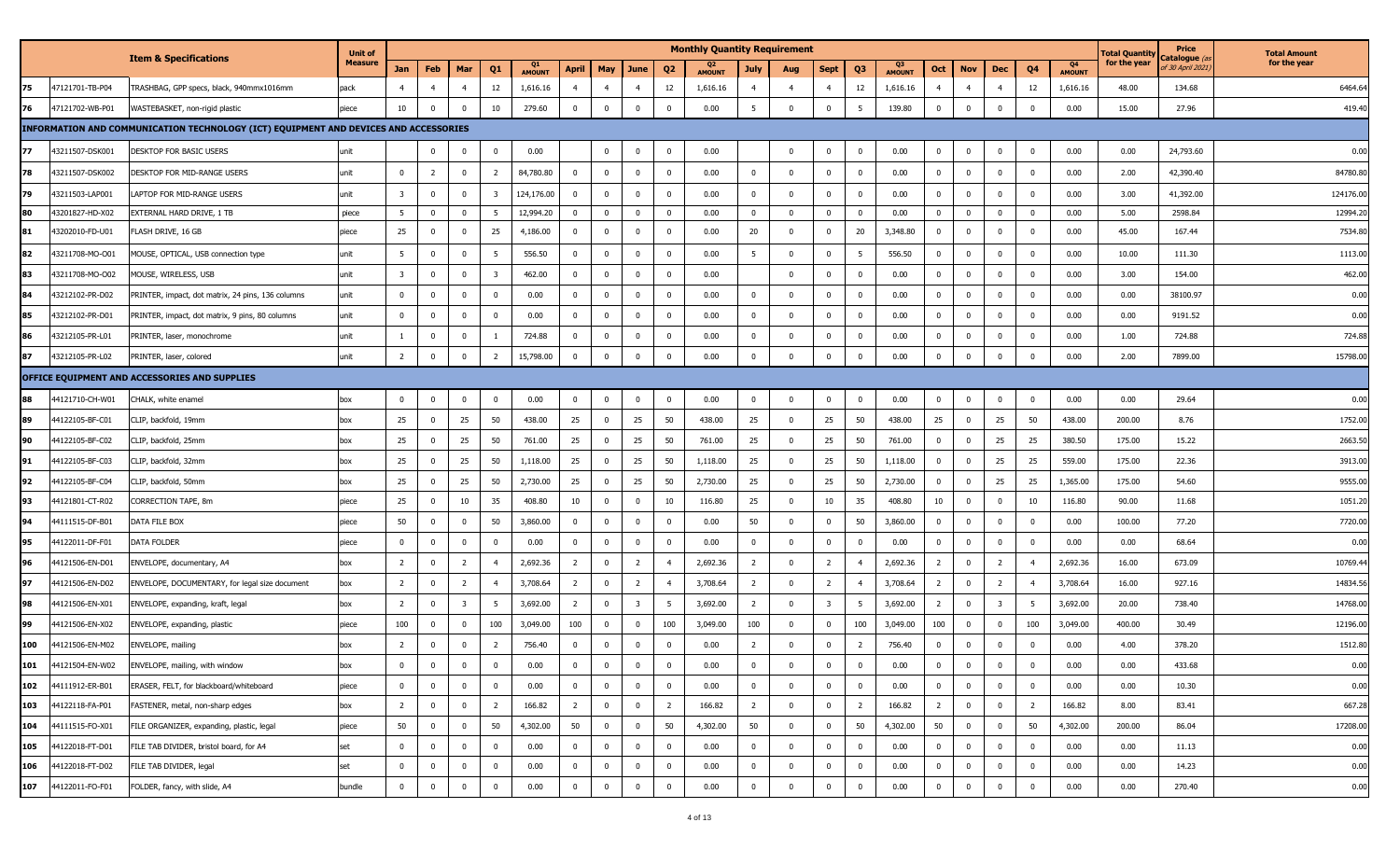|     |                 |                                                                                      | <b>Unit of</b> |                         |                |                |                         |                     |                |                |                         |                | <b>Monthly Quantity Requirement</b> |                |                |                         |                |                                 |                |                |                         |                         |                     | <b>Total Quantity</b> | Price                                   | <b>Total Amount</b> |
|-----|-----------------|--------------------------------------------------------------------------------------|----------------|-------------------------|----------------|----------------|-------------------------|---------------------|----------------|----------------|-------------------------|----------------|-------------------------------------|----------------|----------------|-------------------------|----------------|---------------------------------|----------------|----------------|-------------------------|-------------------------|---------------------|-----------------------|-----------------------------------------|---------------------|
|     |                 | <b>Item &amp; Specifications</b>                                                     | <b>Measure</b> | Jan                     | Feb            | Mar            | Q1                      | Q1<br><b>AMOUNT</b> | April          | <b>May</b>     | June                    | Q2             | <b>AMOUNT</b>                       | July           | Aug            | Sept                    | Q3             | Q <sub>3</sub><br><b>AMOUNT</b> | Oct            | <b>Nov</b>     | Dec                     | Q4                      | Q4<br><b>AMOUNT</b> | for the year          | C <b>atalogue</b> (a<br>f 30 April 2021 | for the year        |
| 75  | 47121701-TB-P04 | TRASHBAG, GPP specs, black, 940mmx1016mm                                             | pack           | $\overline{4}$          | $\overline{4}$ | $\overline{4}$ | 12                      | 1,616.16            | $\overline{4}$ | $\overline{4}$ | $\overline{4}$          | 12             | 1,616.16                            | $\overline{4}$ | $\overline{4}$ | $\overline{4}$          | 12             | 1,616.16                        | $\overline{4}$ | $\overline{4}$ | $\overline{4}$          | 12                      | 1,616.16            | 48.00                 | 134.68                                  | 6464.64             |
| 76  | 47121702-WB-P01 | WASTEBASKET, non-rigid plastic                                                       | piece          | 10                      | $\bf{0}$       | $\mathbf 0$    | 10                      | 279.60              | $\bf{0}$       | $\mathbf 0$    | $\mathbf 0$             | $\mathbf 0$    | 0.00                                | 5              | $\mathbf 0$    | $\mathbf{0}$            | 5              | 139.80                          | $\mathbf 0$    | $\mathbf 0$    | $\mathbf{0}$            | $\overline{0}$          | 0.00                | 15.00                 | 27.96                                   | 419.40              |
|     |                 | INFORMATION AND COMMUNICATION TECHNOLOGY (ICT) EQUIPMENT AND DEVICES AND ACCESSORIES |                |                         |                |                |                         |                     |                |                |                         |                |                                     |                |                |                         |                |                                 |                |                |                         |                         |                     |                       |                                         |                     |
| 77  | 43211507-DSK001 | DESKTOP FOR BASIC USERS                                                              | unit           |                         | $\bf{0}$       | $\mathbf 0$    | $\bf{0}$                | 0.00                |                | $\mathbf 0$    | $\bf{0}$                | $\mathbf 0$    | 0.00                                |                | $\overline{0}$ | $\bf{0}$                | $\mathbf 0$    | 0.00                            | $\bf{0}$       | $\overline{0}$ | $\bf{0}$                | $\overline{0}$          | 0.00                | 0.00                  | 24,793.60                               | 0.00                |
| 78  | 43211507-DSK002 | DESKTOP FOR MID-RANGE USERS                                                          | unit           | $\mathbf 0$             | $\overline{2}$ | 0              | $\overline{2}$          | 84,780.80           | $\mathbf 0$    | $\overline{0}$ | $\mathbf 0$             | 0              | 0.00                                | 0              | 0              | $\mathbf{0}$            | $\mathbf 0$    | 0.00                            | $\mathbf 0$    | $\mathbf 0$    | $\mathbf 0$             | $\overline{0}$          | 0.00                | 2.00                  | 42,390.40                               | 84780.80            |
| 79  | 43211503-LAP001 | LAPTOP FOR MID-RANGE USERS                                                           | unit           | $\overline{\mathbf{3}}$ | $\bf{0}$       | $\mathbf 0$    | $\overline{\mathbf{3}}$ | 124,176.00          | $\mathbf 0$    | $\mathbf 0$    | $\overline{0}$          | 0              | 0.00                                | $\overline{0}$ | $\mathbf{0}$   | $\mathbf{0}$            | $\mathbf 0$    | 0.00                            | $\bf{0}$       | $\mathbf 0$    | $\bf{0}$                | $\overline{0}$          | 0.00                | 3.00                  | 41,392.00                               | 124176.00           |
| 80  | 43201827-HD-X02 | EXTERNAL HARD DRIVE, 1 TB                                                            | piece          | 5 <sup>5</sup>          | $\mathbf 0$    | $\mathbf 0$    | $5\overline{5}$         | 12,994.20           | $\mathbf{0}$   | $\mathbf 0$    | $\overline{0}$          | $\mathbf 0$    | 0.00                                | $\overline{0}$ | $\mathbf 0$    | $\mathbf{0}$            | $\mathbf{0}$   | 0.00                            | $\overline{0}$ | $\Omega$       | $\bf{0}$                | $\overline{0}$          | 0.00                | 5.00                  | 2598.84                                 | 12994.20            |
| 81  | 43202010-FD-U01 | FLASH DRIVE, 16 GB                                                                   | piece          | 25                      | $\bf{0}$       | $\mathbf 0$    | 25                      | 4,186.00            | $\mathbf 0$    | $\mathbf 0$    | $\mathbf 0$             | 0              | 0.00                                | 20             | $\Omega$       | $\mathbf{0}$            | 20             | 3,348.80                        | $^{\circ}$     | $\mathbf{0}$   | $\mathbf{0}$            | $\overline{0}$          | 0.00                | 45.00                 | 167.44                                  | 7534.80             |
| 82  | 43211708-MO-O01 | MOUSE, OPTICAL, USB connection type                                                  | unit           | 5                       | $\mathbf 0$    | $\mathbf 0$    | 5                       | 556.50              | $\mathbf 0$    | $\mathbf 0$    | $\mathbf{0}$            | 0              | 0.00                                | 5              | 0              | $\mathbf{0}$            | - 5            | 556.50                          | $\mathbf 0$    | $\mathbf 0$    | $\bf{0}$                | $\mathbf 0$             | 0.00                | 10.00                 | 111.30                                  | 1113.00             |
| 83  | 43211708-MO-O02 | MOUSE, WIRELESS, USB                                                                 | unit           | $\overline{3}$          | $\bf{0}$       | $\mathbf 0$    | $\overline{3}$          | 462.00              | $\overline{0}$ | $\overline{0}$ | $\mathbf 0$             | 0              | 0.00                                |                | $\mathbf 0$    | $\Omega$                | $\Omega$       | 0.00                            | $\bf{0}$       | $\Omega$       | $\mathbf 0$             | $\overline{0}$          | 0.00                | 3.00                  | 154.00                                  | 462.00              |
| 84  | 43212102-PR-D02 | PRINTER, impact, dot matrix, 24 pins, 136 columns                                    | unit           | $\mathbf 0$             | $\bf{0}$       | $\mathbf 0$    | $\mathbf 0$             | 0.00                | $\bf{0}$       | $\mathbf 0$    | $\bf{0}$                | $\mathbf 0$    | 0.00                                | $\overline{0}$ | $\mathbf 0$    | $\mathbf 0$             | $\mathbf 0$    | 0.00                            | $\bf{0}$       | $\mathbf 0$    | $\bf{0}$                | $\overline{0}$          | 0.00                | 0.00                  | 38100.97                                | 0.00                |
| 85  | 43212102-PR-D01 | PRINTER, impact, dot matrix, 9 pins, 80 columns                                      | unit           | $\mathbf{0}$            | $\bf{0}$       | $\mathbf 0$    | $\mathbf 0$             | 0.00                | $\mathbf 0$    | $\overline{0}$ | $\mathbf 0$             | 0              | 0.00                                | 0              | $\mathbf 0$    | $\mathbf 0$             | $\mathbf{0}$   | 0.00                            | $\mathbf 0$    | $\mathbf{0}$   | $\mathbf 0$             | $\overline{0}$          | 0.00                | 0.00                  | 9191.52                                 | 0.00                |
| 86  | 43212105-PR-L01 | PRINTER, laser, monochrome                                                           | unit           |                         | $\mathbf 0$    | $\mathbf 0$    |                         | 724.88              | $\mathbf 0$    | $\overline{0}$ | $\mathbf 0$             | 0              | 0.00                                | 0              | $\mathbf 0$    | $\mathbf 0$             | $^{\circ}$     | 0.00                            | 0              | $\mathbf 0$    | $\bf{0}$                | $\mathbf 0$             | 0.00                | 1.00                  | 724.88                                  | 724.88              |
| 87  | 43212105-PR-L02 | PRINTER, laser, colored                                                              | unit           | $\overline{2}$          | $\mathbf 0$    | $\mathbf 0$    | $\overline{2}$          | 15,798.00           | 0              | $\mathbf 0$    | $\Omega$                | 0              | 0.00                                | $\mathbf 0$    | $\Omega$       | $\mathbf{0}$            | $\Omega$       | 0.00                            | $\pmb{0}$      | $\Omega$       | $\Omega$                | $\Omega$                | 0.00                | 2.00                  | 7899.00                                 | 15798.00            |
|     |                 | OFFICE EQUIPMENT AND ACCESSORIES AND SUPPLIES                                        |                |                         |                |                |                         |                     |                |                |                         |                |                                     |                |                |                         |                |                                 |                |                |                         |                         |                     |                       |                                         |                     |
| 88  | 44121710-CH-W01 | CHALK, white enamel                                                                  | box            | $\mathbf 0$             | $\bf{0}$       | $\mathbf 0$    | $\mathbf 0$             | 0.00                | $\mathbf{0}$   | $\overline{0}$ | $\bf{0}$                | $^{\circ}$     | 0.00                                | $\overline{0}$ | $\mathbf 0$    | $\mathbf 0$             | $\mathbf 0$    | 0.00                            | $\bf{0}$       | $\mathbf{0}$   | $\bf{0}$                | $\overline{0}$          | 0.00                | 0.00                  | 29.64                                   | 0.00                |
| 89  | 44122105-BF-C01 | CLIP, backfold, 19mm                                                                 | box            | 25                      | $\bf{0}$       | 25             | 50                      | 438.00              | 25             | $\overline{0}$ | 25                      | 50             | 438.00                              | 25             | $\mathbf 0$    | 25                      | 50             | 438.00                          | 25             | $\mathbf{0}$   | 25                      | 50                      | 438.00              | 200.00                | 8.76                                    | 1752.00             |
| 90  | 44122105-BF-C02 | CLIP, backfold, 25mm                                                                 | box            | 25                      | $\bf{0}$       | 25             | 50                      | 761.00              | 25             | $\overline{0}$ | 25                      | 50             | 761.00                              | 25             | 0              | 25                      | 50             | 761.00                          | $\mathbf{0}$   | $\mathbf{0}$   | 25                      | 25                      | 380.50              | 175.00                | 15.22                                   | 2663.50             |
| 91  | 44122105-BF-C03 | CLIP, backfold, 32mm                                                                 | box            | 25                      | $\mathbf 0$    | 25             | 50                      | 1,118.00            | 25             | $\overline{0}$ | 25                      | 50             | 1,118.00                            | 25             | $\mathbf 0$    | 25                      | 50             | 1,118.00                        | 0              | $\mathbf{0}$   | 25                      | 25                      | 559.00              | 175.00                | 22.36                                   | 3913.00             |
| 92  | 44122105-BF-C04 | CLIP, backfold, 50mm                                                                 | box            | 25                      | $\mathbf 0$    | 25             | 50                      | 2,730.00            | 25             | 0              | 25                      | 50             | 2,730.00                            | 25             | 0              | 25                      | 50             | 2,730.00                        | 0              | $\Omega$       | 25                      | 25                      | 1,365.00            | 175.00                | 54.60                                   | 9555.00             |
| 93  | 44121801-CT-R02 | CORRECTION TAPE, 8m                                                                  | piece          | 25                      | $\mathbf 0$    | 10             | 35                      | 408.80              | 10             | $\overline{0}$ | $\bf{0}$                | 10             | 116.80                              | 25             | 0              | 10                      | 35             | 408.80                          | 10             | $\Omega$       | $\bf{0}$                | 10                      | 116.80              | 90.00                 | 11.68                                   | 1051.20             |
| 94  | 44111515-DF-B01 | DATA FILE BOX                                                                        | piece          | 50                      | $\mathbf 0$    | $\mathbf 0$    | 50                      | 3,860.00            | $\mathbf 0$    | $\mathbf 0$    | $\bf{0}$                | 0              | 0.00                                | 50             | $\mathbf 0$    | $\mathbf 0$             | 50             | 3,860.00                        | $\mathbf{0}$   | $\Omega$       | $\bf{0}$                | $\overline{0}$          | 0.00                | 100.00                | 77.20                                   | 7720.00             |
| 95  | 44122011-DF-F01 | DATA FOLDER                                                                          | piece          | $\mathbf{0}$            | $\mathbf 0$    | $\mathbf 0$    | $\mathbf 0$             | 0.00                | $\bf{0}$       | $\overline{0}$ | $\bf{0}$                | $\mathbf 0$    | 0.00                                | $\mathbf 0$    | $\Omega$       | $\overline{0}$          | $\Omega$       | 0.00                            | $\bf{0}$       | $\Omega$       | $\bf{0}$                | $\overline{0}$          | 0.00                | 0.00                  | 68.64                                   | 0.00                |
| 96  | 44121506-EN-D01 | ENVELOPE, documentary, A4                                                            | box            | $\overline{2}$          | $\mathbf 0$    | $\overline{2}$ | $\overline{4}$          | 2,692.36            | $\overline{2}$ | $\mathbf 0$    | $\overline{2}$          | $\overline{4}$ | 2,692.36                            | $\overline{2}$ | $\mathbf 0$    | $\overline{2}$          | $\overline{4}$ | 2,692.36                        | $\overline{2}$ | $\mathbf 0$    | $\overline{2}$          | $\overline{4}$          | 2,692.36            | 16.00                 | 673.09                                  | 10769.44            |
| 97  | 44121506-EN-D02 | ENVELOPE, DOCUMENTARY, for legal size document                                       | box            | $\overline{2}$          | $\mathbf 0$    | $\overline{2}$ | $\overline{4}$          | 3,708.64            | $\overline{2}$ | $\mathbf 0$    | $\overline{2}$          | $\overline{4}$ | 3,708.64                            | $\overline{2}$ | $\Omega$       | $\overline{2}$          | $\overline{a}$ | 3,708.64                        | $\overline{2}$ | $\Omega$       | $\overline{2}$          | $\overline{4}$          | 3,708.64            | 16.00                 | 927.16                                  | 14834.56            |
| 98  | 44121506-EN-X01 | ENVELOPE, expanding, kraft, legal                                                    | box            | $\overline{2}$          | $\bf{0}$       | -3             | $5\overline{5}$         | 3,692.00            | $\overline{2}$ | $\mathbf 0$    | $\overline{\mathbf{3}}$ | -5             | 3,692.00                            | $\overline{2}$ | $\mathbf 0$    | $\overline{\mathbf{3}}$ | - 5            | 3,692.00                        | $\overline{2}$ | $\mathbf 0$    | $\overline{\mathbf{3}}$ | - 5                     | 3,692.00            | 20.00                 | 738.40                                  | 14768.00            |
| 99  | 44121506-EN-X02 | ENVELOPE, expanding, plastic                                                         | piece          | 100                     | $\bf{0}$       | $\mathbf 0$    | 100                     | 3,049.00            | 100            | $\mathbf 0$    | $\mathbf{0}$            | 100            | 3,049.00                            | 100            | $\mathbf 0$    | $\Omega$                | 100            | 3,049.00                        | 100            | $\mathbf{0}$   | $\mathbf 0$             | 100                     | 3,049.00            | 400.00                | 30.49                                   | 12196.00            |
| 100 | 44121506-EN-M02 | ENVELOPE, mailing                                                                    | box            | 2                       | $\bf{0}$       | 0              | $\overline{2}$          | 756.40              | 0              | $\mathbf 0$    | $\mathbf 0$             | 0              | 0.00                                | $\overline{2}$ | $\mathbf 0$    | $\mathbf{0}$            | $\overline{2}$ | 756.40                          | 0              | $\mathbf{0}$   | $\bf{0}$                | $\mathbf 0$             | 0.00                | 4.00                  | 378.20                                  | 1512.80             |
| 101 | 44121504-EN-W02 | ENVELOPE, mailing, with window                                                       | box            | 0                       | 0              | 0              | 0                       | 0.00                | $\bf{0}$       | $\bf{0}$       | 0                       | 0              | 0.00                                | 0              | $\mathbf 0$    | $\bf{0}$                | $\mathbf 0$    | 0.00                            | 0              | $\mathbf 0$    | $\bf{0}$                | 0                       | 0.00                | 0.00                  | 433.68                                  | 0.00                |
| 102 | 44111912-ER-B01 | ERASER, FELT, for blackboard/whiteboard                                              | piece          | $\overline{0}$          | $\bf{0}$       | $\mathbf 0$    | $\overline{0}$          | 0.00                | $\mathbf 0$    | $\overline{0}$ | $\overline{0}$          | $\overline{0}$ | 0.00                                | $\bf{0}$       | $\mathbf 0$    | $\mathbf 0$             | $\mathbf 0$    | 0.00                            | $\mathbf 0$    | $\mathbf 0$    | $\overline{0}$          | $\overline{0}$          | 0.00                | 0.00                  | 10.30                                   | 0.00                |
| 103 | 44122118-FA-P01 | FASTENER, metal, non-sharp edges                                                     | box            | $\overline{2}$          | $\bf{0}$       | 0              | $\overline{2}$          | 166.82              | $\overline{2}$ | $\bf{0}$       | $\bf{0}$                | $\overline{2}$ | 166.82                              | $\overline{2}$ | $\mathbf 0$    | $\mathbf 0$             | $\overline{2}$ | 166.82                          | $\overline{2}$ | $\mathbf{0}$   | $\bf{0}$                | $\overline{2}$          | 166.82              | 8.00                  | 83.41                                   | 667.28              |
| 104 | 44111515-FO-X01 | FILE ORGANIZER, expanding, plastic, legal                                            | piece          | 50                      | $\bf{0}$       | $\bf{0}$       | 50                      | 4,302.00            | 50             | $\overline{0}$ | $\overline{0}$          | 50             | 4,302.00                            | 50             | $\mathbf 0$    | $\mathbf 0$             | 50             | 4,302.00                        | 50             | $\bf{0}$       | $\bf{0}$                | 50                      | 4,302.00            | 200.00                | 86.04                                   | 17208.00            |
| 105 | 44122018-FT-D01 | FILE TAB DIVIDER, bristol board, for A4                                              | set            | $\pmb{0}$               | $\bf{0}$       | $\mathbf 0$    | $\bf{0}$                | 0.00                | $\mathbf{0}$   | $\mathbf 0$    | $\overline{0}$          | $\mathbf 0$    | 0.00                                | $\overline{0}$ | $\mathbf 0$    | $\overline{0}$          | $\mathbf 0$    | 0.00                            | $\mathbf{0}$   | $\overline{0}$ | $\overline{0}$          | $\overline{0}$          | 0.00                | 0.00                  | 11.13                                   | 0.00                |
| 106 | 44122018-FT-D02 | FILE TAB DIVIDER, legal                                                              | set            | $\mathbf 0$             | $\bf{0}$       | $\mathbf 0$    | $\bf{0}$                | 0.00                | $\mathbf{0}$   | $\mathbf 0$    | $\mathbf 0$             | $\mathbf 0$    | 0.00                                | $\mathbf 0$    | $\mathbf 0$    | $\mathbf 0$             | $\mathbf{0}$   | 0.00                            | $\bf{0}$       | $\mathbf{0}$   | $\bf{0}$                | $\overline{0}$          | 0.00                | 0.00                  | 14.23                                   | 0.00                |
| 107 | 44122011-FO-F01 | FOLDER, fancy, with slide, A4                                                        | bundle         | $\overline{0}$          | $\mathbf 0$    | $\pmb{0}$      | $\overline{0}$          | 0.00                | $\mathbf 0$    | $\mathbf 0$    | $\mathbf 0$             | $\mathbf 0$    | 0.00                                | $\pmb{0}$      | $\mathbf 0$    | $\bf{0}$                | $\mathbf 0$    | 0.00                            | $\overline{0}$ | $\mathbf 0$    | $\mathbf 0$             | $\overline{\mathbf{0}}$ | 0.00                | 0.00                  | 270.40                                  | 0.00                |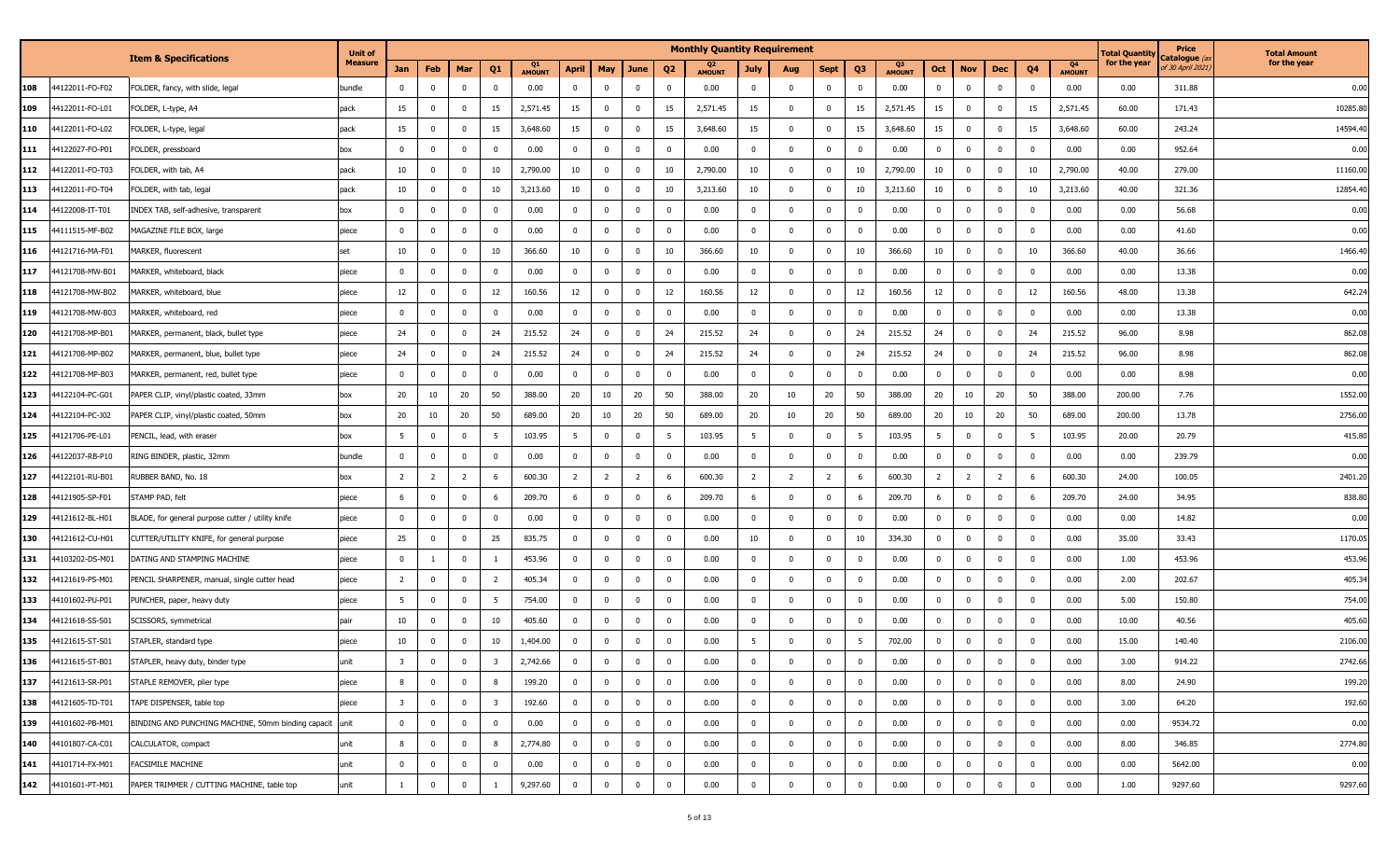|     |                 |                                                         | <b>Unit of</b> |                         |                         |                |                         |                     |                |                |                |                | <b>Monthly Quantity Requirement</b> |                |                         |                |                |                     |              |                |                |                |                     | <b>Total Quantity</b> | Price                                              | <b>Total Amount</b> |
|-----|-----------------|---------------------------------------------------------|----------------|-------------------------|-------------------------|----------------|-------------------------|---------------------|----------------|----------------|----------------|----------------|-------------------------------------|----------------|-------------------------|----------------|----------------|---------------------|--------------|----------------|----------------|----------------|---------------------|-----------------------|----------------------------------------------------|---------------------|
|     |                 | <b>Item &amp; Specifications</b>                        | <b>Measure</b> | <b>Jan</b>              | Feb                     | Mar            | Q <sub>1</sub>          | Q1<br><b>AMOUNT</b> | April          | May            | June           | Q <sub>2</sub> | Q2<br><b>AMOUNT</b>                 | <b>July</b>    | Aug                     | <b>Sept</b>    | Q <sub>3</sub> | Q3<br><b>AMOUNT</b> | Oct          | <b>Nov</b>     | <b>Dec</b>     | Q4             | Q4<br><b>AMOUNT</b> | for the year          | <b>atalogue</b> (a<br>f 30 April 2021 <sub>,</sub> | for the year        |
| 108 | 44122011-FO-F02 | FOLDER, fancy, with slide, legal                        | bundle         | 0                       | $\mathbf 0$             | $\mathbf 0$    | $\mathbf 0$             | 0.00                | $\mathbf{0}$   | $\bf{0}$       | $\mathbf 0$    | $\mathbf 0$    | 0.00                                | $\mathbf{0}$   | - 0                     | $^{\circ}$     | $\bf{0}$       | 0.00                | $\bf{0}$     | $\bf{0}$       | $\mathbf 0$    | 0              | 0.00                | 0.00                  | 311.88                                             | 0.00                |
| 109 | 44122011-FO-L01 | FOLDER, L-type, A4                                      | pack           | 15                      | $\overline{0}$          | $\mathbf 0$    | 15                      | 2,571.45            | 15             | $\mathbf 0$    | $\mathbf 0$    | 15             | 2,571.45                            | 15             | $\mathbf 0$             | $\mathbf 0$    | 15             | 2,571.45            | 15           | $\bf{0}$       | $\mathbf 0$    | 15             | 2,571.45            | 60.00                 | 171.43                                             | 10285.8             |
| 110 | 44122011-FO-L02 | FOLDER, L-type, legal                                   | pack           | 15                      | $\mathbf 0$             | $\mathbf 0$    | 15                      | 3,648.60            | 15             | $\overline{0}$ | $\mathbf{0}$   | 15             | 3,648.60                            | 15             | $\Omega$                | $\mathbf 0$    | 15             | 3,648.60            | 15           | $\bf{0}$       | $\mathbf 0$    | 15             | 3,648.60            | 60.00                 | 243.24                                             | 14594.4             |
| 111 | 4122027-FO-P01  | FOLDER, pressboard                                      | box            | 0                       | $\mathbf 0$             | $\mathbf{0}$   | $\mathbf 0$             | 0.00                | $\mathbf{0}$   | $\mathbf 0$    | $\bf{0}$       | $\mathbf{0}$   | 0.00                                | $\mathbf 0$    | $\Omega$                | $\Omega$       | $\mathbf 0$    | 0.00                | $^{\circ}$   | $\bf{0}$       | $\mathbf 0$    | $\Omega$       | 0.00                | 0.00                  | 952.64                                             | 0.00                |
| 112 | 44122011-FO-T03 | FOLDER, with tab, A4                                    | pack           | 10                      | $\mathbf 0$             | $\mathbf{0}$   | 10                      | 2,790.00            | 10             | $\mathbf 0$    | $\bf{0}$       | 10             | 2,790.00                            | 10             | $\Omega$                | $^{\circ}$     | 10             | 2,790.00            | 10           | $\bf{0}$       | $\mathbf{0}$   | 10             | 2,790.00            | 40.00                 | 279.00                                             | 11160.0             |
| 113 | 44122011-FO-T04 | FOLDER, with tab, legal                                 | pack           | 10                      | $\mathbf 0$             | $\mathbf 0$    | 10                      | 3,213.60            | 10             | $\overline{0}$ | $\bf{0}$       | 10             | 3,213.60                            | 10             | $\overline{\mathbf{0}}$ | $^{\circ}$     | 10             | 3,213.60            | 10           | $\bf{0}$       | $\mathbf 0$    | 10             | 3,213.60            | 40.00                 | 321.36                                             | 12854.4             |
| 114 | 44122008-IT-T01 | INDEX TAB, self-adhesive, transparent                   | box            | 0                       | $\mathbf 0$             | $\mathbf{0}$   | $\mathbf 0$             | 0.00                | $\mathbf 0$    | $\mathbf 0$    | $\bf{0}$       | 0              | 0.00                                | $\overline{0}$ | $\overline{\mathbf{0}}$ | $^{\circ}$     | $\mathbf 0$    | 0.00                | 0            | $\bf{0}$       | $\mathbf{0}$   | $\Omega$       | 0.00                | 0.00                  | 56.68                                              | 0.00                |
| 115 | 44111515-MF-B02 | MAGAZINE FILE BOX, large                                | piece          | 0                       | $\overline{0}$          | $\mathbf 0$    | $\mathbf 0$             | 0.00                | $\mathbf 0$    | $\mathbf 0$    | $\bf{0}$       | 0              | 0.00                                | $\overline{0}$ | 0                       | $^{\circ}$     | $\bf{0}$       | 0.00                | $\bf{0}$     | $\bf{0}$       | $\mathbf 0$    | $\mathbf{0}$   | 0.00                | 0.00                  | 41.60                                              | 0.00                |
| 116 | 44121716-MA-F01 | MARKER, fluorescent                                     | set            | 10                      | $\mathbf 0$             | $\bf{0}$       | 10                      | 366.60              | 10             | $\overline{0}$ | $\overline{0}$ | 10             | 366.60                              | 10             | $\overline{\mathbf{0}}$ | $^{\circ}$     | 10             | 366.60              | 10           | $\bf{0}$       | $\mathbf{0}$   | 10             | 366.60              | 40.00                 | 36.66                                              | 1466.40             |
| 117 | 44121708-MW-B01 | 4ARKER, whiteboard, black                               | piece          | $\mathbf 0$             | $\mathbf 0$             | $\mathbf{0}$   | $\overline{0}$          | 0.00                | $\mathbf{0}$   | 0              | $\mathbf 0$    | 0              | 0.00                                | $\mathbf 0$    | $\Omega$                | $^{\circ}$     | $\bf{0}$       | 0.00                | 0            | $\bf{0}$       | $\mathbf 0$    | $\Omega$       | 0.00                | 0.00                  | 13.38                                              | 0.00                |
| 118 | 44121708-MW-B02 | 4ARKER, whiteboard, blue                                | piece          | 12                      | 0                       | $\mathbf 0$    | 12                      | 160.56              | 12             | $\mathbf 0$    | $\pmb{0}$      | 12             | 160.56                              | 12             | 0                       |                | 12             | 160.56              | 12           | $\bf{0}$       | $\mathbf 0$    | 12             | 160.56              | 48.00                 | 13.38                                              | 642.24              |
| 119 | 44121708-MW-B03 | MARKER, whiteboard, red                                 | piece          | 0                       | $\mathbf 0$             | $\mathbf 0$    | $\mathbf 0$             | 0.00                | $\mathbf{0}$   | $\mathbf 0$    | $\mathbf 0$    | 0              | 0.00                                | 0              | - 0                     | $^{\circ}$     | $\mathbf 0$    | 0.00                | 0            | $\bf{0}$       | $\mathbf 0$    |                | 0.00                | 0.00                  | 13.38                                              | 0.00                |
| 120 | 44121708-MP-B01 | MARKER, permanent, black, bullet type                   | piece          | 24                      | $\overline{0}$          | $\mathbf 0$    | 24                      | 215.52              | 24             | $\mathbf 0$    | $\bf{0}$       | 24             | 215.52                              | 24             | 0                       | $^{\circ}$     | 24             | 215.52              | 24           | $\mathbf 0$    | $\mathbf 0$    | 24             | 215.52              | 96.00                 | 8.98                                               | 862.08              |
| 121 | 44121708-MP-B02 | MARKER, permanent, blue, bullet type                    | piece          | 24                      | $\overline{0}$          | $\mathbf{0}$   | 24                      | 215.52              | 24             | $\mathbf 0$    | $\bf{0}$       | 24             | 215.52                              | 24             | 0                       | $^{\circ}$     | 24             | 215.52              | 24           | $\bf{0}$       | $\mathbf 0$    | 24             | 215.52              | 96.00                 | 8.98                                               | 862.08              |
| 122 | 44121708-MP-B03 | MARKER, permanent, red, bullet type                     | piece          | $\mathbf 0$             | $\overline{0}$          | $\mathbf 0$    | $\mathbf 0$             | 0.00                | $\mathbf{0}$   | $\overline{0}$ | $\mathbf{0}$   | $\mathbf{0}$   | 0.00                                | $\overline{0}$ | $\mathbf 0$             | $\mathbf 0$    | $\mathbf 0$    | 0.00                | $\bf{0}$     | $\bf{0}$       | $\mathbf 0$    | $^{\circ}$     | 0.00                | 0.00                  | 8.98                                               | 0.00                |
| 123 | 44122104-PC-G01 | PAPER CLIP, vinyl/plastic coated, 33mm                  | box            | 20                      | 10                      | 20             | 50                      | 388.00              | 20             | 10             | 20             | 50             | 388.00                              | 20             | 10                      | 20             | 50             | 388.00              | 20           | 10             | 20             | 50             | 388.00              | 200.00                | 7.76                                               | 1552.00             |
| 124 | 14122104-PC-J02 | PAPER CLIP, vinyl/plastic coated, 50mm                  | box            | 20                      | 10                      | 20             | 50                      | 689.00              | 20             | 10             | 20             | 50             | 689.00                              | 20             | 10                      | 20             | 50             | 689.00              | 20           | 10             | 20             | 50             | 689.00              | 200.00                | 13.78                                              | 2756.0              |
| 125 | 44121706-PE-L01 | PENCIL, lead, with eraser                               | box            | 5                       | $\mathbf 0$             | $\mathbf 0$    | 5                       | 103.95              | 5              | $\mathbf 0$    | $\bf{0}$       | -5             | 103.95                              | 5              | $\overline{\mathbf{0}}$ | $^{\circ}$     | 5              | 103.95              | 5            | $\bf{0}$       | $\mathbf 0$    | -5             | 103.95              | 20.00                 | 20.79                                              | 415.80              |
| 126 | 44122037-RB-P10 | RING BINDER, plastic, 32mm                              | bundle         | $\mathbf 0$             | $\mathbf 0$             | $\mathbf 0$    | $\mathbf 0$             | 0.00                | $\mathbf 0$    | $\mathbf 0$    | $\mathbf 0$    | $\overline{0}$ | 0.00                                | $\overline{0}$ | $\overline{0}$          | $\mathbf 0$    | $\bf{0}$       | 0.00                | $\mathbf 0$  | $\bf{0}$       | $\mathbf 0$    | $\mathbf{0}$   | 0.00                | 0.00                  | 239.79                                             | 0.00                |
| 127 | 44122101-RU-B01 | RUBBER BAND, No. 18                                     | box            | $\overline{2}$          | $\overline{2}$          | $\overline{2}$ | 6                       | 600.30              | $\overline{2}$ | $\overline{2}$ | $\overline{2}$ | 6              | 600.30                              | $\overline{2}$ | $\overline{2}$          | $\overline{2}$ | - 6            | 600.30              | 2            | $\overline{2}$ | $\overline{2}$ | -6             | 600.30              | 24.00                 | 100.05                                             | 2401.20             |
| 128 | 44121905-SP-F01 | STAMP PAD, felt                                         | piece          | 6                       | $\mathbf 0$             | $\mathbf{0}$   | 6                       | 209.70              | 6              | $\overline{0}$ | $\mathbf 0$    | 6              | 209.70                              | 6              | 0                       | $^{\circ}$     | 6              | 209.70              | -6           | $\bf{0}$       | $\mathbf 0$    |                | 209.70              | 24.00                 | 34.95                                              | 838.80              |
| 129 | 44121612-BL-H01 | BLADE, for general purpose cutter / utility knife       | piece          | $\mathbf 0$             | $\mathbf 0$             | $\mathbf{0}$   | $\mathbf{0}$            | 0.00                | $\mathbf 0$    | $\overline{0}$ | $\mathbf 0$    | $\mathbf{0}$   | 0.00                                | $\overline{0}$ | $\overline{\mathbf{0}}$ | $^{\circ}$     | $\bf{0}$       | 0.00                | $^{\circ}$   | $\bf{0}$       | $\mathbf{0}$   | $\Omega$       | 0.00                | 0.00                  | 14.82                                              | 0.00                |
| 130 | 14121612-CU-H01 | CUTTER/UTILITY KNIFE, for general purpose               | piece          | 25                      | $\mathbf 0$             | $\mathbf{0}$   | 25                      | 835.75              | $\mathbf{0}$   | $\overline{0}$ | $\mathbf 0$    | 0              | 0.00                                | 10             | 0                       | $^{\circ}$     | 10             | 334.30              | $\bf{0}$     | $\bf{0}$       | $\mathbf{0}$   | $^{\circ}$     | 0.00                | 35.00                 | 33.43                                              | 1170.0              |
| 131 | 14103202-DS-M01 | DATING AND STAMPING MACHINE                             | piece          | $\Omega$                |                         | $\mathbf 0$    |                         | 453.96              | $\mathbf 0$    | $\mathbf 0$    | $\pmb{0}$      | $\mathbf{0}$   | 0.00                                | $\mathbf 0$    | $\mathbf{0}$            |                | $\mathbf 0$    | 0.00                | $^{\circ}$   | $\bf{0}$       | $\mathbf{0}$   | $\Omega$       | 0.00                | 1.00                  | 453.96                                             | 453.96              |
| 132 | 44121619-PS-M01 | PENCIL SHARPENER, manual, single cutter head            | piece          | $\overline{2}$          | $\mathbf 0$             | $\mathbf 0$    | $\overline{2}$          | 405.34              | 0              | $\mathbf 0$    | $\mathbf{0}$   | 0              | 0.00                                | 0              | - 0                     | $^{\circ}$     | 0              | 0.00                | 0            | $\bf{0}$       | $\mathbf 0$    |                | 0.00                | 2.00                  | 202.67                                             | 405.3               |
| 133 | 44101602-PU-P01 | PUNCHER, paper, heavy duty                              | piece          | 5                       | $\overline{0}$          | $\mathbf 0$    | 5                       | 754.00              | $\mathbf 0$    | $\overline{0}$ | $\mathbf 0$    | 0              | 0.00                                | $\mathbf 0$    | $\mathbf{0}$            | $\Omega$       | $\mathbf 0$    | 0.00                | $\mathbf 0$  | $\bf{0}$       | $\mathbf 0$    | $\Omega$       | 0.00                | 5.00                  | 150.80                                             | 754.0               |
| 134 | 44121618-SS-S01 | SCISSORS, symmetrical                                   | pair           | 10                      | $\overline{0}$          | $\mathbf{0}$   | 10                      | 405.60              | $\mathbf 0$    | $\mathbf 0$    | $\mathbf 0$    | $\overline{0}$ | 0.00                                | $\mathbf{0}$   | 0                       | $\mathbf 0$    | $\mathbf 0$    | 0.00                | $^{\circ}$   | $\bf{0}$       | $\mathbf 0$    | $\Omega$       | 0.00                | 10.00                 | 40.56                                              | 405.6               |
| 135 | 44121615-ST-S01 | STAPLER, standard type                                  | piece          | 10                      | $\mathbf 0$             | $\mathbf 0$    | 10                      | 1,404.00            | $\bf{0}$       | $\mathbf 0$    | $\mathbf 0$    | $\overline{0}$ | 0.00                                | 5              | $\mathbf{0}$            | $\mathbf 0$    | 5              | 702.00              | $\bf{0}$     | $\bf{0}$       | $\mathbf 0$    | $\Omega$       | 0.00                | 15.00                 | 140.40                                             | 2106.00             |
| 136 | 44121615-ST-B01 | STAPLER, heavy duty, binder type                        | unit           | د                       | 0                       | $\pmb{0}$      | $\overline{\mathbf{3}}$ | 2,742.66            | 0              | 0              | 0              | $\mathbf 0$    | $0.00\,$                            | 0              | 0                       |                | 0              | 0.00                | 0            | 0              | $\bf{0}$       |                | 0.00                | 3.00                  | 914.22                                             | 2742.66             |
| 137 | 44121613-SR-P01 | STAPLE REMOVER, plier type                              | piece          | 8                       | $\overline{0}$          | $\mathbf 0$    | 8                       | 199.20              | $\mathbf 0$    | $\overline{0}$ | $\overline{0}$ | $\overline{0}$ | 0.00                                | $\mathbf{0}$   | $\overline{0}$          | $\mathbf 0$    | $\overline{0}$ | 0.00                | $\mathbf{0}$ | $\overline{0}$ | $\overline{0}$ | $\overline{0}$ | 0.00                | 8.00                  | 24.90                                              | 199.20              |
| 138 | 44121605-TD-T01 | TAPE DISPENSER, table top                               | piece          | $\overline{\mathbf{3}}$ | $\bf{0}$                | $\bf{0}$       | $\overline{\mathbf{3}}$ | 192.60              | $\overline{0}$ | $\overline{0}$ | $\overline{0}$ | $\overline{0}$ | 0.00                                | $\mathbf 0$    | 0                       | $\mathbf{0}$   | $\bf{0}$       | 0.00                | $\mathbf{0}$ | $\bf{0}$       | $\overline{0}$ | $\mathbf 0$    | 0.00                | 3.00                  | 64.20                                              | 192.60              |
| 139 | 44101602-PB-M01 | BINDING AND PUNCHING MACHINE, 50mm binding capacit unit |                | $\overline{0}$          | $\bf{0}$                | $\bf{0}$       | $\overline{0}$          | 0.00                | $\bf{0}$       | $\mathbf 0$    | $\overline{0}$ | $\overline{0}$ | 0.00                                | $\mathbf 0$    | $\overline{\mathbf{0}}$ | $\mathbf{0}$   | $\bf{0}$       | 0.00                | $\bf{0}$     | $\overline{0}$ | $\bf{0}$       | $\mathbf 0$    | 0.00                | 0.00                  | 9534.72                                            | 0.00                |
| 140 | 44101807-CA-C01 | CALCULATOR, compact                                     | unit           | 8                       | $\bf{0}$                | $\overline{0}$ | 8                       | 2,774.80            | $\bf{0}$       | $\overline{0}$ | $\overline{0}$ | $\overline{0}$ | 0.00                                | $\overline{0}$ | $\overline{\mathbf{0}}$ | $\mathbf{0}$   | $\bf{0}$       | 0.00                | $\bf{0}$     | $\bf{0}$       | $\bf{0}$       | $\mathbf 0$    | 0.00                | 8.00                  | 346.85                                             | 2774.80             |
| 141 | 44101714-FX-M01 | FACSIMILE MACHINE                                       | unit           | $\mathbf 0$             | $\overline{0}$          | $\bf{0}$       | $\mathbf{0}$            | 0.00                | $\mathbf{0}$   | $\mathbf 0$    | $\mathbf 0$    | 0              | 0.00                                | 0              | 0                       | $\bf{0}$       | $\bf{0}$       | 0.00                | $\bf{0}$     | $\bf{0}$       | $\mathbf{0}$   | 0              | 0.00                | 0.00                  | 5642.00                                            | 0.00                |
| 142 | 44101601-PT-M01 | PAPER TRIMMER / CUTTING MACHINE, table top              | unit           |                         | $\overline{\mathbf{0}}$ | $\mathbf 0$    | -1                      | 9,297.60            | $\bf{0}$       | $\mathbf 0$    | $\overline{0}$ | $\mathbf 0$    | 0.00                                | $\mathbf 0$    | $\overline{0}$          | 0              | $\bf{0}$       | 0.00                | $\bf{0}$     | $\bf{0}$       | $\mathbf 0$    | $\Omega$       | 0.00                | 1.00                  | 9297.60                                            | 9297.60             |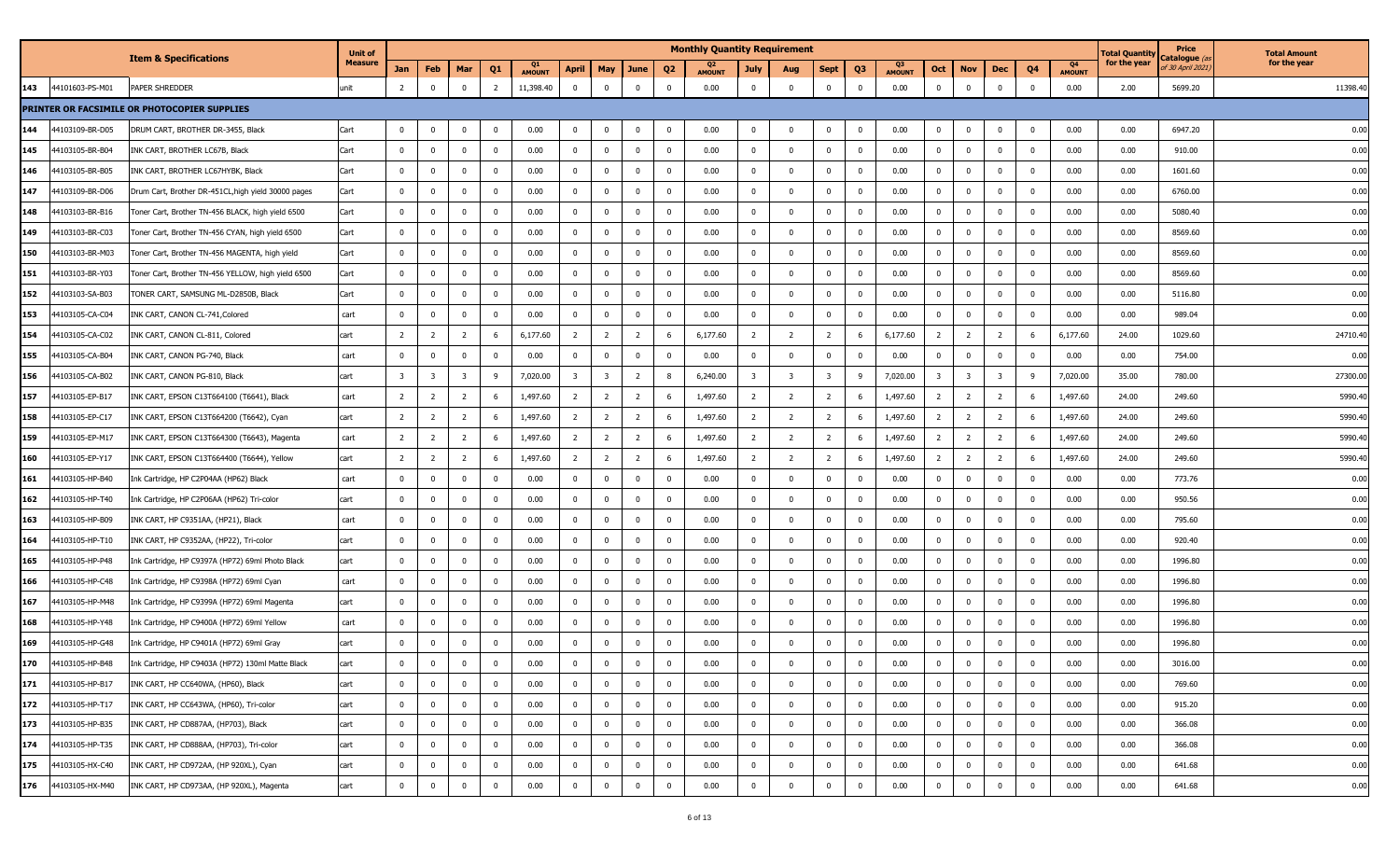|                        | <b>Item &amp; Specifications</b>                    | <b>Unit of</b> |                         |                |                |                |                     |                         |                         |                |                | <b>Monthly Quantity Requirement</b> |                |                |                |                |                     |                |                |                         |             |                     | Total Quantity | Price<br>Catalogue <i>(a</i> | <b>Total Amount</b> |
|------------------------|-----------------------------------------------------|----------------|-------------------------|----------------|----------------|----------------|---------------------|-------------------------|-------------------------|----------------|----------------|-------------------------------------|----------------|----------------|----------------|----------------|---------------------|----------------|----------------|-------------------------|-------------|---------------------|----------------|------------------------------|---------------------|
|                        |                                                     | <b>Measure</b> | Jan                     | Feb            | Mar            | Q <sub>1</sub> | Q1<br><b>AMOUNT</b> | April                   | May                     | June           | Q2             | <b>AMOUNT</b>                       | <b>July</b>    | Aug            | Sept           | Q <sub>3</sub> | Q3<br><b>AMOUNT</b> | Oct            | <b>Nov</b>     | Dec                     | Q4          | Q4<br><b>AMOUNT</b> | for the year   | f 30 April 2021,             | for the year        |
| 143<br>44101603-PS-M01 | PAPER SHREDDER                                      | unit           | 2                       | $\mathbf{0}$   | $\mathbf 0$    | $\overline{2}$ | 11,398.40           | $\mathbf 0$             | $\overline{\mathbf{0}}$ | $\mathbf 0$    | $\mathbf 0$    | 0.00                                | $\overline{0}$ | $\mathbf 0$    | $\mathbf 0$    | $\mathbf{0}$   | 0.00                | $\overline{0}$ | $\mathbf{0}$   | $\mathbf 0$             | $\Omega$    | 0.00                | 2.00           | 5699.20                      | 11398.40            |
|                        | PRINTER OR FACSIMILE OR PHOTOCOPIER SUPPLIES        |                |                         |                |                |                |                     |                         |                         |                |                |                                     |                |                |                |                |                     |                |                |                         |             |                     |                |                              |                     |
| 144<br>44103109-BR-D05 | DRUM CART, BROTHER DR-3455, Black                   | Cart           | $\Omega$                | $^{\circ}$     |                | $\overline{0}$ | 0.00                | $\mathbf 0$             | $\mathbf 0$             | $\mathbf 0$    | $\mathbf{0}$   | 0.00                                | $\Omega$       | $\Omega$       | $\mathbf 0$    | 0              | 0.00                | $\mathbf{0}$   | 0              | $\mathbf 0$             | - 0         | 0.00                | 0.00           | 6947.20                      | 0.00                |
| 145<br>44103105-BR-B04 | INK CART, BROTHER LC67B, Black                      | Cart           | $\Omega$                | $^{\circ}$     |                | $\mathbf 0$    | 0.00                | $\mathbf 0$             | $\overline{0}$          | $\mathbf 0$    | 0              | 0.00                                | $\Omega$       | $\Omega$       | $\mathbf 0$    | $\Omega$       | 0.00                | $\Omega$       | $\Omega$       | 0                       |             | 0.00                | 0.00           | 910.00                       | 0.00                |
| 146<br>44103105-BR-B05 | INK CART, BROTHER LC67HYBK, Black                   | Cart           | $\Omega$                | $^{\circ}$     | $\Omega$       | $\mathbf 0$    | 0.00                | $\mathbf 0$             | $\overline{\mathbf{0}}$ | $\mathbf 0$    | 0              | 0.00                                | $^{\circ}$     | $\Omega$       | $\mathbf 0$    | $\mathbf{0}$   | 0.00                | 0              | 0              | $\mathbf{0}$            | $\Omega$    | 0.00                | 0.00           | 1601.60                      | 0.00                |
| 147<br>44103109-BR-D06 | Drum Cart, Brother DR-451CL, high yield 30000 pages | Cart           | $\mathbf 0$             | $\Omega$       | $\Omega$       | $\mathbf 0$    | 0.00                | $\mathbf 0$             | $\mathbf 0$             | $\mathbf 0$    | $\mathbf{0}$   | 0.00                                | $\overline{0}$ | $\Omega$       | $\mathbf{0}$   | $\mathbf 0$    | 0.00                | $\mathbf 0$    | $\mathbf 0$    | $\mathbf{0}$            | $\Omega$    | 0.00                | 0.00           | 6760.00                      | 0.00                |
| 148<br>44103103-BR-B16 | Toner Cart, Brother TN-456 BLACK, high yield 6500   | Cart           | $\mathbf 0$             | $^{\circ}$     | $\mathbf 0$    | $\mathbf 0$    | 0.00                | $\bf{0}$                | $\overline{\mathbf{0}}$ | $\mathbf 0$    | $\overline{0}$ | 0.00                                | $\overline{0}$ | $\mathbf{0}$   | $\bf{0}$       | $\mathbf 0$    | 0.00                | $\mathbf{0}$   | $\mathbf{0}$   | $\bf{0}$                | $^{\circ}$  | 0.00                | 0.00           | 5080.40                      | 0.00                |
| 149<br>44103103-BR-C03 | Toner Cart, Brother TN-456 CYAN, high yield 6500    | Cart           | $\mathbf 0$             | $^{\circ}$     |                | $\mathbf 0$    | 0.00                | $\bf{0}$                | $\mathbf 0$             | 0              | 0              | 0.00                                | $\overline{0}$ | $\Omega$       | $\mathbf{0}$   | $\mathbf 0$    | 0.00                |                | $\mathbf 0$    | $\mathbf{0}$            |             | 0.00                | 0.00           | 8569.60                      | 0.00                |
| 150<br>44103103-BR-M03 | Toner Cart, Brother TN-456 MAGENTA, high yield      | Cart           | $\Omega$                | $^{\circ}$     | $\Omega$       | $\overline{0}$ | 0.00                | $\mathbf 0$             | $\overline{\mathbf{0}}$ | 0              | 0              | 0.00                                | $\Omega$       | 0              | $\mathbf 0$    | $\mathbf 0$    | 0.00                |                | 0              | $\mathbf 0$             |             | 0.00                | 0.00           | 8569.60                      | 0.00                |
| 151<br>44103103-BR-Y03 | Toner Cart, Brother TN-456 YELLOW, high yield 6500  | Cart           | $\mathbf 0$             | $^{\circ}$     | $\Omega$       | $\mathbf 0$    | 0.00                | $\mathbf 0$             | 0                       | 0              | 0              | 0.00                                | $^{\circ}$     | 0              | $\mathbf 0$    | 0              | 0.00                | 0              | 0              | $^{\circ}$              | $\Omega$    | 0.00                | 0.00           | 8569.60                      | 0.00                |
| 152<br>44103103-SA-B03 | TONER CART, SAMSUNG ML-D2850B, Black                | Cart           | $\Omega$                | $^{\circ}$     | $\Omega$       | $\mathbf 0$    | 0.00                | $\mathbf 0$             | $\overline{\mathbf{0}}$ | 0              | 0              | 0.00                                | $\Omega$       | 0              | $\mathbf{0}$   | $\mathbf 0$    | 0.00                | $\Omega$       | 0              | $\mathbf 0$             |             | 0.00                | 0.00           | 5116.80                      | 0.00                |
| 153<br>44103105-CA-C04 | INK CART, CANON CL-741, Colored                     | cart           | $\Omega$                | $^{\circ}$     |                | $\mathbf 0$    | 0.00                | $\mathbf 0$             | $\overline{0}$          | 0              | 0              | 0.00                                | $\Omega$       | 0              | $^{\circ}$     | 0              | 0.00                |                | $^{\circ}$     | $\mathbf 0$             | $\Omega$    | 0.00                | 0.00           | 989.04                       | 0.00                |
| 154<br>44103105-CA-C02 | INK CART, CANON CL-811, Colored                     | cart           | $\overline{2}$          | $\overline{2}$ | 2              | 6              | 6,177.60            | $\overline{2}$          | $\overline{2}$          | $\overline{2}$ |                | 6,177.60                            | 2              | $\overline{2}$ | 2              | 6              | 6,177.60            | -2             | $\overline{2}$ | $\overline{2}$          |             | 6,177.60            | 24.00          | 1029.60                      | 24710.40            |
| 155<br>44103105-CA-B04 | INK CART, CANON PG-740, Black                       | cart           | $\Omega$                | $^{\circ}$     |                | $\mathbf 0$    | 0.00                | $\mathbf 0$             | $\mathbf 0$             | $\mathbf 0$    |                | 0.00                                | $\Omega$       | $\Omega$       | $\mathbf{0}$   | $\mathbf{0}$   | 0.00                | $\Omega$       | $\mathbf{0}$   | $\mathbf 0$             |             | 0.00                | 0.00           | 754.00                       | 0.00                |
| 156<br>44103105-CA-B02 | INK CART, CANON PG-810, Black                       | cart           | $\overline{\mathbf{3}}$ | -3             | 3              | 9              | 7,020.00            | $\overline{\mathbf{3}}$ | $\overline{\mathbf{3}}$ | $\overline{2}$ | 8              | 6,240.00                            | 3              | -3             | 3              | 9              | 7,020.00            | 3              | 3              | $\overline{\mathbf{3}}$ |             | 7,020.00            | 35.00          | 780.00                       | 27300.00            |
| 157<br>44103105-EP-B17 | INK CART, EPSON C13T664100 (T6641), Black           | cart           | $\overline{2}$          | $\overline{2}$ | $\overline{2}$ | 6              | 1,497.60            | $\overline{2}$          | $\overline{2}$          | $\overline{2}$ | -6             | 1,497.60                            | $\overline{2}$ | $\overline{2}$ | $\overline{2}$ | 6              | 1,497.60            | $\overline{2}$ | $\overline{2}$ | $\overline{2}$          | -6          | 1,497.60            | 24.00          | 249.60                       | 5990.40             |
| 158<br>44103105-EP-C17 | INK CART, EPSON C13T664200 (T6642), Cyan            | cart           | $\overline{2}$          | $\overline{2}$ | 2              | 6              | 1,497.60            | $\overline{2}$          | $\overline{2}$          | $\overline{2}$ | -6             | 1,497.60                            | $\overline{2}$ | $\overline{2}$ | $\overline{2}$ | 6              | 1,497.60            | $\overline{2}$ | $\overline{2}$ | $\overline{2}$          |             | 1,497.60            | 24.00          | 249.60                       | 5990.40             |
| 159<br>44103105-EP-M17 | INK CART, EPSON C13T664300 (T6643), Magenta         | cart           | $\overline{2}$          | $\overline{2}$ | 2              | 6              | 1,497.60            | $\overline{2}$          | $\overline{2}$          | $\overline{2}$ | -6             | 1,497.60                            | 2              | $\overline{2}$ | $\overline{2}$ | 6              | 1,497.60            | -2             | 2              | $\overline{2}$          |             | 1,497.60            | 24.00          | 249.60                       | 5990.4              |
| 160<br>14103105-EP-Y17 | INK CART, EPSON C13T664400 (T6644), Yellow          | cart           | $\overline{2}$          | $\overline{2}$ | $\overline{2}$ | 6              | 1,497.60            | $\overline{2}$          | $\overline{2}$          | $\overline{2}$ | -6             | 1,497.60                            | 2              | $\overline{2}$ | 2              | 6              | 1,497.60            | <sup>2</sup>   | $\overline{2}$ | $\overline{2}$          |             | 1,497.60            | 24.00          | 249.60                       | 5990.40             |
| 44103105-HP-B40<br>161 | Ink Cartridge, HP C2P04AA (HP62) Black              | cart           | $\Omega$                | $^{\circ}$     | $\Omega$       | $\mathbf 0$    | 0.00                | $\overline{\mathbf{0}}$ | $\overline{\mathbf{0}}$ | $\mathbf 0$    | $\overline{0}$ | 0.00                                | $\Omega$       | $\mathbf{0}$   | $\bf{0}$       | $\mathbf 0$    | 0.00                | $\Omega$       | $\bf{0}$       | $\bf{0}$                |             | 0.00                | 0.00           | 773.76                       | 0.00                |
| 162<br>44103105-HP-T40 | Ink Cartridge, HP C2P06AA (HP62) Tri-color          | cart           | $\mathbf 0$             | $^{\circ}$     | $\Omega$       | $^{\circ}$     | 0.00                | $\mathbf 0$             | $\overline{0}$          | 0              | 0              | 0.00                                | $\overline{0}$ | 0              | $\mathbf{0}$   | $\mathbf 0$    | 0.00                |                | $\mathbf 0$    | $^{\circ}$              | $^{\circ}$  | 0.00                | 0.00           | 950.56                       | 0.00                |
| 163<br>44103105-HP-B09 | INK CART, HP C9351AA, (HP21), Black                 | cart           | $\mathbf 0$             | $^{\circ}$     | $^{\circ}$     | $\overline{0}$ | 0.00                | $\mathbf 0$             | $\overline{\mathbf{0}}$ | $\mathbf 0$    | 0              | 0.00                                | $\Omega$       | $\mathbf{0}$   | $\mathbf 0$    | $\mathbf 0$    | 0.00                | - 0            | $\mathbf{0}$   | $\mathbf{0}$            | $\Omega$    | 0.00                | 0.00           | 795.60                       | 0.00                |
| 164<br>44103105-HP-T10 | INK CART, HP C9352AA, (HP22), Tri-color             | cart           | $\mathbf 0$             | 0              |                | $\mathbf 0$    | 0.00                | 0                       | 0                       | 0              | 0              | 0.00                                | $^{\circ}$     | 0              | $\mathbf 0$    | 0              | 0.00                | $\mathbf{0}$   | 0              | $\mathbf{0}$            |             | 0.00                | 0.00           | 920.40                       | 0.00                |
| 165<br>44103105-HP-P48 | Ink Cartridge, HP C9397A (HP72) 69ml Photo Black    | cart           | $\Omega$                | $^{\circ}$     |                | $\mathbf 0$    | 0.00                | 0                       | $\overline{\mathbf{0}}$ | 0              | 0              | 0.00                                |                | $\Omega$       | $\mathbf{0}$   | $\mathbf 0$    | 0.00                |                | $\mathbf 0$    | $\mathbf 0$             |             | 0.00                | 0.00           | 1996.80                      | 0.00                |
| 166<br>44103105-HP-C48 | Ink Cartridge, HP C9398A (HP72) 69ml Cyan           | cart           | $\Omega$                |                |                | $\mathbf 0$    | 0.00                | $\mathbf 0$             | $\mathbf{0}$            | 0              | 0              | 0.00                                |                | $\Omega$       | $^{\circ}$     | 0              | 0.00                |                | 0              | $^{\circ}$              |             | 0.00                | 0.00           | 1996.80                      | 0.00                |
| 167<br>44103105-HP-M48 | Ink Cartridge, HP C9399A (HP72) 69ml Magenta        | cart           | $\Omega$                | $^{\circ}$     |                | $\mathbf 0$    | 0.00                | $\mathbf 0$             | $\overline{0}$          | $\mathbf 0$    | $\Omega$       | 0.00                                | $\Omega$       | $\Omega$       | $\mathbf 0$    | $\mathbf 0$    | 0.00                | $\Omega$       | $\mathbf 0$    | $\mathbf{0}$            |             | 0.00                | 0.00           | 1996.80                      | 0.00                |
| 168<br>44103105-HP-Y48 | Ink Cartridge, HP C9400A (HP72) 69ml Yellow         | cart           | $\Omega$                | $^{\circ}$     |                | $\mathbf 0$    | 0.00                | $\mathbf 0$             | $\overline{0}$          | 0              | $\Omega$       | 0.00                                | $\Omega$       | $\Omega$       | $\mathbf{0}$   | $\mathbf 0$    | 0.00                | $\mathbf{0}$   | $\mathbf 0$    | $^{\circ}$              | $\Omega$    | 0.00                | 0.00           | 1996.80                      | 0.00                |
| 169<br>44103105-HP-G48 | Ink Cartridge, HP C9401A (HP72) 69ml Gray           | cart           | $\mathbf 0$             | $^{\circ}$     | $\Omega$       | $\mathbf 0$    | 0.00                | 0                       | $\mathbf 0$             | 0              | 0              | 0.00                                | $\overline{0}$ | $\Omega$       | $\mathbf{0}$   | $\mathbf 0$    | 0.00                | $\mathbf{0}$   | $\mathbf 0$    | $\mathbf 0$             | $^{\circ}$  | 0.00                | 0.00           | 1996.80                      | 0.00                |
| 170<br>44103105-HP-B48 | Ink Cartridge, HP C9403A (HP72) 130ml Matte Black   | cart           | $\mathbf{0}$            |                |                |                | 0.00                |                         |                         |                |                | 0.00                                | 0              |                |                |                | 0.00                |                |                | U                       |             | 0.00                | 0.00           | 3016.00                      | 0.00                |
| 171<br>44103105-HP-B17 | INK CART, HP CC640WA, (HP60), Black                 | cart           | $\mathbf{0}$            | $\mathbf 0$    | $\mathbf 0$    | $\mathbf 0$    | 0.00                | $\mathbf{0}$            | $\overline{0}$          | $\overline{0}$ | $\mathbf 0$    | 0.00                                | $\bf{0}$       | $\Omega$       | $\mathbf 0$    | $\bf{0}$       | 0.00                | $\mathbf{0}$   | $\mathbf{0}$   | $\overline{0}$          | $\mathbf 0$ | 0.00                | 0.00           | 769.60                       | 0.00                |
| 172<br>44103105-HP-T17 | INK CART, HP CC643WA, (HP60), Tri-color             | cart           | $\mathbf 0$             | $\mathbf{0}$   | $\mathbf 0$    | $\mathbf 0$    | 0.00                | $\bf{0}$                | $\overline{\mathbf{0}}$ | $\bf{0}$       | $\overline{0}$ | 0.00                                | $\overline{0}$ | $\mathbf{0}$   | $\overline{0}$ | $\mathbf 0$    | 0.00                | $\mathbf{0}$   | $\bf{0}$       | $\overline{0}$          | $\mathbf 0$ | 0.00                | 0.00           | 915.20                       | 0.00                |
| 173<br>44103105-HP-B35 | INK CART, HP CD887AA, (HP703), Black                | cart           | $\bf{0}$                | $\mathbf 0$    | $\mathbf{0}$   | $\mathbf 0$    | 0.00                | $\bf{0}$                | $\overline{\mathbf{0}}$ | $\mathbf 0$    | $\overline{0}$ | 0.00                                | $\bf{0}$       | $\mathbf 0$    | $\bf{0}$       | $\bf{0}$       | 0.00                | $\overline{0}$ | $\bf{0}$       | $\overline{0}$          | $\mathbf 0$ | 0.00                | 0.00           | 366.08                       | 0.00                |
| 174<br>44103105-HP-T35 | INK CART, HP CD888AA, (HP703), Tri-color            | cart           | $\mathbf 0$             | $\bf{0}$       | $\bf{0}$       | $\mathbf{0}$   | 0.00                | $\bf{0}$                | $\overline{0}$          | $\mathbf{0}$   | $\overline{0}$ | 0.00                                | $\overline{0}$ | $\mathbf{0}$   | $\overline{0}$ | $\bf{0}$       | 0.00                | $\overline{0}$ | $\bf{0}$       | $\overline{0}$          | $\mathbf 0$ | 0.00                | 0.00           | 366.08                       | 0.00                |
| 175<br>44103105-HX-C40 | INK CART, HP CD972AA, (HP 920XL), Cyan              | cart           | $\bf{0}$                | $\mathbf 0$    | 0              | $\mathbf{0}$   | 0.00                | $\mathbf 0$             | $\mathbf 0$             | $\mathbf 0$    | 0              | 0.00                                | $\mathbf 0$    | 0              | $\bf{0}$       | $\bf{0}$       | 0.00                | $\mathbf{0}$   | $\bf{0}$       | $\mathbf{0}$            | 0           | 0.00                | 0.00           | 641.68                       | 0.00                |
| 176<br>44103105-HX-M40 | INK CART, HP CD973AA, (HP 920XL), Magenta           | cart           | $\overline{0}$          | $\mathbf 0$    | $\mathbf 0$    | $\mathbf 0$    | 0.00                | $\mathbf 0$             | $\overline{\mathbf{0}}$ | $\mathbf 0$    | $\mathbf 0$    | 0.00                                | $\overline{0}$ | $\mathbf 0$    | $\bf{0}$       | $\bf{0}$       | 0.00                | $\overline{0}$ | $\bf{0}$       | $\mathbf 0$             | $^{\circ}$  | 0.00                | 0.00           | 641.68                       | 0.00                |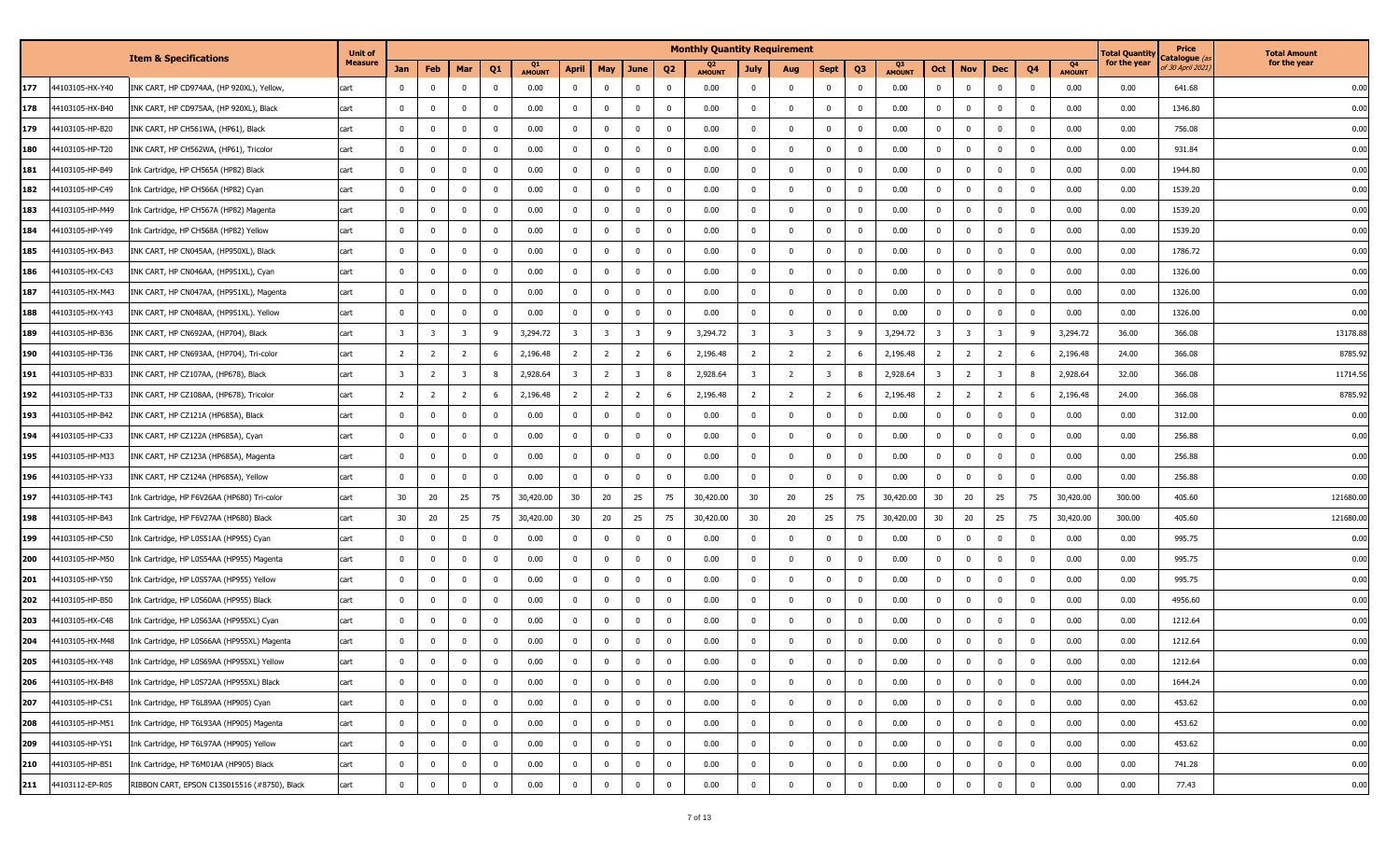|     |                 |                                              | <b>Unit of</b> |                         |                |                         |                |                     |                         |                         |                         |                | <b>Monthly Quantity Requirement</b> |                |                |                |                         |                     |                |                         |                         |                |                     | Total Quantity | Price                                | <b>Total Amount</b> |
|-----|-----------------|----------------------------------------------|----------------|-------------------------|----------------|-------------------------|----------------|---------------------|-------------------------|-------------------------|-------------------------|----------------|-------------------------------------|----------------|----------------|----------------|-------------------------|---------------------|----------------|-------------------------|-------------------------|----------------|---------------------|----------------|--------------------------------------|---------------------|
|     |                 | <b>Item &amp; Specifications</b>             | <b>Measure</b> | Jan                     | Feb            | Mar                     | Q <sub>1</sub> | Q1<br><b>AMOUNT</b> | April                   | <b>May</b>              | June                    | Q <sub>2</sub> | Q2<br><b>AMOUNT</b>                 | July           | Aug            | <b>Sept</b>    | Q <sub>3</sub>          | Q3<br><b>AMOUNT</b> | Oct            | <b>Nov</b>              | Dec                     | Q <sub>4</sub> | Q4<br><b>AMOUNT</b> | for the year   | Catalogue $\ell$<br>f 30 April 2021, | for the year        |
| 177 | 44103105-HX-Y40 | INK CART, HP CD974AA, (HP 920XL), Yellow,    | cart           | $\mathbf 0$             | $\bf{0}$       | $^{\circ}$              | $\mathbf{0}$   | 0.00                | $\mathbf{0}$            | $\bf{0}$                | $\overline{\mathbf{0}}$ | 0              | 0.00                                | $^{\circ}$     | 0              | $\mathbf 0$    | - 0                     | 0.00                | $\mathbf 0$    | $\overline{\mathbf{0}}$ | $\overline{\mathbf{0}}$ | 0              | 0.00                | 0.00           | 641.68                               | 0.00                |
| 178 | 44103105-HX-B40 | INK CART, HP CD975AA, (HP 920XL), Black      | cart           | $\mathbf 0$             | $\mathbf{0}$   | $\mathbf 0$             | $\mathbf{0}$   | 0.00                | $\mathbf 0$             | $\mathbf 0$             | $\mathbf 0$             | $\Omega$       | 0.00                                | $\Omega$       | $\Omega$       | $\mathbf 0$    | $\overline{0}$          | 0.00                | $\mathbf 0$    | $\overline{\mathbf{0}}$ | 0                       | $\mathbf 0$    | 0.00                | 0.00           | 1346.80                              | 0.00                |
| 179 | 44103105-HP-B20 | INK CART, HP CH561WA, (HP61), Black          | cart           | $\mathbf 0$             | $\bf{0}$       | $\Omega$                | $\mathbf{0}$   | 0.00                | $\mathbf 0$             | $\mathbf 0$             | $\mathbf 0$             | $\Omega$       | 0.00                                | $\Omega$       | $\Omega$       | $\mathbf 0$    | $\overline{0}$          | 0.00                | $\mathbf 0$    | 0                       | $\overline{0}$          | $^{\rm o}$     | 0.00                | 0.00           | 756.08                               | 0.00                |
| 180 | 44103105-HP-T20 | INK CART, HP CH562WA, (HP61), Tricolor       | cart           | 0                       | 0              | $\Omega$                | $\mathbf{0}$   | 0.00                | $\overline{\mathbf{0}}$ | 0                       | $\bf{0}$                | $\Omega$       | 0.00                                | $\Omega$       | $\Omega$       | $\mathbf{0}$   | $\overline{0}$          | 0.00                | $\mathbf 0$    | $\mathbf 0$             | $\overline{\mathbf{0}}$ | $\Omega$       | 0.00                | 0.00           | 931.84                               | 0.00                |
| 181 | 44103105-HP-B49 | Ink Cartridge, HP CH565A (HP82) Black        | cart           | 0                       | $\bf{0}$       | $\overline{0}$          | $\mathbf 0$    | 0.00                | $\overline{\mathbf{0}}$ | $\bf{0}$                | $\mathbf 0$             | $\Omega$       | 0.00                                | $\overline{0}$ | $\Omega$       | $\mathbf 0$    | 0                       | 0.00                | $\mathbf 0$    | $\overline{\mathbf{0}}$ | $\overline{\mathbf{0}}$ | $^{\circ}$     | 0.00                | 0.00           | 1944.80                              | 0.00                |
| 182 | 44103105-HP-C49 | ink Cartridge, HP CH566A (HP82) Cyan         | cart           | $\bf{0}$                | 0              | $\overline{0}$          | $\mathbf 0$    | 0.00                | $\overline{0}$          | $\mathbf 0$             | $\overline{\mathbf{0}}$ | 0              | 0.00                                | $\overline{0}$ | $\Omega$       | $\mathbf 0$    | $\overline{0}$          | 0.00                | $\mathbf{0}$   | $\mathbf 0$             | $\overline{\mathbf{0}}$ | $^{\rm o}$     | 0.00                | 0.00           | 1539.20                              | 0.00                |
| 183 | 44103105-HP-M49 | Ink Cartridge, HP CH567A (HP82) Magenta      | cart           | $\mathbf 0$             | 0              | $\overline{0}$          | $\mathbf 0$    | 0.00                | $\overline{\mathbf{0}}$ | $\mathbf 0$             | $\mathbf 0$             | 0              | 0.00                                | $\Omega$       | $\mathbf{0}$   | $\mathbf 0$    | $\overline{\mathbf{0}}$ | 0.00                | $\mathbf{0}$   | $\bf{0}$                | $\overline{\mathbf{0}}$ | $\mathbf 0$    | 0.00                | 0.00           | 1539.20                              | 0.00                |
| 184 | 44103105-HP-Y49 | Ink Cartridge, HP CH568A (HP82) Yellow       | cart           | $\mathbf 0$             | 0              | $\overline{0}$          | $^{\circ}$     | 0.00                | $\overline{0}$          | 0                       | $\bf{0}$                | $\mathbf 0$    | 0.00                                | $\overline{0}$ | 0              | $\mathbf 0$    | $\overline{0}$          | 0.00                | $\mathbf 0$    | $\overline{0}$          | $\overline{\mathbf{0}}$ | $\mathbf 0$    | 0.00                | 0.00           | 1539.20                              | 0.00                |
| 185 | 44103105-HX-B43 | INK CART, HP CN045AA, (HP950XL), Black       | cart           | $\mathbf 0$             | $\bf{0}$       | $\overline{0}$          | $\mathbf{0}$   | 0.00                | $\overline{0}$          | $\bf{0}$                | $\mathbf 0$             | $\mathbf{0}$   | 0.00                                | $\overline{0}$ | $\mathbf{0}$   | $\bf{0}$       | $\mathbf 0$             | 0.00                | $\mathbf 0$    | $\overline{\mathbf{0}}$ | $\overline{\mathbf{0}}$ | $^{\rm o}$     | 0.00                | 0.00           | 1786.72                              | 0.00                |
| 186 | 44103105-HX-C43 | INK CART, HP CN046AA, (HP951XL), Cyan        | cart           | 0                       | 0              | $\mathbf 0$             | $\mathbf{0}$   | 0.00                | $\overline{\mathbf{0}}$ | 0                       | $\mathbf{0}$            | 0              | 0.00                                | $\mathbf{0}$   | $\Omega$       | $\mathbf{0}$   | 0                       | 0.00                | $\mathbf 0$    | 0                       | $\Omega$                | $^{\circ}$     | 0.00                | 0.00           | 1326.00                              | 0.00                |
| 187 | 44103105-HX-M43 | INK CART, HP CN047AA, (HP951XL), Magenta     | cart           | $\mathbf 0$             | 0              | $\Omega$                | $\mathbf 0$    | 0.00                | $\Omega$                | $\mathbf 0$             | $\mathbf 0$             |                | 0.00                                |                | $\Omega$       | $\mathbf 0$    | $\mathbf 0$             | 0.00                | $\mathbf{0}$   | $\mathbf 0$             | $\overline{0}$          | $^{\circ}$     | 0.00                | 0.00           | 1326.00                              | 0.00                |
| 188 | 44103105-HX-Y43 | INK CART, HP CN048AA, (HP951XL). Yellow      | cart           | $\mathbf 0$             | 0              |                         | $\Omega$       | 0.00                | $\Omega$                | $\mathbf{0}$            | $\mathbf{0}$            |                | 0.00                                |                |                | 0              | 0                       | 0.00                |                | $\mathbf{0}$            | $\Omega$                | $^{\circ}$     | 0.00                | 0.00           | 1326.00                              | 0.00                |
| 189 | 44103105-HP-B36 | INK CART, HP CN692AA, (HP704), Black         | cart           | $\overline{\mathbf{3}}$ | -3             | $\overline{\mathbf{3}}$ | -9             | 3,294.72            | $\overline{\mathbf{3}}$ | $\overline{\mathbf{3}}$ | $\overline{\mathbf{3}}$ | -9             | 3,294.72                            | 3              | -3             | 3              | -9                      | 3,294.72            | 3              | $\overline{\mathbf{3}}$ | $\overline{\mathbf{3}}$ | 9              | 3,294.72            | 36.00          | 366.08                               | 13178.88            |
| 190 | 44103105-HP-T36 | INK CART, HP CN693AA, (HP704), Tri-color     | cart           | 2                       | $\overline{2}$ | 2                       | - 6            | 2,196.48            | $\overline{2}$          | $\overline{2}$          | $\overline{2}$          |                | 2,196.48                            | 2              | $\overline{2}$ | $\overline{2}$ | -6                      | 2,196.48            | 2              | $\overline{2}$          | $\overline{2}$          | -6             | 2,196.48            | 24.00          | 366.08                               | 8785.92             |
| 191 | 44103105-HP-B33 | INK CART, HP CZ107AA, (HP678), Black         | cart           | $\overline{\mathbf{3}}$ | $\overline{2}$ | $\overline{\mathbf{3}}$ | 8              | 2,928.64            | $\overline{\mathbf{3}}$ | $\overline{2}$          | $\overline{\mathbf{3}}$ | 8              | 2,928.64                            | 3              | $\overline{2}$ | 3              | 8                       | 2,928.64            | 3              | $\overline{2}$          | $\overline{\mathbf{3}}$ | 8              | 2,928.64            | 32.00          | 366.08                               | 11714.56            |
| 192 | 44103105-HP-T33 | INK CART, HP CZ108AA, (HP678), Tricolor      | cart           | $\overline{2}$          | $\overline{2}$ | 2                       | 6              | 2,196.48            | $\overline{2}$          | $\overline{2}$          | $\overline{2}$          | 6              | 2,196.48                            | $\overline{2}$ | $\overline{2}$ | $\overline{2}$ | - 6                     | 2,196.48            | 2              | $\overline{2}$          | $\overline{2}$          | 6              | 2,196.48            | 24.00          | 366.08                               | 8785.92             |
| 193 | 44103105-HP-B42 | INK CART, HP CZ121A (HP685A), Black          | cart           | $\mathbf{0}$            | 0              | $\Omega$                | $^{\circ}$     | 0.00                | $\overline{\mathbf{0}}$ | 0                       | $\mathbf 0$             | $\Omega$       | 0.00                                | $\Omega$       | $\Omega$       | $\mathbf{0}$   | $\Omega$                | 0.00                | $\mathbf 0$    | $\mathbf 0$             | $\overline{\mathbf{0}}$ | $\Omega$       | 0.00                | 0.00           | 312.00                               | 0.00                |
| 194 | 44103105-HP-C33 | INK CART, HP CZ122A (HP685A), Cyan           | cart           | $\mathbf 0$             | 0              | $\overline{0}$          | $\mathbf{0}$   | 0.00                | $\overline{0}$          | $\bf{0}$                | $\mathbf 0$             | $\Omega$       | 0.00                                | $\overline{0}$ | $\overline{0}$ | $\mathbf{0}$   | 0                       | 0.00                | $\mathbf 0$    | $\overline{\mathbf{0}}$ | $\overline{0}$          | $\Omega$       | 0.00                | 0.00           | 256.88                               | 0.00                |
| 195 | 44103105-HP-M33 | INK CART, HP CZ123A (HP685A), Magenta        | cart           | $\bf{0}$                | 0              | $\mathbf 0$             | $^{\circ}$     | 0.00                | $\overline{\mathbf{0}}$ | $\mathbf 0$             | $\overline{\mathbf{0}}$ | 0              | 0.00                                | $\overline{0}$ | $\Omega$       | $\mathbf{0}$   | $\mathbf 0$             | 0.00                | $\mathbf 0$    | $\mathbf 0$             | $\overline{\mathbf{0}}$ | $^{\rm o}$     | 0.00                | 0.00           | 256.88                               | 0.00                |
| 196 | 44103105-HP-Y33 | INK CART, HP CZ124A (HP685A), Yellow         | cart           | $\mathbf 0$             | 0              | $\overline{0}$          | $\mathbf 0$    | 0.00                | $\overline{\mathbf{0}}$ | $\mathbf 0$             | $\mathbf 0$             | 0              | 0.00                                | $\Omega$       | $\overline{0}$ | $\mathbf 0$    | $\overline{\mathbf{0}}$ | 0.00                | $\Omega$       | $\overline{\mathbf{0}}$ | $\overline{\mathbf{0}}$ | $^{\circ}$     | 0.00                | 0.00           | 256.88                               | 0.00                |
| 197 | 44103105-HP-T43 | Ink Cartridge, HP F6V26AA (HP680) Tri-color  | cart           | 30                      | 20             | 25                      | 75             | 30,420.00           | 30                      | 20                      | 25                      | 75             | 30,420.00                           | 30             | 20             | 25             | 75                      | 30,420.00           | 30             | 20                      | 25                      | 75             | 30,420.00           | 300.00         | 405.60                               | 121680.00           |
| 198 | 44103105-HP-B43 | Ink Cartridge, HP F6V27AA (HP680) Black      | cart           | 30                      | 20             | 25                      | 75             | 30,420.00           | 30                      | 20                      | 25                      | 75             | 30,420.00                           | 30             | 20             | 25             | 75                      | 30,420.00           | 30             | 20                      | 25                      | 75             | 30,420.00           | 300.00         | 405.60                               | 121680.00           |
| 199 | 44103105-HP-C50 | ink Cartridge, HP L0S51AA (HP955) Cyan       | cart           | 0                       | 0              | $\mathbf 0$             | $\Omega$       | 0.00                | 0                       | 0                       | $\mathbf{0}$            | 0              | 0.00                                | $\mathbf{0}$   | 0              | $\mathbf 0$    | 0                       | 0.00                | $\mathbf 0$    | 0                       | 0                       | 0              | 0.00                | 0.00           | 995.75                               | 0.00                |
| 200 | 44103105-HP-M50 | Ink Cartridge, HP L0S54AA (HP955) Magenta    | cart           | $\mathbf 0$             | 0              | $\Omega$                | $\mathbf 0$    | 0.00                | $\Omega$                | 0                       | $\mathbf 0$             |                | 0.00                                |                | $\Omega$       | $\mathbf 0$    | $\Omega$                | 0.00                | $\Omega$       | 0                       | 0                       | $^{\circ}$     | 0.00                | 0.00           | 995.75                               | 0.00                |
| 201 | 44103105-HP-Y50 | Ink Cartridge, HP L0S57AA (HP955) Yellow     | cart           | 0                       | 0              | $\Omega$                | $\mathbf 0$    | 0.00                | 0                       | 0                       | $\mathbf{0}$            |                | 0.00                                |                | $\Omega$       | 0              | 0                       | 0.00                |                | 0                       | $\Omega$                | 0              | 0.00                | 0.00           | 995.75                               | 0.00                |
| 202 | 44103105-HP-B50 | Ink Cartridge, HP L0S60AA (HP955) Black      | cart           | $\mathbf 0$             | 0              | $\Omega$                | $\mathbf 0$    | 0.00                | $\overline{0}$          | $\mathbf 0$             | $\mathbf 0$             | $\Omega$       | 0.00                                | $\Omega$       | $\Omega$       | $\mathbf 0$    | $\overline{0}$          | 0.00                | $\mathbf{0}$   | $\overline{0}$          | 0                       | $^{\circ}$     | 0.00                | 0.00           | 4956.60                              | 0.00                |
| 203 | 44103105-HX-C48 | Ink Cartridge, HP L0S63AA (HP955XL) Cyan     | cart           | $\mathbf 0$             | 0              | $\mathbf 0$             | $^{\circ}$     | 0.00                | $\overline{0}$          | 0                       | $\mathbf{0}$            |                | 0.00                                | $\Omega$       | $\Omega$       | $\mathbf 0$    | $\overline{0}$          | 0.00                | $^{\circ}$     | $\overline{0}$          | 0                       | $^{\rm o}$     | 0.00                | 0.00           | 1212.64                              | 0.00                |
| 204 | 44103105-HX-M48 | Ink Cartridge, HP L0S66AA (HP955XL) Magenta  | cart           | $\bf{0}$                | 0              | $\mathbf 0$             | $\mathbf{0}$   | 0.00                | $\overline{0}$          | $\overline{\mathbf{0}}$ | $\mathbf 0$             | 0              | 0.00                                | $\overline{0}$ | $\Omega$       | $\mathbf{0}$   | $\mathbf 0$             | 0.00                | $\mathbf 0$    | 0                       | 0                       | $\mathbf 0$    | 0.00                | 0.00           | 1212.64                              | 0.00                |
| 205 | 44103105-HX-Y48 | Ink Cartridge, HP L0S69AA (HP955XL) Yellow   | can            | 0                       | 0              | 0                       |                | 0.00                | 0                       | $\mathbf 0$             | U                       |                | 0.00                                | U              |                |                |                         | 0.00                |                | 0                       | U                       | - U            | 0.00                | 0.00           | 1212.64                              | U.UL                |
| 206 | 44103105-HX-B48 | Ink Cartridge, HP L0S72AA (HP955XL) Black    | cart           | $\overline{0}$          | $\mathbf 0$    | $\mathbf 0$             | $\overline{0}$ | 0.00                | $\overline{0}$          | $\overline{0}$          | $\overline{0}$          | $\bf{0}$       | 0.00                                | $\mathbf 0$    | $\Omega$       | $\bf{0}$       | $\overline{0}$          | 0.00                | $\mathbf{0}$   | $\mathbf 0$             | $\overline{\mathbf{0}}$ | $\mathbf 0$    | 0.00                | 0.00           | 1644.24                              | 0.00                |
| 207 | 44103105-HP-C51 | Ink Cartridge, HP T6L89AA (HP905) Cyan       | cart           | $\bf{0}$                | $\mathbf 0$    | $\mathbf 0$             | $\overline{0}$ | 0.00                | $\bf{0}$                | $\overline{0}$          | $\overline{0}$          | $\mathbf 0$    | 0.00                                | $\bf{0}$       | $\mathbf{0}$   | $\bf{0}$       | $\mathbf 0$             | 0.00                | $\overline{0}$ | $\bf{0}$                | $\overline{0}$          | $\mathbf 0$    | 0.00                | 0.00           | 453.62                               | 0.00                |
| 208 | 44103105-HP-M51 | Ink Cartridge, HP T6L93AA (HP905) Magenta    | cart           | $\bf{0}$                | $\mathbf 0$    | $\mathbf{0}$            | $\bf{0}$       | 0.00                | $\overline{0}$          | $\overline{0}$          | $\overline{0}$          | $\mathbf{0}$   | 0.00                                | $\mathbf 0$    | 0              | $\bf{0}$       | $\overline{0}$          | 0.00                | $\bf{0}$       | $\bf{0}$                | $\overline{0}$          | $\overline{0}$ | 0.00                | 0.00           | 453.62                               | 0.00                |
| 209 | 44103105-HP-Y51 | Ink Cartridge, HP T6L97AA (HP905) Yellow     | cart           | $\bf{0}$                | $\mathbf 0$    | $\mathbf{0}$            | $\bf{0}$       | 0.00                | $\bf{0}$                | $\overline{0}$          | $\overline{0}$          | $\mathbf 0$    | 0.00                                | $\overline{0}$ | $\mathbf{0}$   | $\bf{0}$       | $\bf{0}$                | 0.00                | $\overline{0}$ | $\overline{0}$          | $\overline{0}$          | $\mathbf 0$    | 0.00                | 0.00           | 453.62                               | 0.00                |
| 210 | 44103105-HP-B51 | Ink Cartridge, HP T6M01AA (HP905) Black      | cart           | $\overline{0}$          | $\mathbf 0$    | $\overline{0}$          | $\mathbf 0$    | 0.00                | $\overline{0}$          | $\mathbf 0$             | $\mathbf 0$             | 0              | 0.00                                | $\mathbf 0$    | 0              | $\bf{0}$       | $\mathbf{0}$            | 0.00                | $\mathbf{0}$   | $\mathbf 0$             | $\overline{\mathbf{0}}$ | $\mathbf 0$    | 0.00                | 0.00           | 741.28                               | 0.00                |
| 211 | 44103112-EP-R05 | RIBBON CART, EPSON C13S015516 (#8750), Black | cart           | $\overline{0}$          | $\mathbf 0$    | $\mathbf 0$             | $\mathbf 0$    | 0.00                | $\overline{0}$          | $\overline{0}$          | $\overline{0}$          | $\mathbf 0$    | 0.00                                | $\bf{0}$       | $\mathbf 0$    | $\mathbf 0$    | $\mathbf{0}$            | 0.00                | $\bf{0}$       | $\overline{0}$          | $\mathbf 0$             | $\mathbf 0$    | 0.00                | 0.00           | 77.43                                | 0.00                |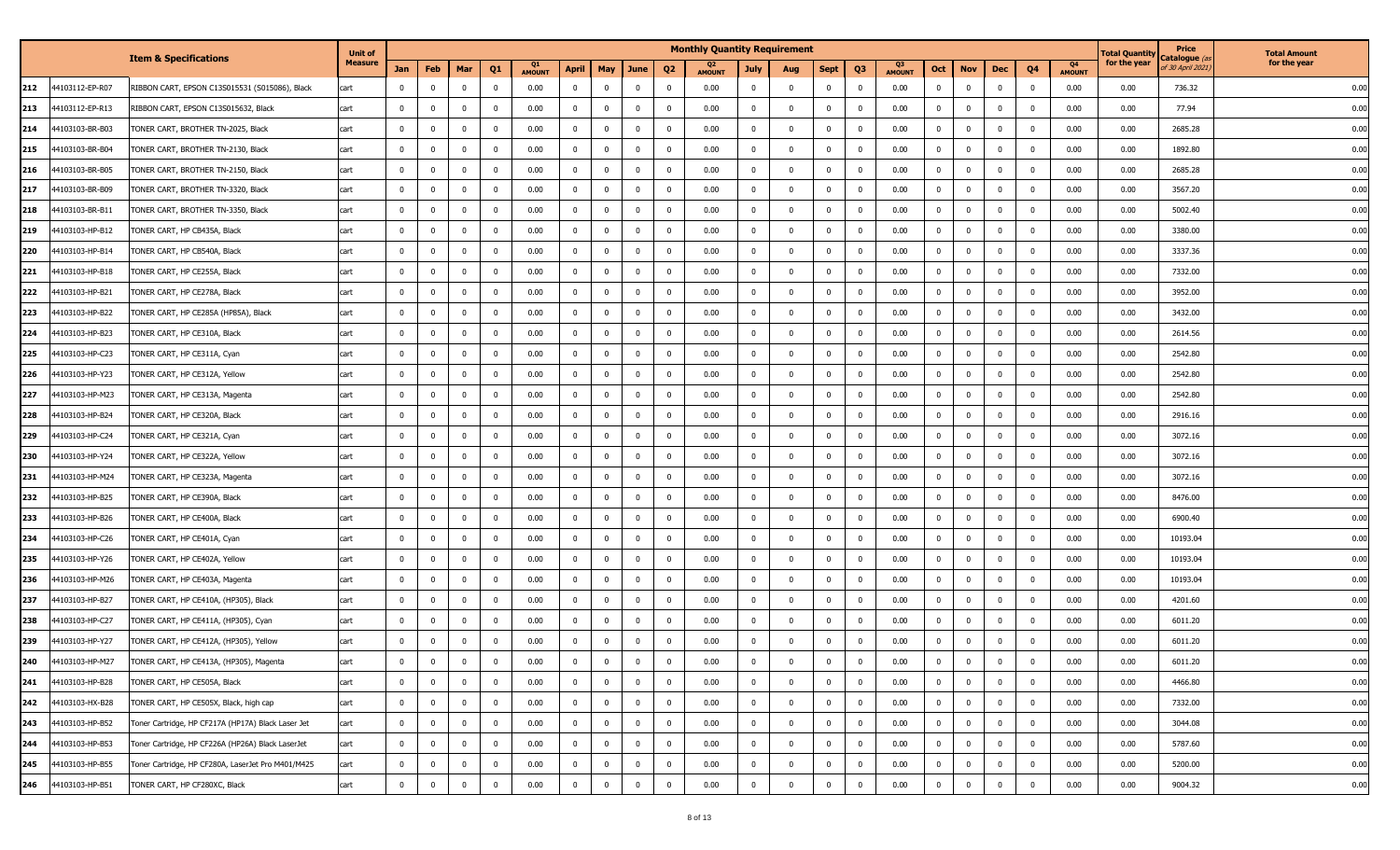|     |                 |                                                    | <b>Unit of</b> |                |                         |                |                         |                     |              |                |                         |                         | <b>Monthly Quantity Requirement</b> |                |                         |              |                |                     |                |                |                         |             |                     | Total Quantity | Price<br>C <b>atalogue</b> (a | <b>Total Amount</b> |
|-----|-----------------|----------------------------------------------------|----------------|----------------|-------------------------|----------------|-------------------------|---------------------|--------------|----------------|-------------------------|-------------------------|-------------------------------------|----------------|-------------------------|--------------|----------------|---------------------|----------------|----------------|-------------------------|-------------|---------------------|----------------|-------------------------------|---------------------|
|     |                 | <b>Item &amp; Specifications</b>                   | <b>Measure</b> | Jan            | Feb                     | Mar            | Q <sub>1</sub>          | Q1<br><b>AMOUNT</b> | April        | May            | June                    | Q <sub>2</sub>          | Q2<br><b>AMOUNT</b>                 | <b>July</b>    | Aug                     | <b>Sept</b>  | Q <sub>3</sub> | Q3<br><b>AMOUNT</b> | Oct            | <b>Nov</b>     | Dec                     | Q4          | Q4<br><b>AMOUNT</b> | for the year   | if 30 April 2021,             | for the year        |
| 212 | 44103112-EP-R07 | RIBBON CART, EPSON C13S015531 (S015086), Black     | cart           | 0              | $\mathbf 0$             | $\mathbf 0$    | $\mathbf 0$             | 0.00                | $\mathbf 0$  | $^{\circ}$     | $\overline{\mathbf{0}}$ | - 0                     | 0.00                                | $\mathbf 0$    | 0                       | $\mathbf 0$  | $\mathbf 0$    | 0.00                | - 0            | $^{\circ}$     | $\overline{0}$          | 0           | 0.00                | 0.00           | 736.32                        | 0.00                |
| 213 | 44103112-EP-R13 | RIBBON CART, EPSON C13S015632, Black               | cart           | $\mathbf 0$    | $\overline{0}$          | $\mathbf 0$    | $\mathbf 0$             | 0.00                | $\mathbf 0$  | $\mathbf{0}$   | $\overline{0}$          | 0                       | 0.00                                | $\mathbf{0}$   | 0                       | $\mathbf 0$  | $\mathbf 0$    | 0.00                | $\Omega$       | $\mathbf{0}$   | $\mathbf{0}$            | $\Omega$    | 0.00                | 0.00           | 77.94                         | 0.00                |
| 214 | 44103103-BR-B03 | TONER CART, BROTHER TN-2025, Black                 | cart           | $\mathbf{0}$   | $\overline{0}$          | $\mathbf 0$    | $\mathbf 0$             | 0.00                | $\mathbf 0$  | $\Omega$       | $\mathbf 0$             | $\overline{0}$          | 0.00                                | $\mathbf{0}$   | 0                       | $\mathbf 0$  | $\mathbf 0$    | 0.00                | - 0            | $\mathbf 0$    | $\mathbf{0}$            | $\Omega$    | 0.00                | 0.00           | 2685.28                       | 0.00                |
| 215 | 44103103-BR-B04 | TONER CART, BROTHER TN-2130, Black                 | cart           | $\mathbf{0}$   | $\overline{0}$          | $\mathbf{0}$   | $\mathbf 0$             | 0.00                | $\mathbf{0}$ | $\mathbf 0$    | $\overline{\mathbf{0}}$ | $\overline{0}$          | 0.00                                | $\mathbf{0}$   | 0                       | $\mathbf 0$  | $\mathbf{0}$   | 0.00                | $\Omega$       | $\mathbf{0}$   | 0                       | $\Omega$    | 0.00                | 0.00           | 1892.80                       | 0.00                |
| 216 | 44103103-BR-B05 | TONER CART, BROTHER TN-2150, Black                 | cart           | $\mathbf 0$    | $\mathbf 0$             | $\mathbf{0}$   | $\mathbf 0$             | 0.00                | $\mathbf 0$  | $\mathbf 0$    | $\mathbf{0}$            | 0                       | 0.00                                | $\mathbf 0$    | $\mathbf{0}$            | $\mathbf 0$  | $\mathbf{0}$   | 0.00                | - 0            | $\mathbf{0}$   | 0                       |             | 0.00                | 0.00           | 2685.28                       | 0.00                |
| 217 | 44103103-BR-B09 | TONER CART, BROTHER TN-3320, Black                 | cart           | $\mathbf{0}$   | $\mathbf 0$             | $\mathbf{0}$   | $\mathbf 0$             | 0.00                | $\mathbf{0}$ | $\mathbf 0$    | $\overline{\mathbf{0}}$ | 0                       | 0.00                                | $\bf{0}$       | 0                       | $\mathbf 0$  | $\mathbf 0$    | 0.00                |                | $\mathbf 0$    | - 0                     | $\Omega$    | 0.00                | 0.00           | 3567.20                       | 0.00                |
| 218 | 44103103-BR-B11 | TONER CART, BROTHER TN-3350, Black                 | cart           | $\mathbf 0$    | $\mathbf 0$             | $\mathbf 0$    | $\mathbf 0$             | 0.00                | $\mathbf 0$  | $\mathbf{0}$   | $\bf{0}$                | $\overline{0}$          | 0.00                                | $\mathbf 0$    | 0                       | $\mathbf 0$  | $\mathbf 0$    | 0.00                |                | $\mathbf{0}$   | $\mathbf{0}$            | $^{\circ}$  | 0.00                | 0.00           | 5002.40                       | 0.00                |
| 219 | 44103103-HP-B12 | TONER CART, HP CB435A, Black                       | cart           | $\mathbf 0$    | $\overline{0}$          | $\mathbf 0$    | $\mathbf 0$             | 0.00                | $\mathbf 0$  | $\mathbf{0}$   | $\overline{\mathbf{0}}$ | $\overline{\mathbf{0}}$ | 0.00                                | $\mathbf{0}$   | 0                       | $\mathbf 0$  | $\mathbf 0$    | 0.00                |                | $\mathbf{0}$   | - 0                     | $^{\circ}$  | 0.00                | 0.00           | 3380.00                       | 0.00                |
| 220 | 44103103-HP-B14 | TONER CART, HP CB540A, Black                       | cart           | $\mathbf 0$    | $\mathbf 0$             | $\mathbf 0$    | $\mathbf 0$             | 0.00                | $\mathbf 0$  | $\bf{0}$       | $\bf{0}$                | 0                       | 0.00                                | $\mathbf 0$    | 0                       | $\mathbf 0$  | $\overline{0}$ | 0.00                |                | $\bf{0}$       | $\overline{0}$          | $^{\circ}$  | 0.00                | 0.00           | 3337.36                       | 0.00                |
| 221 | 44103103-HP-B18 | TONER CART, HP CE255A, Black                       | cart           | 0              | $\mathbf 0$             | $\mathbf 0$    | $\mathbf 0$             | 0.00                | $\mathbf{0}$ | 0              | $\mathbf 0$             | 0                       | 0.00                                | $\mathbf{0}$   | $\mathbf{0}$            | $\mathbf 0$  | $\mathbf 0$    | 0.00                | - 0            | 0              | $\Omega$                | $\Omega$    | 0.00                | 0.00           | 7332.00                       | 0.00                |
| 222 | 44103103-HP-B21 | TONER CART, HP CE278A, Black                       | cart           | $\Omega$       | $\mathbf 0$             | $\mathbf 0$    | $\mathbf 0$             | 0.00                | $\mathbf 0$  | $\mathbf 0$    | $\mathbf{0}$            | 0                       | 0.00                                | $^{\circ}$     | 0                       | $\mathbf 0$  | $\mathbf 0$    | 0.00                |                | $\mathbf 0$    | $\mathbf 0$             | $\Omega$    | 0.00                | 0.00           | 3952.00                       | 0.00                |
| 223 | 44103103-HP-B22 | TONER CART, HP CE285A (HP85A), Black               | cart           | $\mathbf 0$    | $\mathbf 0$             | $\mathbf{0}$   | $\mathbf 0$             | 0.00                | $\mathbf 0$  | $^{\circ}$     | $\mathbf{0}$            | $^{\circ}$              | 0.00                                | $\mathbf 0$    | 0                       | $^{\circ}$   | $^{\circ}$     | 0.00                |                | $^{\circ}$     | $\Omega$                | 0           | 0.00                | 0.00           | 3432.00                       | 0.00                |
| 224 | 44103103-HP-B23 | TONER CART, HP CE310A, Black                       | cart           | 0              | $\mathbf{0}$            | $\overline{0}$ | $\mathbf 0$             | 0.00                | $\mathbf 0$  | $\mathbf 0$    | $\overline{0}$          | $\mathbf 0$             | 0.00                                | $^{\circ}$     | $\Omega$                | $\mathbf{0}$ | $\mathbf{0}$   | 0.00                |                | $\mathbf 0$    | $\Omega$                |             | 0.00                | 0.00           | 2614.56                       | 0.00                |
| 225 | 44103103-HP-C23 | TONER CART, HP CE311A, Cyan                        | cart           | $\Omega$       | $\overline{0}$          | $\mathbf{0}$   | $\mathbf 0$             | 0.00                | $\mathbf 0$  | $\mathbf 0$    | $\mathbf 0$             | 0                       | 0.00                                | $\mathbf 0$    | $\Omega$                | 0            | $^{\circ}$     | 0.00                |                | $\mathbf{0}$   | $\Omega$                |             | 0.00                | 0.00           | 2542.80                       | 0.00                |
| 226 | 44103103-HP-Y23 | TONER CART, HP CE312A, Yellow                      | cart           | $\mathbf{0}$   | $\overline{0}$          | $\mathbf{0}$   | $\mathbf 0$             | 0.00                | $\mathbf 0$  | $\mathbf{0}$   | $\overline{0}$          | 0                       | 0.00                                | $\bf{0}$       | $\Omega$                | $\mathbf 0$  | $\mathbf{0}$   | 0.00                | $\Omega$       | $\mathbf 0$    | $\mathbf{0}$            | $\Omega$    | 0.00                | 0.00           | 2542.80                       | 0.00                |
| 227 | 44103103-HP-M23 | TONER CART, HP CE313A, Magenta                     | cart           | $\mathbf 0$    | $\mathbf 0$             | $\mathbf 0$    | $\mathbf 0$             | 0.00                | $\mathbf 0$  | $\mathbf 0$    | $\mathbf 0$             | $\overline{\mathbf{0}}$ | 0.00                                | $\bf{0}$       | 0                       | $\mathbf 0$  | $\mathbf 0$    | 0.00                | $\mathbf{0}$   | $\mathbf 0$    | $\mathbf{0}$            | $^{\circ}$  | 0.00                | 0.00           | 2542.80                       | 0.00                |
| 228 | 44103103-HP-B24 | TONER CART, HP CE320A, Black                       | cart           | $\mathbf 0$    | $\overline{0}$          | $\mathbf{0}$   | $\mathbf 0$             | 0.00                | $\mathbf 0$  | $\mathbf 0$    | $\overline{0}$          | 0                       | 0.00                                | $\mathbf{0}$   | $\mathbf{0}$            | $\mathbf 0$  | $\mathbf{0}$   | 0.00                | $\Omega$       | $\mathbf 0$    | 0                       |             | 0.00                | 0.00           | 2916.16                       | 0.00                |
| 229 | 44103103-HP-C24 | TONER CART, HP CE321A, Cyan                        | cart           | $\mathbf 0$    | 0                       | $\mathbf{0}$   | $\mathbf 0$             | 0.00                | $\mathbf 0$  | $\mathbf 0$    | $\overline{\mathbf{0}}$ | 0                       | 0.00                                | $\mathbf 0$    | 0                       | $\mathbf 0$  | $\mathbf{0}$   | 0.00                |                | $\mathbf 0$    | 0                       |             | 0.00                | 0.00           | 3072.16                       | 0.00                |
| 230 | 44103103-HP-Y24 | TONER CART, HP CE322A, Yellow                      | cart           | $\mathbf 0$    | $\overline{0}$          | $\mathbf 0$    | $\mathbf 0$             | 0.00                | $\mathbf 0$  | $\mathbf 0$    | $\overline{\mathbf{0}}$ | $\overline{0}$          | 0.00                                | $\mathbf{0}$   | 0                       | $\mathbf 0$  | $\mathbf 0$    | 0.00                | $\Omega$       | $\mathbf{0}$   | - 0                     | $^{\circ}$  | 0.00                | 0.00           | 3072.16                       | 0.00                |
| 231 | 44103103-HP-M24 | TONER CART, HP CE323A, Magenta                     | cart           | $\mathbf{0}$   | $\mathbf 0$             | $\bf{0}$       | $\mathbf 0$             | 0.00                | $\mathbf 0$  | $\bf{0}$       | $\bf{0}$                | $\overline{0}$          | 0.00                                | $\mathbf 0$    | $\overline{\mathbf{0}}$ | $\bf{0}$     | $\overline{0}$ | 0.00                |                | $\bf{0}$       | $\overline{0}$          | $^{\circ}$  | 0.00                | 0.00           | 3072.16                       | 0.00                |
| 232 | 44103103-HP-B25 | TONER CART, HP CE390A, Black                       | cart           | $\mathbf 0$    | $\mathbf 0$             | $\mathbf{0}$   | $\overline{0}$          | 0.00                | $\mathbf{0}$ | $\mathbf{0}$   | $\overline{\mathbf{0}}$ | $\overline{0}$          | 0.00                                | $\mathbf{0}$   | 0                       | $\mathbf 0$  | $\mathbf 0$    | 0.00                | - 0            | $\bf{0}$       | 0                       | $^{\circ}$  | 0.00                | 0.00           | 8476.00                       | 0.00                |
| 233 | 44103103-HP-B26 | TONER CART, HP CE400A, Black                       | cart           | $\mathbf 0$    | $\mathbf 0$             | $\mathbf{0}$   | $\mathbf 0$             | 0.00                | $\mathbf 0$  | $\mathbf 0$    | $\overline{\mathbf{0}}$ | 0                       | 0.00                                | $\mathbf 0$    | 0                       | $\mathbf 0$  | $\mathbf{0}$   | 0.00                |                | $\mathbf{0}$   | 0                       | $\Omega$    | 0.00                | 0.00           | 6900.40                       | 0.00                |
| 234 | 44103103-HP-C26 | TONER CART, HP CE401A, Cyan                        | cart           | $\mathbf 0$    | $\mathbf 0$             | $\mathbf{0}$   | $\mathbf 0$             | 0.00                | $\mathbf{0}$ | $\mathbf 0$    | $\mathbf 0$             | 0                       | 0.00                                | 0              | $\mathbf{0}$            | $\mathbf 0$  | $\mathbf 0$    | 0.00                | $\Omega$       | $\mathbf 0$    | $\Omega$                | $\Omega$    | 0.00                | 0.00           | 10193.04                      | 0.00                |
| 235 | 44103103-HP-Y26 | TONER CART, HP CE402A, Yellow                      | cart           | $\Omega$       | 0                       | $\mathbf 0$    | $\mathbf 0$             | 0.00                | $\mathbf 0$  | $\mathbf 0$    | $\mathbf 0$             | $\mathbf 0$             | 0.00                                | $^{\circ}$     | 0                       | $\mathbf{0}$ | $\mathbf{0}$   | 0.00                |                | $\bf{0}$       | $\mathbf{0}$            |             | 0.00                | 0.00           | 10193.04                      | 0.00                |
| 236 | 44103103-HP-M26 | TONER CART, HP CE403A, Magenta                     | cart           | 0              | 0                       | $\overline{0}$ | $\overline{\mathbf{0}}$ | 0.00                | $\mathbf 0$  | $^{\circ}$     | $\mathbf 0$             | 0                       | 0.00                                | $\mathbf{0}$   | $\mathbf{0}$            | 0            | $^{\circ}$     | 0.00                |                | 0              | $\Omega$                |             | 0.00                | 0.00           | 10193.04                      | 0.00                |
| 237 | 44103103-HP-B27 | TONER CART, HP CE410A, (HP305), Black              | cart           | $\Omega$       | $\overline{0}$          | $\Omega$       | $\mathbf 0$             | 0.00                | $\mathbf 0$  | $\mathbf 0$    | $\overline{0}$          | 0                       | 0.00                                | $\mathbf 0$    | $\Omega$                | $\mathbf 0$  | $\mathbf{0}$   | 0.00                |                | $\mathbf 0$    | $\Omega$                | $\Omega$    | 0.00                | 0.00           | 4201.60                       | 0.00                |
| 238 | 44103103-HP-C27 | TONER CART, HP CE411A, (HP305), Cyan               | cart           | $\mathbf 0$    | $\overline{0}$          | $\mathbf{0}$   | $\mathbf 0$             | 0.00                | $\mathbf 0$  | $\mathbf 0$    | $\mathbf{0}$            | - 0                     | 0.00                                | $\mathbf 0$    | 0                       | $^{\circ}$   | $^{\circ}$     | 0.00                | $\mathbf{0}$   | $\mathbf 0$    | $\mathbf{0}$            | $\Omega$    | 0.00                | 0.00           | 6011.20                       | 0.00                |
| 239 | 44103103-HP-Y27 | TONER CART, HP CE412A, (HP305), Yellow             | cart           | $\mathbf 0$    | $\overline{0}$          | $\mathbf{0}$   | $\mathbf{0}$            | 0.00                | $\mathbf{0}$ | $\mathbf 0$    | $\overline{0}$          | 0                       | 0.00                                | 0              | $\mathbf{0}$            | $\mathbf 0$  | $\mathbf{0}$   | 0.00                | $\mathbf{0}$   | $\mathbf 0$    | $\mathbf{0}$            | $\Omega$    | 0.00                | 0.00           | 6011.20                       | 0.00                |
| 240 | 44103103-HP-M27 | TONER CART, HP CE413A, (HP305), Magenta            | carτ           | 0              |                         | $\pmb{0}$      | 0                       | 0.00                | 0            | 0              | 0                       | $\pmb{0}$               | 0.00                                | 0              | 0                       | 0            | 0              | 0.00                |                | 0              | U                       |             | 0.00                | 0.00           | 6011.20                       | U.UL                |
| 241 | 44103103-HP-B28 | TONER CART, HP CE505A, Black                       | cart           | $\overline{0}$ | $\mathbf 0$             | $\mathbf 0$    | $\mathbf 0$             | 0.00                | $\mathbf 0$  | $\mathbf{0}$   | $\overline{0}$          | $\mathbf 0$             | 0.00                                | $\overline{0}$ | $\mathbf 0$             | $\mathbf 0$  | $\overline{0}$ | 0.00                | $\Omega$       | $\bf{0}$       | $\overline{0}$          | $\mathbf 0$ | 0.00                | 0.00           | 4466.80                       | 0.00                |
| 242 | 44103103-HX-B28 | TONER CART, HP CE505X, Black, high cap             | cart           | $\overline{0}$ | $\bf{0}$                | $\bf{0}$       | $\mathbf 0$             | 0.00                | $\bf{0}$     | $\mathbf{0}$   | $\overline{0}$          | $\overline{0}$          | 0.00                                | $\bf{0}$       | $\mathbf 0$             | $\bf{0}$     | $\overline{0}$ | 0.00                | $\mathbf{0}$   | $\bf{0}$       | $\overline{0}$          | $\mathbf 0$ | 0.00                | 0.00           | 7332.00                       | 0.00                |
| 243 | 44103103-HP-B52 | Toner Cartridge, HP CF217A (HP17A) Black Laser Jet | cart           | $\overline{0}$ | $\bf{0}$                | $\overline{0}$ | $\overline{0}$          | 0.00                | $\bf{0}$     | $\overline{0}$ | $\overline{\mathbf{0}}$ | $\overline{0}$          | 0.00                                | $\bf{0}$       | $\mathbf 0$             | $\bf{0}$     | $\overline{0}$ | 0.00                | $\overline{0}$ | $\overline{0}$ | $\overline{\mathbf{0}}$ | $\mathbf 0$ | 0.00                | 0.00           | 3044.08                       | 0.00                |
| 244 | 44103103-HP-B53 | Toner Cartridge, HP CF226A (HP26A) Black LaserJet  | cart           | $\mathbf 0$    | $\bf{0}$                | $\bf{0}$       | $\bf{0}$                | 0.00                | $\bf{0}$     | $\bf{0}$       | $\overline{\mathbf{0}}$ | $\mathbf{0}$            | 0.00                                | $\mathbf{0}$   | $\bf{0}$                | $\bf{0}$     | $\overline{0}$ | 0.00                | $\mathbf{0}$   | $\bf{0}$       | $\overline{0}$          | $\mathbf 0$ | 0.00                | 0.00           | 5787.60                       | 0.00                |
| 245 | 44103103-HP-B55 | Toner Cartridge, HP CF280A, LaserJet Pro M401/M425 | cart           | $\mathbf 0$    | $\mathbf 0$             | $\bf{0}$       | $\mathbf 0$             | 0.00                | $\mathbf{0}$ | $\bf{0}$       | $\bf{0}$                | $\mathbf 0$             | 0.00                                | $\mathbf{0}$   | $\mathbf{0}$            | $\bf{0}$     | $\bf{0}$       | 0.00                | $\mathbf{0}$   | $\bf{0}$       | $\overline{\mathbf{0}}$ | 0           | 0.00                | 0.00           | 5200.00                       | 0.00                |
| 246 | 44103103-HP-B51 | TONER CART, HP CF280XC, Black                      | cart           | $\mathbf 0$    | $\overline{\mathbf{0}}$ | $\mathbf 0$    | $\mathbf 0$             | 0.00                | $\bf{0}$     | $\mathbf 0$    | $\mathbf 0$             | $\mathbf 0$             | 0.00                                | $\mathbf{0}$   | $\mathbf 0$             | $\bf{0}$     | $\bf{0}$       | 0.00                | $\overline{0}$ | $\mathbf{0}$   | $\mathbf 0$             | $\mathbf 0$ | 0.00                | 0.00           | 9004.32                       | 0.00                |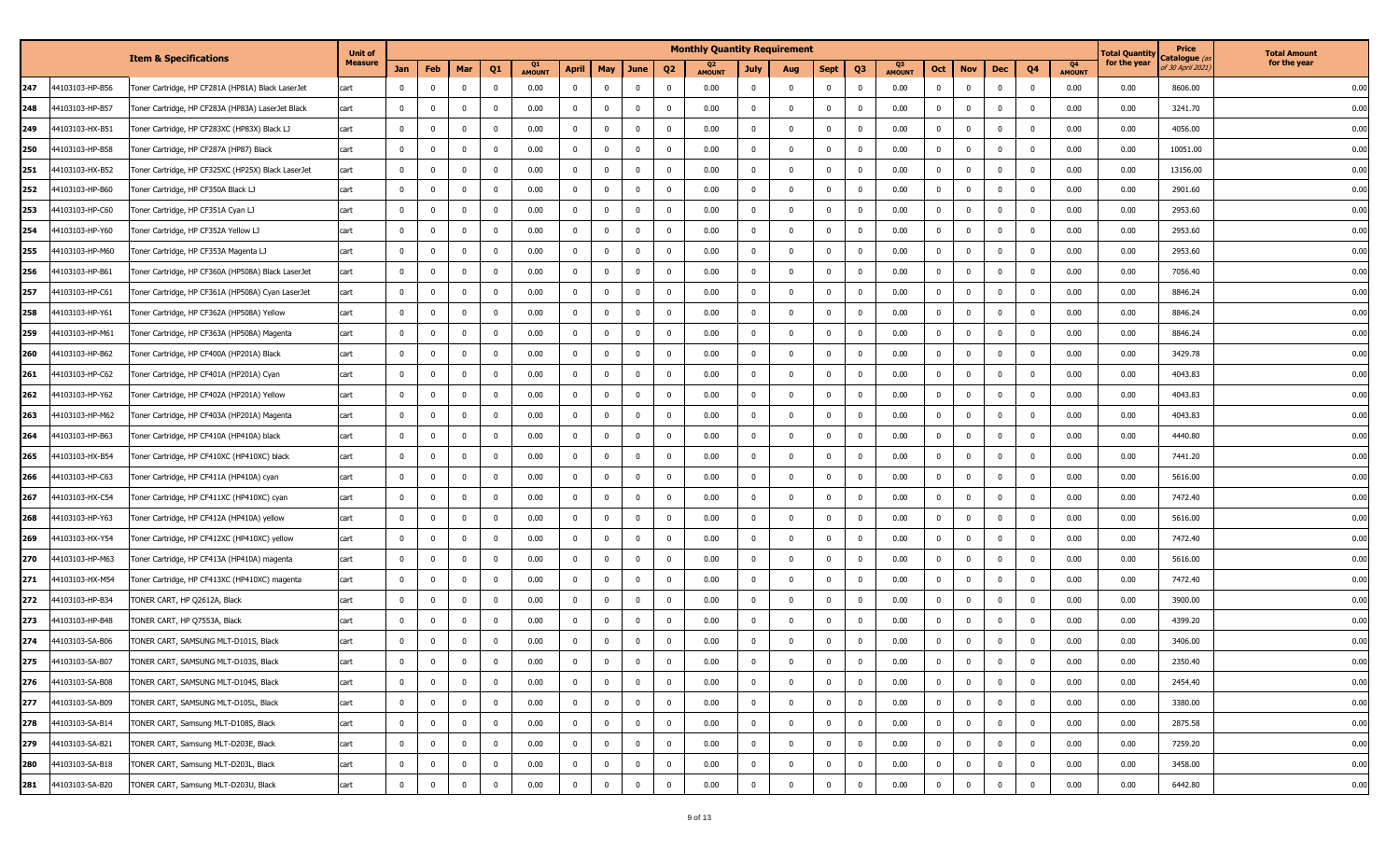|     |                 | <b>Item &amp; Specifications</b>                   | <b>Unit of</b> |                |                         |                |                         |                            |              |                |                         |                         | <b>Monthly Quantity Requirement</b> |                |                         |              |                |                     |                |                |                         |                |                     | Total Quantity | Price                                   | <b>Total Amount</b> |
|-----|-----------------|----------------------------------------------------|----------------|----------------|-------------------------|----------------|-------------------------|----------------------------|--------------|----------------|-------------------------|-------------------------|-------------------------------------|----------------|-------------------------|--------------|----------------|---------------------|----------------|----------------|-------------------------|----------------|---------------------|----------------|-----------------------------------------|---------------------|
|     |                 |                                                    | <b>Measure</b> | <b>Jan</b>     | Feb                     | Mar            | Q1                      | <b>Q1</b><br><b>AMOUNT</b> | April        | <b>May</b>     | June                    | Q <sub>2</sub>          | Q2<br><b>AMOUNT</b>                 | <b>July</b>    | Aug                     | <b>Sept</b>  | Q <sub>3</sub> | Q3<br><b>AMOUNT</b> | Oct            | <b>Nov</b>     | Dec                     | Q4             | Q4<br><b>AMOUNT</b> | for the year   | 'atalogue <i>(a</i><br>f 30 April 2021, | for the year        |
| 247 | 44103103-HP-B56 | Toner Cartridge, HP CF281A (HP81A) Black LaserJet  | cart           | 0              | 0                       | $\mathbf{0}$   | $\mathbf 0$             | 0.00                       | $\bf{0}$     | $^{\circ}$     | $\mathbf{0}$            | - 0                     | 0.00                                | $\mathbf 0$    | 0                       | 0            | $\mathbf 0$    | 0.00                | 0              | 0              | $\overline{0}$          | 0              | 0.00                | 0.00           | 8606.00                                 | 0.00                |
| 248 | 44103103-HP-B57 | Toner Cartridge, HP CF283A (HP83A) LaserJet Black  | cart           | $\mathbf{0}$   | $\overline{0}$          | $\mathbf 0$    | $\mathbf 0$             | 0.00                       | $\mathbf 0$  | $\mathbf 0$    | $\mathbf 0$             | $\Omega$                | 0.00                                | $\mathbf{0}$   | $\mathbf{0}$            | $\mathbf 0$  | $\mathbf 0$    | 0.00                | $\Omega$       | $\mathbf 0$    | $\mathbf{0}$            | $\Omega$       | 0.00                | 0.00           | 3241.70                                 | 0.00                |
| 249 | 44103103-HX-B51 | Toner Cartridge, HP CF283XC (HP83X) Black LJ       | cart           | $\mathbf 0$    | $\overline{0}$          | $\mathbf 0$    | $\mathbf 0$             | 0.00                       | $\mathbf 0$  | $\Omega$       | $\mathbf 0$             | $\overline{0}$          | 0.00                                | $\mathbf{0}$   | 0                       | $\mathbf 0$  | $\mathbf 0$    | 0.00                | - 0            | $\mathbf{0}$   | $\mathbf{0}$            | $\Omega$       | 0.00                | 0.00           | 4056.00                                 | 0.00                |
| 250 | 44103103-HP-B58 | Toner Cartridge, HP CF287A (HP87) Black            | cart           | $\mathbf 0$    | $\overline{0}$          | $\mathbf 0$    | $\mathbf 0$             | 0.00                       | $\mathbf{0}$ | $\mathbf 0$    | $\overline{0}$          | 0                       | 0.00                                | $\mathbf{0}$   | 0                       | $\mathbf 0$  | $\mathbf 0$    | 0.00                | - 0            | $\mathbf 0$    | 0                       | $\Omega$       | 0.00                | 0.00           | 10051.00                                | 0.00                |
| 251 | 44103103-HX-B52 | Toner Cartridge, HP CF325XC (HP25X) Black LaserJet | cart           | $\mathbf 0$    | 0                       | $\mathbf{0}$   | $\mathbf 0$             | 0.00                       | $\mathbf 0$  | $\mathbf{0}$   | $\overline{0}$          | 0                       | 0.00                                | $\mathbf 0$    | $\mathbf{0}$            | $\mathbf 0$  | $\overline{0}$ | 0.00                | - 0            | $\mathbf{0}$   | 0                       |                | 0.00                | 0.00           | 13156.00                                | 0.00                |
| 252 | 44103103-HP-B60 | Toner Cartridge, HP CF350A Black LJ                | cart           | $\mathbf 0$    | 0                       | $\mathbf{0}$   | $\mathbf 0$             | 0.00                       | $\mathbf{0}$ | $\mathbf 0$    | $\overline{0}$          | 0                       | 0.00                                | $\mathbf{0}$   | 0                       | 0            | $\mathbf{0}$   | 0.00                |                | $\mathbf 0$    | 0                       |                | 0.00                | 0.00           | 2901.60                                 | 0.00                |
| 253 | 44103103-HP-C60 | Toner Cartridge, HP CF351A Cyan LJ                 | cart           | $\mathbf 0$    | $\mathbf 0$             | $\mathbf{0}$   | $\mathbf 0$             | 0.00                       | $\mathbf 0$  | $\mathbf{0}$   | $\overline{\mathbf{0}}$ | 0                       | 0.00                                | $\mathbf 0$    | 0                       | $\mathbf{0}$ | $\mathbf{0}$   | 0.00                |                | $\mathbf 0$    | $\overline{0}$          | $\Omega$       | 0.00                | 0.00           | 2953.60                                 | 0.00                |
| 254 | 44103103-HP-Y60 | Toner Cartridge, HP CF352A Yellow LJ               | cart           | 0              | $\overline{0}$          | $\mathbf{0}$   | $\mathbf 0$             | 0.00                       | $\mathbf 0$  | $\mathbf 0$    | $\overline{\mathbf{0}}$ | $\overline{0}$          | 0.00                                | $\mathbf{0}$   | 0                       | $\mathbf 0$  | $\mathbf 0$    | 0.00                |                | $\mathbf{0}$   | 0                       | $^{\circ}$     | 0.00                | 0.00           | 2953.60                                 | 0.00                |
| 255 | 44103103-HP-M60 | Toner Cartridge, HP CF353A Magenta LJ              | cart           | $\mathbf 0$    | $\mathbf 0$             | $\mathbf{0}$   | $\mathbf{0}$            | 0.00                       | $\mathbf 0$  | $\mathbf{0}$   | $\overline{\mathbf{0}}$ | - 0                     | 0.00                                | $\mathbf 0$    | 0                       | $\mathbf 0$  | $\bf{0}$       | 0.00                |                | $\bf{0}$       | 0                       | 0              | 0.00                | 0.00           | 2953.60                                 | 0.00                |
| 256 | 44103103-HP-B61 | Toner Cartridge, HP CF360A (HP508A) Black LaserJet | cart           | 0              | 0                       | $\overline{0}$ | $\mathbf 0$             | 0.00                       | $\mathbf 0$  | 0              | $\mathbf 0$             | 0                       | 0.00                                | $\mathbf{0}$   | 0                       | 0            | $\mathbf 0$    | 0.00                |                | 0              | $\Omega$                |                | 0.00                | 0.00           | 7056.40                                 | 0.00                |
| 257 | 44103103-HP-C61 | Toner Cartridge, HP CF361A (HP508A) Cyan LaserJet  | cart           | $\Omega$       | $\mathbf 0$             | $\mathbf 0$    | $\mathbf 0$             | 0.00                       | $\mathbf 0$  | $\mathbf 0$    | $\mathbf 0$             | $\Omega$                | 0.00                                | $^{\circ}$     | 0                       | $\mathbf 0$  | $\mathbf{0}$   | 0.00                |                | $\mathbf 0$    | $\overline{0}$          |                | 0.00                | 0.00           | 8846.24                                 | 0.00                |
| 258 | 44103103-HP-Y61 | Toner Cartridge, HP CF362A (HP508A) Yellow         | cart           | 0              | 0                       | $\mathbf{0}$   | $\mathbf 0$             | 0.00                       | $\mathbf 0$  | $^{\circ}$     | $\overline{0}$          | - 0                     | 0.00                                | $\mathbf 0$    | 0                       | $^{\circ}$   | $^{\circ}$     | 0.00                |                | 0              | $\Omega$                | 0              | 0.00                | 0.00           | 8846.24                                 | 0.00                |
| 259 | 44103103-HP-M61 | Toner Cartridge, HP CF363A (HP508A) Magenta        | cart           | 0              | $\mathbf 0$             | $\mathbf 0$    | $\mathbf 0$             | 0.00                       | $\mathbf 0$  | $\mathbf 0$    | $\mathbf 0$             | $\Omega$                | 0.00                                | $^{\circ}$     | $\Omega$                | $\mathbf 0$  | $\mathbf{0}$   | 0.00                |                | $\mathbf 0$    | $\Omega$                |                | 0.00                | 0.00           | 8846.24                                 | 0.00                |
| 260 | 44103103-HP-B62 | Toner Cartridge, HP CF400A (HP201A) Black          | cart           | $\Omega$       | $\mathbf 0$             | $\mathbf{0}$   | $\overline{\mathbf{0}}$ | 0.00                       | $\mathbf 0$  | $\Omega$       | $\mathbf 0$             | $\Omega$                | 0.00                                | $\mathbf 0$    | $\Omega$                | 0            | $^{\circ}$     | 0.00                |                | $\mathbf{0}$   | $\Omega$                |                | 0.00                | 0.00           | 3429.78                                 | 0.00                |
| 261 | 44103103-HP-C62 | Toner Cartridge, HP CF401A (HP201A) Cyan           | cart           | $\mathbf 0$    | $\overline{0}$          | $\mathbf{0}$   | $\mathbf 0$             | 0.00                       | $\mathbf 0$  | $\mathbf 0$    | $\overline{0}$          | 0                       | 0.00                                | $\mathbf{0}$   | $\Omega$                | $\mathbf 0$  | $\mathbf{0}$   | 0.00                | $\Omega$       | $\mathbf 0$    | $\mathbf{0}$            | $\Omega$       | 0.00                | 0.00           | 4043.83                                 | 0.00                |
| 262 | 44103103-HP-Y62 | Toner Cartridge, HP CF402A (HP201A) Yellow         | cart           | $\mathbf 0$    | $\overline{0}$          | $\mathbf{0}$   | $\mathbf 0$             | 0.00                       | $\mathbf 0$  | $\mathbf 0$    | $\mathbf 0$             | $\overline{\mathbf{0}}$ | 0.00                                | $\mathbf{0}$   | 0                       | $\mathbf 0$  | $\mathbf{0}$   | 0.00                | $\mathbf{0}$   | $\mathbf 0$    | $\mathbf{0}$            | 0              | 0.00                | 0.00           | 4043.83                                 | 0.00                |
| 263 | 44103103-HP-M62 | Toner Cartridge, HP CF403A (HP201A) Magenta        | cart           | $\mathbf 0$    | $\mathbf 0$             | $\mathbf 0$    | $\mathbf 0$             | 0.00                       | $\mathbf 0$  | $\mathbf 0$    | $\overline{0}$          | $\mathbf 0$             | 0.00                                | $\mathbf{0}$   | $\mathbf{0}$            | 0            | $\Omega$       | 0.00                | $\Omega$       | $\mathbf 0$    | $\mathbf{0}$            |                | 0.00                | 0.00           | 4043.83                                 | 0.00                |
| 264 | 44103103-HP-B63 | Toner Cartridge, HP CF410A (HP410A) black          | cart           | 0              | 0                       | $\mathbf{0}$   | $\mathbf 0$             | 0.00                       | $\mathbf 0$  | $\mathbf 0$    | $\overline{0}$          | 0                       | 0.00                                | $\mathbf 0$    | 0                       | 0            | $\overline{0}$ | 0.00                |                | $\mathbf 0$    | 0                       |                | 0.00                | 0.00           | 4440.80                                 | 0.00                |
| 265 | 44103103-HX-B54 | Toner Cartridge, HP CF410XC (HP410XC) black        | cart           | $\mathbf{0}$   | $\overline{0}$          | $\mathbf{0}$   | $\mathbf 0$             | 0.00                       | $\mathbf 0$  | $\mathbf 0$    | $\overline{\mathbf{0}}$ | $^{\circ}$              | 0.00                                | $\mathbf{0}$   | 0                       | $\mathbf 0$  | $\mathbf 0$    | 0.00                |                | $\mathbf 0$    | 0                       | $\Omega$       | 0.00                | 0.00           | 7441.20                                 | 0.00                |
| 266 | 44103103-HP-C63 | Toner Cartridge, HP CF411A (HP410A) cyan           | cart           | $\mathbf 0$    | $\mathbf 0$             | $\bf{0}$       | $\mathbf 0$             | 0.00                       | $\mathbf 0$  | $\mathbf 0$    | $\bf{0}$                | $\overline{0}$          | 0.00                                | $\mathbf 0$    | $\overline{\mathbf{0}}$ | $\bf{0}$     | $\mathbf 0$    | 0.00                |                | $\mathbf{0}$   | $\overline{\mathbf{0}}$ | $^{\circ}$     | 0.00                | 0.00           | 5616.00                                 | 0.00                |
| 267 | 44103103-HX-C54 | Toner Cartridge, HP CF411XC (HP410XC) cyan         | cart           | $\mathbf 0$    | $\mathbf 0$             | $\mathbf{0}$   | $\overline{0}$          | 0.00                       | $\mathbf{0}$ | $\mathbf{0}$   | $\overline{0}$          | 0                       | 0.00                                | $\mathbf{0}$   | 0                       | $\mathbf 0$  | $\mathbf 0$    | 0.00                | - 0            | $\mathbf{0}$   | 0                       | 0              | 0.00                | 0.00           | 7472.40                                 | 0.00                |
| 268 | 44103103-HP-Y63 | Toner Cartridge, HP CF412A (HP410A) yellow         | cart           | $\mathbf 0$    | $\mathbf 0$             | $\mathbf{0}$   | $\mathbf 0$             | 0.00                       | $\mathbf 0$  | $\mathbf 0$    | $\overline{\mathbf{0}}$ | $\Omega$                | 0.00                                | $\mathbf{0}$   | 0                       | $\mathbf 0$  | $\mathbf{0}$   | 0.00                |                | $\mathbf 0$    | 0                       |                | 0.00                | 0.00           | 5616.00                                 | 0.00                |
| 269 | 44103103-HX-Y54 | Toner Cartridge, HP CF412XC (HP410XC) yellow       | cart           | 0              | 0                       | $\mathbf 0$    | $\mathbf 0$             | 0.00                       | $\mathbf{0}$ | $\mathbf 0$    | $\mathbf{0}$            | 0                       | 0.00                                | $\mathbf 0$    | 0                       | $^{\circ}$   | $\mathbf 0$    | 0.00                | $\Omega$       | $\mathbf 0$    | $\Omega$                | $\Omega$       | 0.00                | 0.00           | 7472.40                                 | 0.00                |
| 270 | 44103103-HP-M63 | Toner Cartridge, HP CF413A (HP410A) magenta        | cart           | $\Omega$       | $\mathbf 0$             | $\mathbf 0$    | $\mathbf 0$             | 0.00                       | $\mathbf 0$  | $\mathbf 0$    | $\mathbf 0$             | 0                       | 0.00                                | $^{\circ}$     | $\mathbf{0}$            | 0            | $\mathbf 0$    | 0.00                |                | $\mathbf 0$    | $\overline{0}$          |                | 0.00                | 0.00           | 5616.00                                 | 0.00                |
| 271 | 44103103-HX-M54 | Toner Cartridge, HP CF413XC (HP410XC) magenta      | cart           | 0              | 0                       | $\overline{0}$ | $\overline{\mathbf{0}}$ | 0.00                       | 0            | 0              | $\mathbf{0}$            | 0                       | 0.00                                | $\mathbf 0$    | 0                       | 0            | 0              | 0.00                |                | 0              | $\Omega$                |                | 0.00                | 0.00           | 7472.40                                 | 0.00                |
| 272 | 44103103-HP-B34 | TONER CART, HP Q2612A, Black                       | cart           | $\Omega$       | $\Omega$                | $\Omega$       | $\mathbf 0$             | 0.00                       | $\mathbf{0}$ | $\mathbf 0$    | $\overline{0}$          | $\mathbf 0$             | 0.00                                | $\mathbf 0$    | $\Omega$                | $\Omega$     | $\Omega$       | 0.00                |                | $\mathbf 0$    | $\Omega$                |                | 0.00                | 0.00           | 3900.00                                 | 0.00                |
| 273 | 44103103-HP-B48 | TONER CART, HP Q7553A, Black                       | cart           | 0              | $\mathbf 0$             | $\mathbf 0$    | $\mathbf 0$             | 0.00                       | $\mathbf 0$  | $^{\circ}$     | $\mathbf{0}$            | - 0                     | 0.00                                | $^{\circ}$     | 0                       | $^{\circ}$   | $\mathbf 0$    | 0.00                | - 0            | $\mathbf 0$    | $\mathbf{0}$            | $\Omega$       | 0.00                | 0.00           | 4399.20                                 | 0.00                |
| 274 | 44103103-SA-B06 | TONER CART, SAMSUNG MLT-D101S, Black               | cart           | $\mathbf 0$    | $\overline{0}$          | $\mathbf 0$    | $\overline{0}$          | 0.00                       | $\mathbf{0}$ | $\mathbf 0$    | $\overline{0}$          | 0                       | 0.00                                | 0              | $\mathbf{0}$            | $^{\circ}$   | $\mathbf 0$    | 0.00                | $\mathbf{0}$   | $\mathbf 0$    | $\mathbf{0}$            | $\Omega$       | 0.00                | 0.00           | 3406.00                                 | 0.00                |
| 275 | 44103103-SA-B07 | TONER CART, SAMSUNG MLT-D103S, Black               | carτ           | 0              |                         | $\mathbf 0$    | 0                       | 0.00                       | 0            | 0              | U                       | 0                       | 0.00                                | 0              | 0                       | 0            | 0              | 0.00                |                | 0              | U                       |                | 0.00                | 0.00           | 2350.40                                 | U.UL                |
| 276 | 44103103-SA-B08 | TONER CART, SAMSUNG MLT-D104S, Black               | cart           | $\overline{0}$ | $\overline{0}$          | $\mathbf 0$    | $\mathbf 0$             | 0.00                       | $\mathbf{0}$ | $\mathbf{0}$   | $\overline{0}$          | $\overline{0}$          | 0.00                                | $\overline{0}$ | $\mathbf{0}$            | $\mathbf 0$  | $\overline{0}$ | 0.00                | $\overline{0}$ | $\bf{0}$       | $\overline{0}$          | $\mathbf 0$    | 0.00                | 0.00           | 2454.40                                 | 0.00                |
| 277 | 44103103-SA-B09 | TONER CART, SAMSUNG MLT-D105L, Black               | cart           | $\overline{0}$ | $\bf{0}$                | $\bf{0}$       | $\bf{0}$                | 0.00                       | $\bf{0}$     | $\mathbf{0}$   | $\overline{0}$          | $\overline{0}$          | 0.00                                | $\bf{0}$       | $\mathbf 0$             | $\bf{0}$     | $\overline{0}$ | 0.00                | $\mathbf{0}$   | $\bf{0}$       | $\overline{0}$          | $\mathbf 0$    | 0.00                | 0.00           | 3380.00                                 | 0.00                |
| 278 | 44103103-SA-B14 | TONER CART, Samsung MLT-D108S, Black               | cart           | $\overline{0}$ | $\bf{0}$                | $\overline{0}$ | $\overline{0}$          | 0.00                       | $\bf{0}$     | $\overline{0}$ | $\overline{\mathbf{0}}$ | $\overline{0}$          | 0.00                                | $\bf{0}$       | $\bf{0}$                | $\bf{0}$     | $\overline{0}$ | 0.00                | $\overline{0}$ | $\overline{0}$ | $\overline{\mathbf{0}}$ | $\overline{0}$ | 0.00                | 0.00           | 2875.58                                 | 0.00                |
| 279 | 44103103-SA-B21 | TONER CART, Samsung MLT-D203E, Black               | cart           | $\mathbf 0$    | $\bf{0}$                | $\overline{0}$ | $\bf{0}$                | 0.00                       | $\bf{0}$     | $\bf{0}$       | $\overline{\mathbf{0}}$ | $\mathbf{0}$            | 0.00                                | $\mathbf{0}$   | $\overline{\mathbf{0}}$ | $\bf{0}$     | $\overline{0}$ | 0.00                | $\mathbf{0}$   | $\mathbf{0}$   | $\overline{0}$          | $\mathbf 0$    | 0.00                | 0.00           | 7259.20                                 | 0.00                |
| 280 | 44103103-SA-B18 | TONER CART, Samsung MLT-D203L, Black               | cart           | $\mathbf 0$    | $\mathbf 0$             | $\bf{0}$       | $\mathbf 0$             | 0.00                       | $\bf{0}$     | $\bf{0}$       | $\bf{0}$                | $\mathbf 0$             | 0.00                                | $\mathbf{0}$   | 0                       | $\bf{0}$     | $\bf{0}$       | 0.00                | $\mathbf{0}$   | $\bf{0}$       | $\overline{\mathbf{0}}$ | 0              | 0.00                | 0.00           | 3458.00                                 | 0.00                |
| 281 | 44103103-SA-B20 | TONER CART, Samsung MLT-D203U, Black               | cart           | $\mathbf 0$    | $\overline{\mathbf{0}}$ | $\mathbf 0$    | $\mathbf 0$             | 0.00                       | $\bf{0}$     | $\mathbf 0$    | $\mathbf 0$             | $\mathbf 0$             | 0.00                                | $\mathbf{0}$   | $\mathbf 0$             | $\bf{0}$     | $\bf{0}$       | 0.00                | $\overline{0}$ | $\mathbf{0}$   | $\mathbf 0$             | $\mathbf 0$    | 0.00                | 0.00           | 6442.80                                 | 0.00                |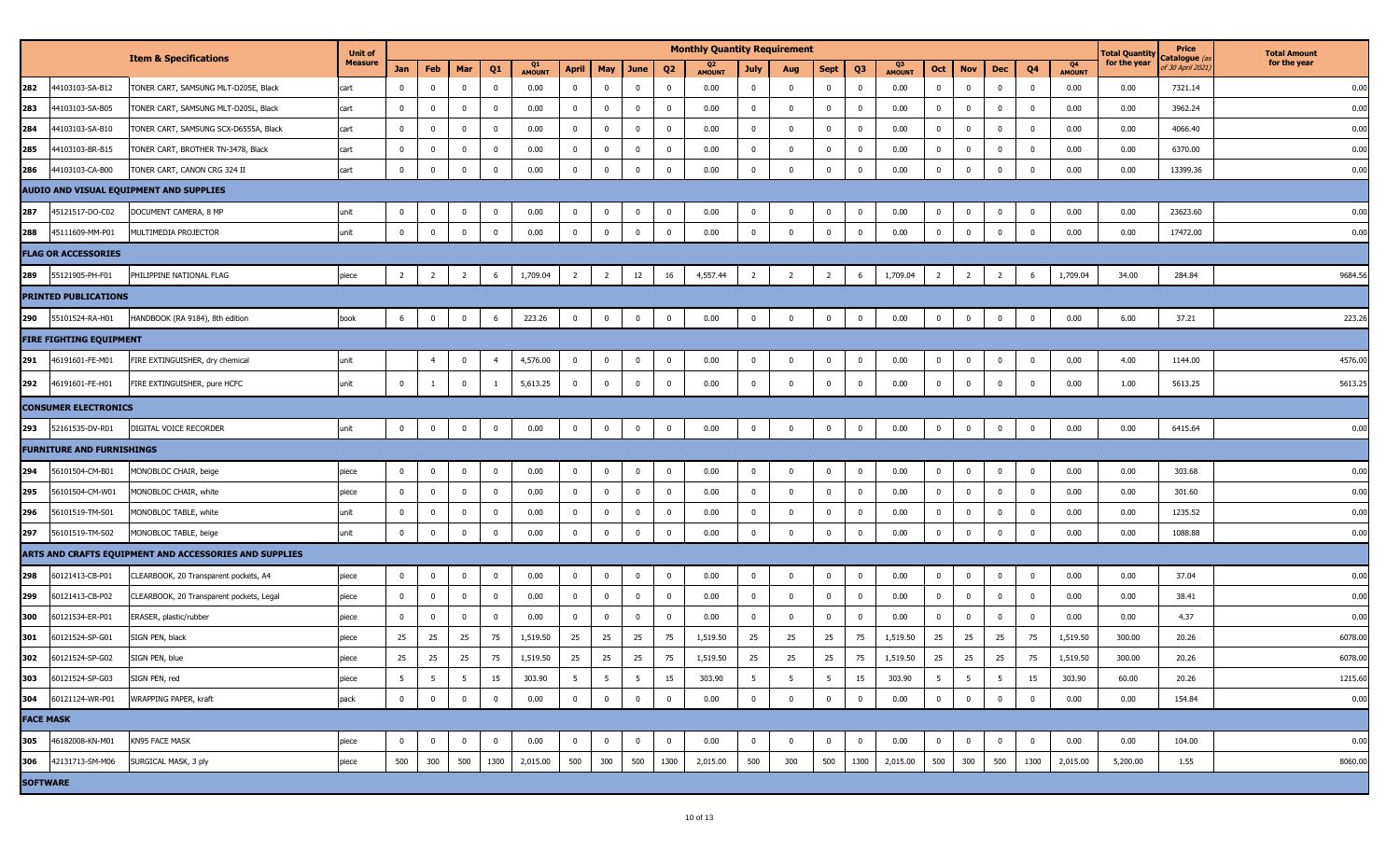|                  |                                  | <b>Item &amp; Specifications</b>                       | <b>Unit of</b> |                |                |                |                |              |                         |                         |                         |                         | <b>Monthly Quantity Requirement</b> |                |                         |                |                         |                     |                         |                |                |                |              | Total Quantity | Price                           | <b>Total Amount</b> |
|------------------|----------------------------------|--------------------------------------------------------|----------------|----------------|----------------|----------------|----------------|--------------|-------------------------|-------------------------|-------------------------|-------------------------|-------------------------------------|----------------|-------------------------|----------------|-------------------------|---------------------|-------------------------|----------------|----------------|----------------|--------------|----------------|---------------------------------|---------------------|
|                  |                                  |                                                        | <b>Measure</b> | Jan            | Feb            | Mar            | Q <sub>1</sub> | Q1<br>AMOUNT | April                   | May                     | June                    | Q <sub>2</sub>          | Q2<br><b>AMOUNT</b>                 | <b>July</b>    | Aug                     | <b>Sept</b>    | Q <sub>3</sub>          | Q3<br><b>AMOUNT</b> | Oct                     | <b>Nov</b>     | <b>Dec</b>     | Q <sub>4</sub> | Q4<br>AMOUNT | for the year   | Catalogue (a<br>f 30 April 2021 | for the year        |
| 282              | 44103103-SA-B12                  | TONER CART, SAMSUNG MLT-D205E, Black                   | cart           | $\Omega$       | $^{\circ}$     | $\mathbf 0$    | $\mathbf 0$    | 0.00         | $\overline{\mathbf{0}}$ | $\mathbf 0$             | $\bf{0}$                | 0                       | 0.00                                | $\mathbf{0}$   | $\overline{\mathbf{0}}$ | $\bf{0}$       | $\mathbf 0$             | 0.00                | $\bf{0}$                | $^{\circ}$     | $\mathbf 0$    | $\mathbf 0$    | 0.00         | 0.00           | 7321.14                         | 0.00                |
| 283              | 44103103-SA-B05                  | TONER CART, SAMSUNG MLT-D205L, Black                   | cart           | $\overline{0}$ | $\Omega$       | $\Omega$       | $\mathbf 0$    | 0.00         | $\bf{0}$                | $\bf{0}$                | $\mathbf 0$             | $\mathbf 0$             | 0.00                                | $\mathbf{0}$   | $\overline{0}$          | $\mathbf 0$    | $\mathbf 0$             | 0.00                | $\overline{\mathbf{0}}$ | $\Omega$       | $\mathbf 0$    | $\mathbf 0$    | 0.00         | 0.00           | 3962.24                         | 0.00                |
| 284              | 44103103-SA-B10                  | TONER CART, SAMSUNG SCX-D6555A, Black                  | cart           | $\overline{0}$ | $\mathbf 0$    | $\Omega$       | $\bf{0}$       | 0.00         | $\mathbf 0$             | $\mathbf 0$             | $\mathbf 0$             | $\mathbf 0$             | 0.00                                | $\mathbf 0$    | $\overline{\mathbf{0}}$ | $\bf{0}$       | $\mathbf{0}$            | 0.00                | $\pmb{0}$               | $\Omega$       | $\mathbf 0$    | $\mathbf 0$    | 0.00         | 0.00           | 4066.40                         | 0.00                |
| 285              | 44103103-BR-B15                  | FONER CART, BROTHER TN-3478, Black                     | cart           | $\Omega$       | $\Omega$       | $\Omega$       | $\mathbf 0$    | 0.00         | $\overline{0}$          | $\pmb{0}$               | $\mathbf 0$             | $\mathbf 0$             | 0.00                                | $\bf{0}$       | $\overline{0}$          | $\mathbf 0$    | $\mathbf 0$             | 0.00                | $\overline{\mathbf{0}}$ | $\Omega$       | $^{\circ}$     | $\mathbf 0$    | 0.00         | 0.00           | 6370.00                         | 0.00                |
| 286              | 44103103-CA-B00                  | FONER CART, CANON CRG 324 II                           | cart           | $\overline{0}$ | $\mathbf 0$    | $\Omega$       | $\bf{0}$       | 0.00         | $\overline{\mathbf{0}}$ | $\mathbf 0$             | $\mathbf 0$             | $\overline{0}$          | 0.00                                | $\mathbf 0$    | $\overline{\mathbf{0}}$ | $\mathbf 0$    | $\mathbf 0$             | 0.00                | $\overline{\mathbf{0}}$ | $\Omega$       | $\Omega$       | $\overline{0}$ | 0.00         | 0.00           | 13399.36                        | 0.00                |
|                  |                                  | AUDIO AND VISUAL EQUIPMENT AND SUPPLIES                |                |                |                |                |                |              |                         |                         |                         |                         |                                     |                |                         |                |                         |                     |                         |                |                |                |              |                |                                 |                     |
| 287              | 45121517-DO-C02                  | DOCUMENT CAMERA, 8 MP                                  | unit           | $\mathbf 0$    | $^{\circ}$     | $\Omega$       | $\overline{0}$ | 0.00         | $\overline{\mathbf{0}}$ | $\overline{\mathbf{0}}$ | $\mathbf 0$             | 0                       | 0.00                                | $\mathbf{0}$   | $\overline{0}$          | 0              | $\overline{0}$          | 0.00                | $\mathbf 0$             | $^{\circ}$     | 0              | $\mathbf 0$    | 0.00         | 0.00           | 23623.60                        | 0.00                |
| 288              | 45111609-MM-P01                  | MULTIMEDIA PROJECTOR                                   | unit           | $\overline{0}$ | $\mathbf 0$    | $\overline{0}$ | $\mathbf 0$    | 0.00         | $\overline{0}$          | $\mathbf 0$             | $\overline{0}$          | $\bf{0}$                | 0.00                                | $\bf{0}$       | $\overline{0}$          | $\bf{0}$       | $\mathbf 0$             | 0.00                | $\pmb{0}$               | $\Omega$       | $\mathbf 0$    | $\mathbf 0$    | 0.00         | 0.00           | 17472.00                        | 0.00                |
|                  | <b>FLAG OR ACCESSORIES</b>       |                                                        |                |                |                |                |                |              |                         |                         |                         |                         |                                     |                |                         |                |                         |                     |                         |                |                |                |              |                |                                 |                     |
| 289              | 55121905-PH-F01                  | PHILIPPINE NATIONAL FLAG                               | piece          | $\overline{2}$ | $\overline{2}$ | $\overline{2}$ | 6              | 1,709.04     | $\overline{2}$          | $\overline{2}$          | 12                      | 16                      | 4,557.44                            | $\overline{2}$ | $\overline{2}$          | $\overline{2}$ | 6                       | 1,709.04            | $\overline{2}$          | $\overline{2}$ | $\overline{2}$ | 6              | 1,709.04     | 34.00          | 284.84                          | 9684.56             |
|                  | <b>PRINTED PUBLICATIONS</b>      |                                                        |                |                |                |                |                |              |                         |                         |                         |                         |                                     |                |                         |                |                         |                     |                         |                |                |                |              |                |                                 |                     |
| 290              | 55101524-RA-H01                  | HANDBOOK (RA 9184), 8th edition                        | book           | 6              | $\overline{0}$ | $\mathbf{0}$   | 6              | 223.26       | $\overline{\mathbf{0}}$ | $\bf{0}$                | $\overline{0}$          | $\overline{0}$          | 0.00                                | $\mathbf{0}$   | $\overline{\mathbf{0}}$ | $\overline{0}$ | $\mathbf 0$             | 0.00                | $\bf{0}$                | $\overline{0}$ | $\mathbf 0$    | $\mathbf{0}$   | 0.00         | 6.00           | 37.21                           | 223.26              |
|                  | FIRE FIGHTING EQUIPMENT          |                                                        |                |                |                |                |                |              |                         |                         |                         |                         |                                     |                |                         |                |                         |                     |                         |                |                |                |              |                |                                 |                     |
| 291              | 46191601-FE-M01                  | FIRE EXTINGUISHER, dry chemical                        | unit           |                | $\overline{4}$ | $\mathbf 0$    | $\overline{4}$ | 4,576.00     | $\overline{\mathbf{0}}$ | $\mathbf 0$             | $\bf{0}$                | $\mathbf 0$             | 0.00                                | $\mathbf{0}$   | $\overline{\mathbf{0}}$ | $\overline{0}$ | $\overline{0}$          | 0.00                | $\bf{0}$                | $\mathbf 0$    | $\mathbf{0}$   | $\mathbf{0}$   | 0.00         | 4.00           | 1144.00                         | 4576.00             |
| 292              | 46191601-FE-H01                  | FIRE EXTINGUISHER, pure HCFC                           | unit           | $\mathbf 0$    |                | $\mathbf 0$    |                | 5,613.25     | $\bf{0}$                | $\overline{0}$          | $\mathbf 0$             | $\mathbf 0$             | 0.00                                | $\bf{0}$       | $\overline{\mathbf{0}}$ | $\mathbf 0$    | $\mathbf 0$             | 0.00                | $\pmb{0}$               | $\Omega$       | $\Omega$       | $\mathbf 0$    | 0.00         | 1.00           | 5613.25                         | 5613.25             |
|                  | <b>CONSUMER ELECTRONICS</b>      |                                                        |                |                |                |                |                |              |                         |                         |                         |                         |                                     |                |                         |                |                         |                     |                         |                |                |                |              |                |                                 |                     |
| 293              | 52161535-DV-R01                  | DIGITAL VOICE RECORDER                                 | unit           | $\mathbf 0$    | $\mathbf{0}$   | $\mathbf 0$    | $\mathbf 0$    | 0.00         | $\overline{0}$          | $\overline{\mathbf{0}}$ | $\overline{\mathbf{0}}$ | $\overline{\mathbf{0}}$ | 0.00                                | $\mathbf 0$    | $\overline{\mathbf{0}}$ | 0              | $\overline{0}$          | 0.00                | $\bf{0}$                | 0              | $\mathbf 0$    | $\mathbf{0}$   | 0.00         | 0.00           | 6415.64                         | 0.00                |
|                  | <b>FURNITURE AND FURNISHINGS</b> |                                                        |                |                |                |                |                |              |                         |                         |                         |                         |                                     |                |                         |                |                         |                     |                         |                |                |                |              |                |                                 |                     |
| 294              | 56101504-CM-B01                  | MONOBLOC CHAIR, beige                                  | piece          | $\bf{0}$       | $\mathbf 0$    | $^{\circ}$     | $\overline{0}$ | 0.00         | $\mathbf 0$             | $\overline{\mathbf{0}}$ | $\mathbf 0$             | 0                       | 0.00                                | $\mathbf 0$    | 0                       | $\bf{0}$       | $\overline{0}$          | 0.00                | $\bf{0}$                |                | 0              | $\mathbf{0}$   | 0.00         | 0.00           | 303.68                          | 0.00                |
| 295              | 56101504-CM-W01                  | MONOBLOC CHAIR, white                                  | piece          | $\mathbf 0$    | $\mathbf 0$    | $\mathbf 0$    | $\mathbf 0$    | 0.00         | $\overline{0}$          | $\pmb{0}$               | $\mathbf 0$             | $\mathbf 0$             | 0.00                                | $\mathbf{0}$   | $\overline{\mathbf{0}}$ | $\mathbf 0$    | $\mathbf 0$             | 0.00                | $\overline{\mathbf{0}}$ | $\mathbf 0$    | $\mathbf 0$    | $\mathbf 0$    | 0.00         | 0.00           | 301.60                          | 0.00                |
| 296              | 56101519-TM-S01                  | MONOBLOC TABLE, white                                  | unit           | $\Omega$       | $\Omega$       | $\Omega$       | $\mathbf 0$    | 0.00         | $\overline{0}$          | $\overline{\mathbf{0}}$ | $\mathbf 0$             | $\mathbf 0$             | 0.00                                | $\mathbf{0}$   | $\overline{0}$          | $\mathbf 0$    | $\overline{\mathbf{0}}$ | 0.00                | $\overline{\mathbf{0}}$ |                | $\mathbf 0$    | $\mathbf 0$    | 0.00         | 0.00           | 1235.52                         | 0.00                |
| 297              | 56101519-TM-S02                  | MONOBLOC TABLE, beige                                  | unit           | $\overline{0}$ | $\mathbf 0$    | $\bf{0}$       | $\mathbf 0$    | 0.00         | $\overline{0}$          | $\mathbf 0$             | $\mathbf 0$             | $\overline{0}$          | 0.00                                | $\mathbf{0}$   | $\overline{0}$          | $\mathbf 0$    | $\mathbf 0$             | 0.00                | $\pmb{0}$               | $\Omega$       | $\mathbf 0$    | $\mathbf{0}$   | 0.00         | 0.00           | 1088.88                         | 0.00                |
|                  |                                  | ARTS AND CRAFTS EQUIPMENT AND ACCESSORIES AND SUPPLIES |                |                |                |                |                |              |                         |                         |                         |                         |                                     |                |                         |                |                         |                     |                         |                |                |                |              |                |                                 |                     |
| 298              | 60121413-CB-P01                  | CLEARBOOK, 20 Transparent pockets, A4                  | piece          | $\mathbf 0$    | $^{\circ}$     | $^{\circ}$     | $\overline{0}$ | 0.00         | $\overline{0}$          | $\mathbf 0$             | $\overline{\mathbf{0}}$ | $\overline{\mathbf{0}}$ | 0.00                                | $\mathbf{0}$   | $\overline{\mathbf{0}}$ | $^{\circ}$     | $\overline{0}$          | 0.00                | $\bf{0}$                | $^{\circ}$     | 0              | $\mathbf{0}$   | 0.00         | 0.00           | 37.04                           | 0.00                |
| 299              | 60121413-CB-P02                  | CLEARBOOK, 20 Transparent pockets, Legal               | piece          | $\mathbf 0$    | $\mathbf{0}$   | $\Omega$       | $\mathbf 0$    | 0.00         | $\overline{0}$          | $\mathbf 0$             | $\mathbf 0$             | $\mathbf 0$             | 0.00                                | $\mathbf{0}$   | $\overline{\mathbf{0}}$ | $\mathbf{0}$   | $\mathbf 0$             | 0.00                | $\overline{\mathbf{0}}$ | $\mathbf 0$    | $^{\circ}$     | $\mathbf 0$    | 0.00         | 0.00           | 38.41                           | 0.00                |
| 300              | 60121534-ER-P01                  | ERASER, plastic/rubber                                 | piece          | $\mathbf 0$    | $\mathbf 0$    | $\mathbf 0$    | $\mathbf{0}$   | 0.00         | $\overline{\mathbf{0}}$ | $\overline{\mathbf{0}}$ | $\mathbf 0$             | $\overline{0}$          | 0.00                                | $\mathbf{0}$   | $\overline{\mathbf{0}}$ | 0              | $\mathbf 0$             | 0.00                | $\overline{\mathbf{0}}$ | $\mathbf 0$    | $\mathbf 0$    | $\mathbf 0$    | 0.00         | 0.00           | 4.37                            | 0.00                |
| 301              | 60121524-SP-G01                  | SIGN PEN, black                                        | piece          | 25             | 25             | 25             | 75             | 1,519.50     | 25                      | 25                      | 25                      | 75                      | 1,519.50                            | 25             | 25                      | 25             | 75                      | 1,519.50            | 25                      | 25             | 25             | 75             | 1,519.50     | 300.00         | 20.26                           | 6078.00             |
| 302              | 60121524-SP-G02                  | IGN PEN, blue                                          | piece          | 25             | 25             | 25             | 75             | 1,519.50     | 25                      | 25                      | 25                      | 75                      | 1,519.50                            | 25             | 25                      | 25             | 75                      | 1,519.50            | 25                      | 25             | 25             | 75             | 1,519.50     | 300.00         | 20.26                           | 6078.00             |
| 303              | 60121524-SP-G03                  | SIGN PEN, red                                          | piece          | 5              | 5              | 5              | 15             | 303.90       | $5\overline{5}$         | $5\overline{5}$         | 5 <sup>5</sup>          | 15                      | 303.90                              | 5              | 5                       | 5 <sup>5</sup> | 15                      | 303.90              | 5                       | 5              | $5^{\circ}$    | 15             | 303.90       | 60.00          | 20.26                           | 1215.60             |
| 304              | 60121124-WR-P01                  | WRAPPING PAPER, kraft                                  | pack           | $\mathbf 0$    | $\bf{0}$       | $\bf{0}$       | $\bf{0}$       | 0.00         | $\overline{0}$          | $\overline{\mathbf{0}}$ | $\overline{0}$          | $\overline{0}$          | 0.00                                | $\overline{0}$ | $\overline{0}$          | $\bf{0}$       | $\bf{0}$                | 0.00                | $\bf{0}$                | $\bf{0}$       | $\mathbf 0$    | $\bf{0}$       | 0.00         | 0.00           | 154.84                          | 0.00                |
| <b>FACE MASK</b> |                                  |                                                        |                |                |                |                |                |              |                         |                         |                         |                         |                                     |                |                         |                |                         |                     |                         |                |                |                |              |                |                                 |                     |
| 305              | 46182008-KN-M01                  | KN95 FACE MASK                                         | piece          | $\mathbf 0$    | $\bf{0}$       | $\bf{0}$       | $\bf{0}$       | 0.00         | $\bf{0}$                | $\overline{0}$          | $\overline{0}$          | $\overline{0}$          | 0.00                                | $\bf{0}$       | $\overline{0}$          | $\bf{0}$       | $\bf{0}$                | 0.00                | $\bf{0}$                | $\mathbf{0}$   | $\bf{0}$       | $\mathbf 0$    | 0.00         | 0.00           | 104.00                          | 0.00                |
| 306              | 42131713-SM-M06                  | SURGICAL MASK, 3 ply                                   | piece          | 500            | 300            | 500            | 1300           | 2,015.00     | 500                     | 300                     | 500                     | 1300                    | 2,015.00                            | 500            | 300                     | 500            | 1300                    | 2,015.00            | 500                     | 300            | 500            | 1300           | 2,015.00     | 5,200.00       | 1.55                            | 8060.00             |
| <b>SOFTWARE</b>  |                                  |                                                        |                |                |                |                |                |              |                         |                         |                         |                         |                                     |                |                         |                |                         |                     |                         |                |                |                |              |                |                                 |                     |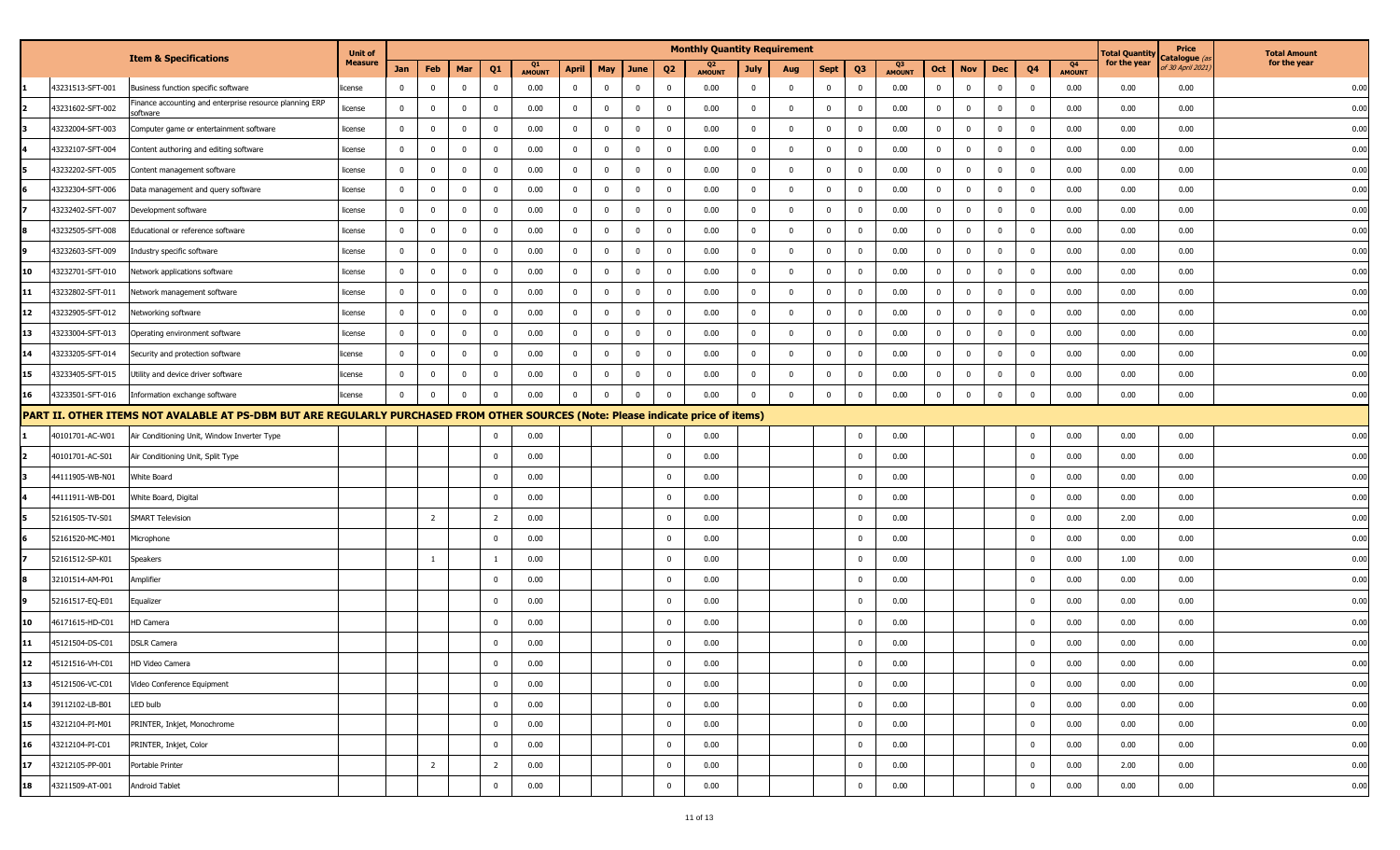|    |                  |                                                                                                                                   | <b>Unit of</b> |                |                |              |                         |                     |              |                |                |                | <b>Monthly Quantity Requirement</b> |                |              |             |                         |                     |                |             |                |                         |                     | <b>Total Quantity</b> | Price                            | <b>Total Amount</b> |
|----|------------------|-----------------------------------------------------------------------------------------------------------------------------------|----------------|----------------|----------------|--------------|-------------------------|---------------------|--------------|----------------|----------------|----------------|-------------------------------------|----------------|--------------|-------------|-------------------------|---------------------|----------------|-------------|----------------|-------------------------|---------------------|-----------------------|----------------------------------|---------------------|
|    |                  | <b>Item &amp; Specifications</b>                                                                                                  | <b>Measure</b> | Jan            | Feb            | Mar          | Q <sub>1</sub>          | Q1<br><b>AMOUNT</b> | <b>April</b> | May            | June           | Q <sub>2</sub> | <b>AMOUNT</b>                       | <b>July</b>    | Aug          | Sept        | Q3                      | Q3<br><b>AMOUNT</b> | Oct            | <b>Nov</b>  | Dec            | Q4                      | Q4<br><b>AMOUNT</b> | for the year          | atalogue (a<br>of 30 April 2021) | for the year        |
|    | 43231513-SFT-001 | Business function specific software                                                                                               | license        | $\mathbf 0$    | $\mathbf 0$    | $\mathbf{0}$ | $\overline{\mathbf{0}}$ | 0.00                | $\mathbf{0}$ | $\overline{0}$ | $\bf{0}$       | $\mathbf 0$    | 0.00                                | $\bf{0}$       | $\Omega$     | 0           | $\bf{0}$                | 0.00                | $\overline{0}$ | $\mathbf 0$ | $\mathbf{0}$   | $\mathbf{0}$            | 0.00                | 0.00                  | 0.00                             | 0.00                |
|    | 43231602-SFT-002 | inance accounting and enterprise resource planning ERP<br>software                                                                | license        | $\bf{0}$       | $\mathbf 0$    | $\mathbf 0$  | $\overline{\mathbf{0}}$ | 0.00                | 0            | $\mathbf 0$    | $\mathbf{0}$   | $\overline{0}$ | 0.00                                | $\overline{0}$ | $\Omega$     | $\mathbf 0$ | $\mathbf 0$             | 0.00                | $\bf{0}$       | $\mathbf 0$ | $\mathbf 0$    | $\mathbf 0$             | 0.00                | 0.00                  | 0.00                             | 0.00                |
|    | 43232004-SFT-003 | Computer game or entertainment software                                                                                           | license        | $\overline{0}$ | $\mathbf 0$    | $\mathbf 0$  | $\overline{\mathbf{0}}$ | 0.00                | $\mathbf{0}$ | $\mathbf 0$    | $\overline{0}$ | $\mathbf 0$    | 0.00                                | $\overline{0}$ | $\Omega$     | $\mathbf 0$ | $\mathbf 0$             | 0.00                | $\mathbf 0$    | $\mathbf 0$ | $\mathbf 0$    | $\bf{0}$                | 0.00                | 0.00                  | 0.00                             | 0.00                |
|    | 43232107-SFT-004 | Content authoring and editing software                                                                                            | license        | $\mathbf 0$    | $\mathbf 0$    | $\mathbf 0$  | $\overline{0}$          | 0.00                | $^{\circ}$   | $\mathbf 0$    | $\mathbf{0}$   | $\mathbf 0$    | 0.00                                | $\overline{0}$ | $\Omega$     | $\mathbf 0$ | $\mathbf 0$             | 0.00                | $\bf{0}$       | $\mathbf 0$ | $\overline{0}$ | $\overline{\mathbf{0}}$ | 0.00                | 0.00                  | 0.00                             | 0.00                |
|    | 43232202-SFT-005 | Content management software                                                                                                       | license        | $\bf{0}$       | $\mathbf 0$    | $\mathbf 0$  | $\overline{\mathbf{0}}$ | 0.00                | $\mathbf{0}$ | $\mathbf 0$    | $\mathbf 0$    | $\Omega$       | 0.00                                | $\mathbf 0$    | $\Omega$     | $\mathbf 0$ | $\mathbf 0$             | 0.00                | $\mathbf 0$    | $\bf{0}$    | $\mathbf{0}$   | $\mathbf 0$             | 0.00                | 0.00                  | 0.00                             | 0.00                |
|    | 43232304-SFT-006 | Data management and query software                                                                                                | license        | $\bf{0}$       | $\mathbf 0$    | $\mathbf 0$  | $\overline{\mathbf{0}}$ | 0.00                | $\mathbf{0}$ | $\mathbf 0$    | $\mathbf{0}$   | $\mathbf 0$    | 0.00                                | $\bf{0}$       | $\Omega$     | $\mathbf 0$ | $\mathbf 0$             | 0.00                | $\bf{0}$       | $\mathbf 0$ | $\mathbf 0$    | $\mathbf 0$             | 0.00                | 0.00                  | 0.00                             | 0.00                |
|    | 43232402-SFT-007 | Development software                                                                                                              | license        | $\bf{0}$       | $\mathbf{0}$   | $\mathbf 0$  | $\overline{\mathbf{0}}$ | 0.00                | $\mathbf 0$  | $\mathbf 0$    | $\overline{0}$ | $\mathbf 0$    | 0.00                                | $\overline{0}$ | $\mathbf 0$  | $\mathbf 0$ | $\mathbf 0$             | 0.00                | $\bf{0}$       | $\mathbf 0$ | $\mathbf{0}$   | $\mathbf{0}$            | 0.00                | 0.00                  | 0.00                             | 0.00                |
|    | 43232505-SFT-008 | Educational or reference software                                                                                                 | license        | $\bf{0}$       | $\mathbf{0}$   | $\mathbf 0$  | $\overline{\mathbf{0}}$ | 0.00                | 0            | $\mathbf 0$    | $\mathbf{0}$   | $\Omega$       | 0.00                                | $\mathbf{0}$   | $\Omega$     | $\mathbf 0$ | $\mathbf 0$             | 0.00                | $\mathbf 0$    | $\mathbf 0$ | $\mathbf 0$    | $\mathbf 0$             | 0.00                | 0.00                  | 0.00                             | 0.00                |
|    | 43232603-SFT-009 | Industry specific software                                                                                                        | license        | $\bf{0}$       | $\mathbf 0$    | $\mathbf 0$  | $\overline{\mathbf{0}}$ | 0.00                | 0            | $\mathbf 0$    | $\mathbf 0$    | $\Omega$       | 0.00                                | $\mathbf 0$    | $\Omega$     | 0           | $\mathbf{0}$            | 0.00                | $\mathbf 0$    | $\mathbf 0$ | $\mathbf{0}$   | $\mathbf{0}$            | 0.00                | 0.00                  | 0.00                             | 0.00                |
| 10 | 43232701-SFT-010 | Network applications software                                                                                                     | license        | $\bf{0}$       | $\mathbf{0}$   | $\mathbf 0$  | 0                       | 0.00                | 0            | $\overline{0}$ | $\mathbf 0$    | $\Omega$       | 0.00                                | $\mathbf 0$    | $\Omega$     | $\mathbf 0$ | $\overline{\mathbf{0}}$ | 0.00                | 0              | $\mathbf 0$ | $\mathbf{0}$   | $\mathbf 0$             | 0.00                | 0.00                  | 0.00                             | 0.00                |
| 11 | 43232802-SFT-011 | Network management software                                                                                                       | license        | $\bf{0}$       | $\mathbf{0}$   | $\mathbf{0}$ | $\overline{\mathbf{0}}$ | 0.00                | $\mathbf{0}$ | $\mathbf 0$    | $\mathbf 0$    | $^{\circ}$     | 0.00                                | $\bf{0}$       | $\Omega$     | $\mathbf 0$ | $\mathbf 0$             | 0.00                | $\bf{0}$       | $\mathbf 0$ | $\mathbf 0$    | $\overline{0}$          | 0.00                | 0.00                  | 0.00                             | 0.00                |
| 12 | 43232905-SFT-012 | Networking software                                                                                                               | license        | $\overline{0}$ | $\mathbf{0}$   | $\mathbf{0}$ | $\overline{\mathbf{0}}$ | 0.00                | $\mathbf{0}$ | $\mathbf 0$    | $\mathbf 0$    | $\mathbf{0}$   | 0.00                                | $\bf{0}$       | $\mathbf{0}$ | $\mathbf 0$ | $\mathbf 0$             | 0.00                | $\mathbf 0$    | $\mathbf 0$ | $\mathbf 0$    | $\mathbf 0$             | 0.00                | 0.00                  | 0.00                             | 0.00                |
| 13 | 43233004-SFT-013 | Operating environment software                                                                                                    | license        | $\mathbf 0$    | $\mathbf 0$    | $\mathbf 0$  | $\overline{0}$          | 0.00                | $\mathbf 0$  | $\mathbf 0$    | $\mathbf 0$    | $\Omega$       | 0.00                                | $\mathbf 0$    | $\Omega$     | $\mathbf 0$ | $\Omega$                | 0.00                | $\mathbf 0$    | $\mathbf 0$ | $\mathbf 0$    | $\mathbf 0$             | 0.00                | 0.00                  | 0.00                             | 0.00                |
| 14 | 43233205-SFT-014 | Security and protection software                                                                                                  | license        | $\mathbf 0$    | $\bf{0}$       | $\mathbf 0$  | $\overline{\mathbf{0}}$ | 0.00                | $\mathbf 0$  | $\mathbf 0$    | $\overline{0}$ | $\Omega$       | 0.00                                | $\mathbf 0$    | $\Omega$     | $\mathbf 0$ | $\mathbf 0$             | 0.00                | $\bf{0}$       | $\mathbf 0$ | $\mathbf 0$    | $\mathbf 0$             | 0.00                | 0.00                  | 0.00                             | 0.00                |
| 15 | 43233405-SFT-015 | Utility and device driver software                                                                                                | license        | $\mathbf 0$    | $\mathbf 0$    | $\mathbf 0$  | $\overline{\mathbf{0}}$ | 0.00                | $\mathbf 0$  | $\mathbf 0$    | $\mathbf{0}$   | $\Omega$       | 0.00                                | $\bf{0}$       | $\Omega$     | $\mathbf 0$ | $\mathbf 0$             | 0.00                | $\mathbf 0$    | $\mathbf 0$ | $\mathbf 0$    | $\mathbf 0$             | 0.00                | 0.00                  | 0.00                             | 0.00                |
| 16 | 43233501-SFT-016 | Information exchange software                                                                                                     | license        | $\mathbf 0$    | $\mathbf 0$    | $\mathbf 0$  | $\overline{\mathbf{0}}$ | 0.00                | $\Omega$     | $\Omega$       | $\Omega$       | $\Omega$       | 0.00                                | $\Omega$       | $\Omega$     | $\mathbf 0$ | $\bf{0}$                | 0.00                | $\mathbf 0$    | $\mathbf 0$ | $\overline{0}$ | $\overline{0}$          | 0.00                | 0.00                  | 0.00                             | 0.00                |
|    |                  | PART II. OTHER ITEMS NOT AVALABLE AT PS-DBM BUT ARE REGULARLY PURCHASED FROM OTHER SOURCES (Note: Please indicate price of items) |                |                |                |              |                         |                     |              |                |                |                |                                     |                |              |             |                         |                     |                |             |                |                         |                     |                       |                                  |                     |
|    | 40101701-AC-W01  | Air Conditioning Unit, Window Inverter Type                                                                                       |                |                |                |              | $\mathbf 0$             | 0.00                |              |                |                | $^{\circ}$     | 0.00                                |                |              |             | $\bf{0}$                | 0.00                |                |             |                | $\mathbf 0$             | 0.00                | 0.00                  | 0.00                             | 0.00                |
|    | 40101701-AC-S01  | Air Conditioning Unit, Split Type                                                                                                 |                |                |                |              | 0                       | 0.00                |              |                |                | $\mathbf 0$    | 0.00                                |                |              |             | $\mathbf 0$             | 0.00                |                |             |                | $\mathbf{0}$            | 0.00                | 0.00                  | 0.00                             | 0.00                |
|    | 44111905-WB-N01  | White Board                                                                                                                       |                |                |                |              | $\overline{\mathbf{0}}$ | 0.00                |              |                |                | $\mathbf 0$    | 0.00                                |                |              |             | $\mathbf 0$             | 0.00                |                |             |                | $\mathbf 0$             | 0.00                | 0.00                  | 0.00                             | 0.00                |
|    | 44111911-WB-D01  | White Board, Digital                                                                                                              |                |                |                |              | $\mathbf 0$             | 0.00                |              |                |                | $\mathbf 0$    | 0.00                                |                |              |             | $\mathbf{0}$            | 0.00                |                |             |                | $\pmb{0}$               | 0.00                | 0.00                  | 0.00                             | 0.00                |
|    | 52161505-TV-S01  | <b>SMART Television</b>                                                                                                           |                |                | $\overline{2}$ |              | $\overline{2}$          | 0.00                |              |                |                | $\Omega$       | 0.00                                |                |              |             | $\Omega$                | 0.00                |                |             |                | $\mathbf 0$             | 0.00                | 2.00                  | 0.00                             | 0.00                |
|    | 52161520-MC-M01  | Microphone                                                                                                                        |                |                |                |              | $\overline{\mathbf{0}}$ | 0.00                |              |                |                | $\mathbf 0$    | 0.00                                |                |              |             | $\mathbf 0$             | 0.00                |                |             |                | $\mathbf 0$             | 0.00                | 0.00                  | 0.00                             | 0.00                |
|    | 52161512-SP-K01  | Speakers                                                                                                                          |                |                | 1              |              | -1                      | 0.00                |              |                |                | $\mathbf 0$    | 0.00                                |                |              |             | $\mathbf 0$             | 0.00                |                |             |                | $\overline{0}$          | 0.00                | 1.00                  | 0.00                             | 0.00                |
|    | 32101514-AM-P01  | Amplifier                                                                                                                         |                |                |                |              | $\overline{\mathbf{0}}$ | 0.00                |              |                |                | $\mathbf 0$    | 0.00                                |                |              |             | $\mathbf 0$             | 0.00                |                |             |                | $\mathbf 0$             | 0.00                | 0.00                  | 0.00                             | 0.00                |
|    | 52161517-EQ-E01  | Equalizer                                                                                                                         |                |                |                |              | $\overline{0}$          | 0.00                |              |                |                | $\Omega$       | 0.00                                |                |              |             | $\mathbf 0$             | 0.00                |                |             |                | $\overline{0}$          | 0.00                | 0.00                  | 0.00                             | 0.00                |
| 10 | 46171615-HD-C01  | HD Camera                                                                                                                         |                |                |                |              | $\mathbf 0$             | 0.00                |              |                |                | $^{\circ}$     | 0.00                                |                |              |             | $\mathbf{0}$            | 0.00                |                |             |                | $\mathbf 0$             | 0.00                | 0.00                  | 0.00                             | 0.00                |
| 11 | 45121504-DS-C01  | <b>DSLR Camera</b>                                                                                                                |                |                |                |              | $\mathbf 0$             | 0.00                |              |                |                | $\Omega$       | 0.00                                |                |              |             | $\mathbf 0$             | 0.00                |                |             |                | $\mathbf 0$             | 0.00                | 0.00                  | 0.00                             | 0.00                |
| 12 | 45121516-VH-C01  | HD Video Camera                                                                                                                   |                |                |                |              | $\overline{0}$          | 0.00                |              |                |                | $\mathbf{0}$   | 0.00                                |                |              |             | $\mathbf{0}$            | 0.00                |                |             |                | $\mathbf{0}$            | 0.00                | 0.00                  | 0.00                             | 0.00                |
| 13 | 45121506-VC-C01  | Video Conference Equipment                                                                                                        |                |                |                |              | $\overline{0}$          | 0.00                |              |                |                | $\mathbf 0$    | 0.00                                |                |              |             | $\overline{0}$          | 0.00                |                |             |                | $\overline{0}$          | 0.00                | 0.00                  | 0.00                             | 0.00                |
| 14 | 39112102-LB-B01  | LED bulb                                                                                                                          |                |                |                |              | $\overline{0}$          | 0.00                |              |                |                | $\bf{0}$       | 0.00                                |                |              |             | $\overline{0}$          | 0.00                |                |             |                | $\overline{0}$          | 0.00                | 0.00                  | 0.00                             | 0.00                |
| 15 | 43212104-PI-M01  | PRINTER, Inkjet, Monochrome                                                                                                       |                |                |                |              | $\bf{0}$                | 0.00                |              |                |                | $\mathbf 0$    | 0.00                                |                |              |             | $\mathbf 0$             | 0.00                |                |             |                | $\overline{0}$          | 0.00                | 0.00                  | 0.00                             | 0.00                |
| 16 | 43212104-PI-C01  | PRINTER, Inkjet, Color                                                                                                            |                |                |                |              | $\overline{0}$          | 0.00                |              |                |                | $\mathbf 0$    | 0.00                                |                |              |             | $\overline{0}$          | 0.00                |                |             |                | $\overline{0}$          | 0.00                | 0.00                  | 0.00                             | 0.00                |
| 17 | 43212105-PP-001  | Portable Printer                                                                                                                  |                |                | $\overline{2}$ |              | $\overline{2}$          | 0.00                |              |                |                | $\mathbf 0$    | 0.00                                |                |              |             | $\bf{0}$                | 0.00                |                |             |                | $\overline{0}$          | 0.00                | 2.00                  | 0.00                             | 0.00                |
| 18 | 43211509-AT-001  | Android Tablet                                                                                                                    |                |                |                |              | $\overline{0}$          | 0.00                |              |                |                | $\mathbf 0$    | 0.00                                |                |              |             | $\overline{0}$          | 0.00                |                |             |                | $\overline{0}$          | 0.00                | 0.00                  | 0.00                             | 0.00                |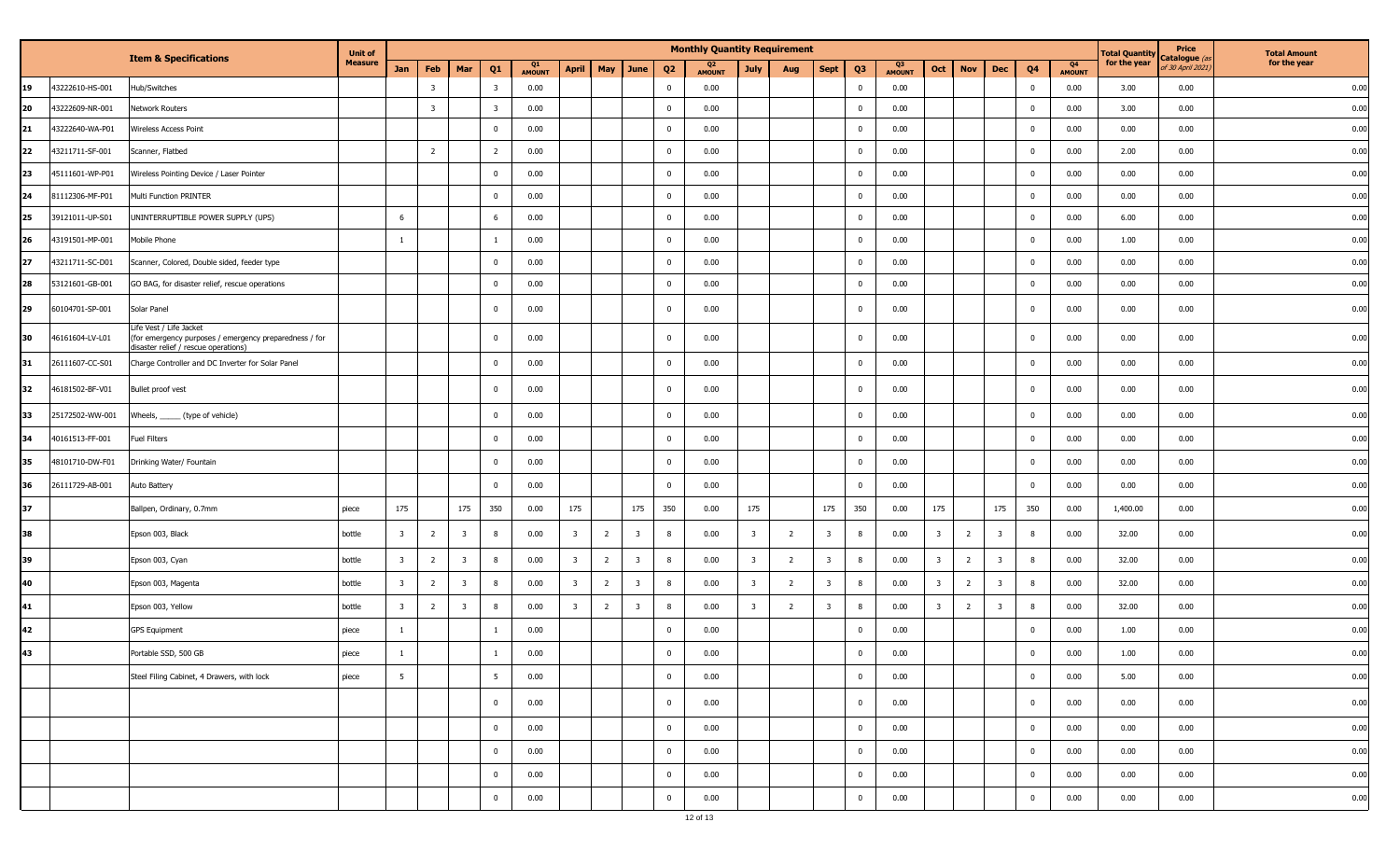|    | <b>Item &amp; Specifications</b> |                                                                                                                           | <b>Unit of</b><br><b>Measure</b> |                         | <b>Monthly Quantity Requirement</b> |                         |                         |                     |                         |                |                         |                |               |                         |                |                         |                |                     | <b>Total Quantity</b>   | Price<br>atalogue (a | <b>Total Amount</b>     |                |                     |              |                  |              |
|----|----------------------------------|---------------------------------------------------------------------------------------------------------------------------|----------------------------------|-------------------------|-------------------------------------|-------------------------|-------------------------|---------------------|-------------------------|----------------|-------------------------|----------------|---------------|-------------------------|----------------|-------------------------|----------------|---------------------|-------------------------|----------------------|-------------------------|----------------|---------------------|--------------|------------------|--------------|
|    |                                  |                                                                                                                           |                                  | Jan                     | Feb                                 | Mar                     | Q <sub>1</sub>          | Q1<br><b>AMOUNT</b> | <b>April</b>            | May            | June                    | Q <sub>2</sub> | <b>AMOUNT</b> | <b>July</b>             | Aug            | <b>Sept</b>             | Q <sub>3</sub> | Q3<br><b>AMOUNT</b> | Oct                     | <b>Nov</b>           | <b>Dec</b>              | Q <sub>4</sub> | Q4<br><b>AMOUNT</b> | for the year | of 30 April 2021 | for the year |
| 19 | 43222610-HS-001                  | Hub/Switches                                                                                                              |                                  |                         | -3                                  |                         | $\overline{\mathbf{3}}$ | 0.00                |                         |                |                         | $\mathbf{0}$   | 0.00          |                         |                |                         | $\mathbf 0$    | 0.00                |                         |                      |                         | - 0            | 0.00                | 3.00         | 0.00             | 0.00         |
| 20 | 43222609-NR-001                  | Network Routers                                                                                                           |                                  |                         | $\overline{\mathbf{3}}$             |                         | $\overline{\mathbf{3}}$ | 0.00                |                         |                |                         | $\mathbf 0$    | 0.00          |                         |                |                         | $\bf{0}$       | 0.00                |                         |                      |                         | $\Omega$       | 0.00                | 3.00         | 0.00             | 0.00         |
| 21 | 43222640-WA-P01                  | Wireless Access Point                                                                                                     |                                  |                         |                                     |                         | $\overline{\mathbf{0}}$ | 0.00                |                         |                |                         | 0              | 0.00          |                         |                |                         | $\bf{0}$       | 0.00                |                         |                      |                         | $^{\circ}$     | 0.00                | 0.00         | 0.00             | 0.00         |
| 22 | 43211711-SF-001                  | Scanner, Flatbed                                                                                                          |                                  |                         | $\overline{2}$                      |                         | $\overline{2}$          | 0.00                |                         |                |                         | 0              | 0.00          |                         |                |                         | $\bf{0}$       | 0.00                |                         |                      |                         | $^{\circ}$     | 0.00                | 2.00         | 0.00             | 0.00         |
| 23 | 45111601-WP-P01                  | Wireless Pointing Device / Laser Pointer                                                                                  |                                  |                         |                                     |                         | $\mathbf{0}$            | 0.00                |                         |                |                         | $\mathbf 0$    | 0.00          |                         |                |                         | $\bf{0}$       | 0.00                |                         |                      |                         | $^{\circ}$     | 0.00                | 0.00         | 0.00             | 0.00         |
| 24 | 81112306-MF-P01                  | Multi Function PRINTER                                                                                                    |                                  |                         |                                     |                         | $\bf{0}$                | 0.00                |                         |                |                         | 0              | 0.00          |                         |                |                         | $\bf{0}$       | 0.00                |                         |                      |                         | $^{\circ}$     | 0.00                | 0.00         | 0.00             | 0.00         |
| 25 | 39121011-UP-S01                  | UNINTERRUPTIBLE POWER SUPPLY (UPS)                                                                                        |                                  | 6                       |                                     |                         | 6                       | 0.00                |                         |                |                         | 0              | 0.00          |                         |                |                         | $\bf{0}$       | 0.00                |                         |                      |                         | $^{\circ}$     | 0.00                | 6.00         | 0.00             | 0.00         |
| 26 | 43191501-MP-001                  | Mobile Phone                                                                                                              |                                  | $\overline{1}$          |                                     |                         |                         | 0.00                |                         |                |                         | $\mathbf{0}$   | 0.00          |                         |                |                         | $\bf{0}$       | 0.00                |                         |                      |                         | $^{\circ}$     | 0.00                | 1.00         | 0.00             | 0.00         |
| 27 | 43211711-SC-D01                  | Scanner, Colored, Double sided, feeder type                                                                               |                                  |                         |                                     |                         | $\bf{0}$                | 0.00                |                         |                |                         | 0              | 0.00          |                         |                |                         | $\bf{0}$       | 0.00                |                         |                      |                         | $^{\circ}$     | 0.00                | 0.00         | 0.00             | 0.00         |
| 28 | 53121601-GB-001                  | GO BAG, for disaster relief, rescue operations                                                                            |                                  |                         |                                     |                         | $\overline{\mathbf{0}}$ | 0.00                |                         |                |                         | $\mathbf 0$    | 0.00          |                         |                |                         | $\mathbf 0$    | 0.00                |                         |                      |                         | $\Omega$       | 0.00                | 0.00         | 0.00             | 0.00         |
| 29 | 60104701-SP-001                  | Solar Panel                                                                                                               |                                  |                         |                                     |                         | $\overline{\mathbf{0}}$ | 0.00                |                         |                |                         | 0              | 0.00          |                         |                |                         | $\bf{0}$       | 0.00                |                         |                      |                         | $\mathbf{0}$   | 0.00                | 0.00         | 0.00             | 0.00         |
| 30 | 46161604-LV-L01                  | Life Vest / Life Jacket<br>(for emergency purposes / emergency preparedness / for<br>disaster relief / rescue operations) |                                  |                         |                                     |                         | $\bf{0}$                | 0.00                |                         |                |                         | 0              | 0.00          |                         |                |                         | $\bf{0}$       | 0.00                |                         |                      |                         | $\Omega$       | 0.00                | 0.00         | 0.00             | 0.00         |
| 31 | 26111607-CC-S01                  | Charge Controller and DC Inverter for Solar Panel                                                                         |                                  |                         |                                     |                         | $\bf{0}$                | 0.00                |                         |                |                         | 0              | 0.00          |                         |                |                         | $\bf{0}$       | 0.00                |                         |                      |                         | $^{\circ}$     | 0.00                | 0.00         | 0.00             | 0.00         |
| 32 | 46181502-BF-V01                  | Bullet proof vest                                                                                                         |                                  |                         |                                     |                         | $\bf{0}$                | 0.00                |                         |                |                         | 0              | 0.00          |                         |                |                         | $\bf{0}$       | 0.00                |                         |                      |                         | $^{\circ}$     | 0.00                | 0.00         | 0.00             | 0.00         |
| 33 | 25172502-WW-001                  | Wheels, ______ (type of vehicle)                                                                                          |                                  |                         |                                     |                         | $\overline{\mathbf{0}}$ | 0.00                |                         |                |                         | $\mathbf{0}$   | 0.00          |                         |                |                         | $\bf{0}$       | 0.00                |                         |                      |                         | $^{\circ}$     | 0.00                | 0.00         | 0.00             | 0.00         |
| 34 | 40161513-FF-001                  | Fuel Filters                                                                                                              |                                  |                         |                                     |                         | $\mathbf 0$             | 0.00                |                         |                |                         | 0              | 0.00          |                         |                |                         | $\bf{0}$       | 0.00                |                         |                      |                         | $^{\circ}$     | 0.00                | 0.00         | 0.00             | 0.00         |
| 35 | 48101710-DW-F01                  | Drinking Water/ Fountain                                                                                                  |                                  |                         |                                     |                         | $\overline{\mathbf{0}}$ | 0.00                |                         |                |                         | 0              | 0.00          |                         |                |                         | $\bf{0}$       | 0.00                |                         |                      |                         | $\Omega$       | 0.00                | 0.00         | 0.00             | 0.00         |
| 36 | 26111729-AB-001                  | Auto Battery                                                                                                              |                                  |                         |                                     |                         | $\overline{\mathbf{0}}$ | 0.00                |                         |                |                         | $\mathbf{0}$   | 0.00          |                         |                |                         | $\bf{0}$       | 0.00                |                         |                      |                         | $\Omega$       | 0.00                | 0.00         | 0.00             | 0.00         |
| 37 |                                  | Ballpen, Ordinary, 0.7mm                                                                                                  | piece                            | 175                     |                                     | 175                     | 350                     | 0.00                | 175                     |                | 175                     | 350            | 0.00          | 175                     |                | 175                     | 350            | 0.00                | 175                     |                      | 175                     | 350            | 0.00                | 1,400.00     | 0.00             | 0.00         |
| 38 |                                  | Epson 003, Black                                                                                                          | bottle                           | $\overline{\mathbf{3}}$ | $\overline{2}$                      | $\overline{\mathbf{3}}$ | 8                       | 0.00                | $\overline{\mathbf{3}}$ | $\overline{2}$ | $\overline{\mathbf{3}}$ | 8              | 0.00          | $\overline{\mathbf{3}}$ | -2             | $\overline{\mathbf{3}}$ | 8              | 0.00                | $\overline{\mathbf{3}}$ | $\overline{2}$       | $\overline{\mathbf{3}}$ | 8              | 0.00                | 32.00        | 0.00             | 0.00         |
| 39 |                                  | Epson 003, Cyan                                                                                                           | bottle                           | $\overline{\mathbf{3}}$ | $\overline{2}$                      | $\overline{\mathbf{3}}$ | 8                       | 0.00                | $\overline{\mathbf{3}}$ | $\overline{2}$ | $\overline{\mathbf{3}}$ | 8              | 0.00          | $\overline{3}$          | $\overline{2}$ | $\overline{\mathbf{3}}$ | 8              | 0.00                | -3                      | $\overline{2}$       | $\overline{\mathbf{3}}$ | -8             | 0.00                | 32.00        | 0.00             | 0.00         |
| 40 |                                  | Epson 003, Magenta                                                                                                        | bottle                           | $\overline{\mathbf{3}}$ | $\overline{2}$                      | $\overline{\mathbf{3}}$ | 8                       | 0.00                | $\overline{\mathbf{3}}$ | $\overline{2}$ | $\overline{\mathbf{3}}$ | 8              | 0.00          | 3                       | $\overline{2}$ | $\overline{\mathbf{3}}$ | 8              | 0.00                | $\overline{\mathbf{3}}$ | $\overline{2}$       | $\overline{\mathbf{3}}$ | 8              | 0.00                | 32.00        | 0.00             | 0.00         |
| 41 |                                  | Epson 003, Yellow                                                                                                         | bottle                           | $\overline{\mathbf{3}}$ | $\overline{2}$                      | $\overline{\mathbf{3}}$ | 8                       | 0.00                | $\overline{\mathbf{3}}$ | $\overline{2}$ | $\overline{\mathbf{3}}$ | 8              | 0.00          | $\overline{\mathbf{3}}$ | $\overline{2}$ | $\overline{\mathbf{3}}$ | 8              | 0.00                | $\overline{\mathbf{3}}$ | $\overline{2}$       | $\overline{\mathbf{3}}$ | 8              | 0.00                | 32.00        | 0.00             | 0.00         |
| 42 |                                  | <b>GPS Equipment</b>                                                                                                      | piece                            | -1                      |                                     |                         |                         | 0.00                |                         |                |                         | 0              | 0.00          |                         |                |                         | $\bf{0}$       | 0.00                |                         |                      |                         | $^{\circ}$     | 0.00                | 1.00         | 0.00             | 0.00         |
| 43 |                                  | Portable SSD, 500 GB                                                                                                      | piece                            | 1                       |                                     |                         |                         | 0.00                |                         |                |                         | $\mathbf 0$    | 0.00          |                         |                |                         | $\bf{0}$       | 0.00                |                         |                      |                         | $^{\circ}$     | 0.00                | 1.00         | 0.00             | 0.00         |
|    |                                  | Steel Filing Cabinet, 4 Drawers, with lock                                                                                | piece                            | $5\overline{5}$         |                                     |                         | $5\overline{5}$         | 0.00                |                         |                |                         | $\mathbf{0}$   | 0.00          |                         |                |                         | $\overline{0}$ | 0.00                |                         |                      |                         | $\bf{0}$       | 0.00                | 5.00         | 0.00             | 0.00         |
|    |                                  |                                                                                                                           |                                  |                         |                                     |                         | $\overline{0}$          | 0.00                |                         |                |                         | $\mathbf{0}$   | 0.00          |                         |                |                         | $\overline{0}$ | 0.00                |                         |                      |                         | $^{\circ}$     | 0.00                | 0.00         | 0.00             | 0.00         |
|    |                                  |                                                                                                                           |                                  |                         |                                     |                         | $\mathbf 0$             | 0.00                |                         |                |                         | $\mathbf 0$    | 0.00          |                         |                |                         | $\bf{0}$       | 0.00                |                         |                      |                         | $^{\circ}$     | 0.00                | 0.00         | 0.00             | 0.00         |
|    |                                  |                                                                                                                           |                                  |                         |                                     |                         | $\overline{0}$          | 0.00                |                         |                |                         | $\mathbf{0}$   | 0.00          |                         |                |                         | $\bf{0}$       | 0.00                |                         |                      |                         | $\mathbf 0$    | 0.00                | 0.00         | 0.00             | 0.00         |
|    |                                  |                                                                                                                           |                                  |                         |                                     |                         | $\mathbf 0$             | 0.00                |                         |                |                         | $\mathbf 0$    | 0.00          |                         |                |                         | $\bf{0}$       | 0.00                |                         |                      |                         | 0              | 0.00                | 0.00         | 0.00             | 0.00         |
|    |                                  |                                                                                                                           |                                  |                         |                                     |                         | $\overline{0}$          | 0.00                |                         |                |                         | $\mathbf 0$    | 0.00          |                         |                |                         | $\overline{0}$ | 0.00                |                         |                      |                         | $\mathbf 0$    | 0.00                | 0.00         | 0.00             | 0.00         |